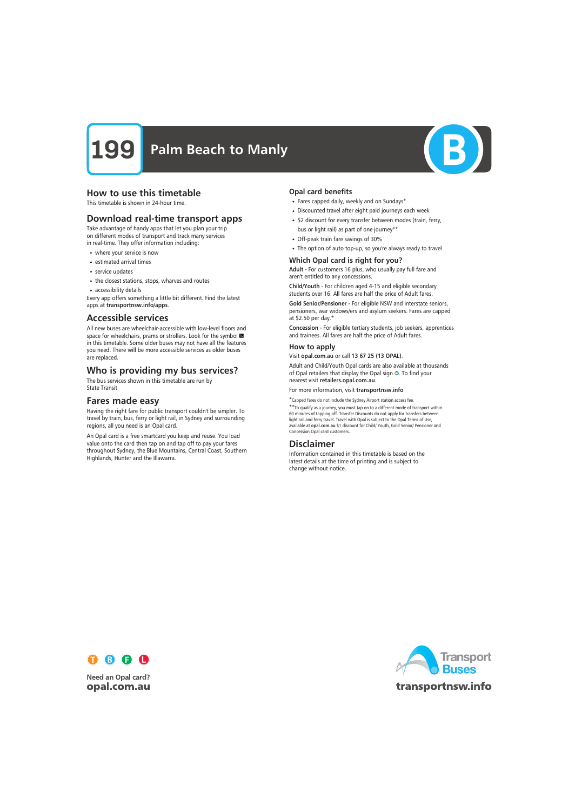

# How to use this timetable

This timetable is shown in 24-hour time.

# Download real-time transport apps

Take advantage of handy apps that let you plan your trip on different modes of transport and track many services in real-time. They offer information including:

- where your service is now
- estimated arrival times
- service updates
- the closest stations, stops, wharves and routes
- accessibility details

Every app offers something a little bit different. Find the latest apps at transportnsw.info/apps.

## Accessible services

All new buses are wheelchair-accessible with low-level floors and space for wheelchairs, prams or strollers. Look for the symbol in this timetable. Some older buses may not have all the features you need. There will be more accessible services as older buses are replaced.

# Who is providing my bus services?

The bus services shown in this timetable are run by State Transit

# Fares made easy

Having the right fare for public transport couldn't be simpler. To travel by train, bus, ferry or light rail, in Sydney and surrounding regions, all you need is an Opal card.

An Opal card is a free smartcard you keep and reuse. You load value onto the card then tap on and tap off to pay your fares throughout Sydney, the Blue Mountains, Central Coast, Southern Highlands, Hunter and the Illawarra.

### Opal card benefits

- Fares capped daily, weekly and on Sundays\*
- Discounted travel after eight paid journeys each week
- \$2 discount for every transfer between modes (train, ferry, bus or light rail) as part of one journey\*\*
- Off-peak train fare savings of 30%
- The option of auto top-up, so you're always ready to travel

### Which Opal card is right for you?

Adult - For customers 16 plus, who usually pay full fare and aren't entitled to any concessions.

Child/Youth - For children aged 4-15 and eligible secondary students over 16. All fares are half the price of Adult fares.

Gold Senior/Pensioner - For eligible NSW and interstate seniors, pensioners, war widows/ers and asylum seekers. Fares are capped at \$2.50 per day.\*

Concession - For eligible tertiary students, job seekers, apprentices and trainees. All fares are half the price of Adult fares.

### How to apply

Visit opal.com.au or call 13 67 25 (13 OPAL).

Adult and Child/Youth Opal cards are also available at thousands of Opal retailers that display the Opal sign O. To find your nearest visit retailers.opal.com.au.

For more information, visit transportnsw.info

\*Capped fares do not include the Sydney Airport station access fee. \*\*To qualify as a journey, you must tap on to a different mode of transport within

60 minutes of tapping off. Transfer Discounts do not apply for transfers between light rail and ferry travel. Travel with Opal is subject to the Opal Terms of Use, available at opal.com.au \$1 discount for Child/ Youth, Gold Senior/ Pensioner and Concession Opal card customers.

# Disclaimer

Information contained in this timetable is based on the latest details at the time of printing and is subject to change without notice.



**Need an Opal card?** opal.com.au

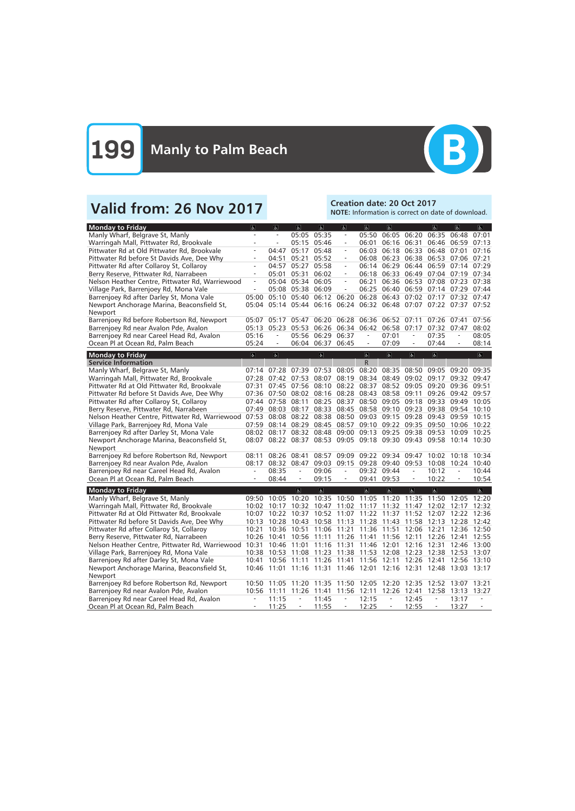

# Valid from: 26 Nov 2017<br>Note: Information is correct on da

NOTE: Information is correct on date of download.

| <b>Monday to Friday</b>                               | $\overline{\mathbf{r}}$ | $\overline{a}$           | $\overline{a}$           | $\overline{a}$                                                    | $\overline{a}$           | $\overline{6}$           | $\overline{a}$                      |                          | $\overline{\mathbf{r}}$                   | $\overline{a}$           | $\overline{a}$ |
|-------------------------------------------------------|-------------------------|--------------------------|--------------------------|-------------------------------------------------------------------|--------------------------|--------------------------|-------------------------------------|--------------------------|-------------------------------------------|--------------------------|----------------|
| Manly Wharf, Belgrave St, Manly                       |                         | $\overline{a}$           | 05:05 05:35              |                                                                   | $\equiv$                 | 05:50                    | 06:05                               | 06:20                    | 06:35                                     | 06:48                    | 07:01          |
| Warringah Mall, Pittwater Rd, Brookvale               |                         | $\frac{1}{2}$            | 05:15 05:46              |                                                                   | $\overline{\phantom{a}}$ | 06:01                    | 06:16 06:31                         |                          | 06:46                                     | 06:59                    | 07:13          |
| Pittwater Rd at Old Pittwater Rd, Brookvale           |                         | 04:47                    | 05:17                    | 05:48                                                             | $\overline{\phantom{a}}$ | 06:03                    |                                     |                          | 06:18 06:33 06:48 07:01                   |                          | 07:16          |
| Pittwater Rd before St Davids Ave, Dee Why            |                         | 04:51                    | 05:21                    | 05:52                                                             | $\overline{\phantom{a}}$ | 06:08                    |                                     |                          | 06:23 06:38 06:53 07:06 07:21             |                          |                |
| Pittwater Rd after Collaroy St, Collaroy              | $\overline{a}$          | 04:57                    | 05:27                    | 05:58                                                             | $\overline{\phantom{a}}$ | 06:14                    |                                     | 06:29 06:44              | 06:59 07:14                               |                          | 07:29          |
| Berry Reserve, Pittwater Rd, Narrabeen                | $\frac{1}{2}$           | 05:01                    | 05:31                    | 06:02                                                             | $\equiv$                 | 06:18                    | 06:33 06:49                         |                          |                                           | 07:04 07:19              | 07:34          |
| Nelson Heather Centre, Pittwater Rd, Warriewood       | $\bar{\phantom{a}}$     | 05:04                    | 05:34 06:05              |                                                                   | $\overline{\phantom{a}}$ | 06:21                    | 06:36 06:53                         |                          | 07:08 07:23                               |                          | 07:38          |
| Village Park, Barrenjoey Rd, Mona Vale                | $\frac{1}{2}$           |                          | 05:08 05:38 06:09        |                                                                   | $\overline{\phantom{a}}$ | 06:25                    |                                     |                          | 06:40 06:59 07:14 07:29 07:44             |                          |                |
| Barrenjoey Rd after Darley St, Mona Vale              | 05:00                   |                          |                          | 05:10 05:40 06:12 06:20                                           |                          | 06:28                    |                                     |                          | 06:43 07:02 07:17 07:32 07:47             |                          |                |
| Newport Anchorage Marina, Beaconsfield St,            | 05:04                   |                          | 05:14 05:44 06:16        |                                                                   | 06:24                    |                          |                                     |                          | 06:32 06:48 07:07 07:22 07:37 07:52       |                          |                |
| Newport                                               |                         |                          |                          |                                                                   |                          |                          |                                     |                          |                                           |                          |                |
| Barrenjoey Rd before Robertson Rd, Newport            | 05:07                   | 05:17                    | 05:47                    |                                                                   |                          |                          | 06:20 06:28 06:36 06:52 07:11       |                          | 07:26 07:41                               |                          | 07:56          |
| Barrenjoey Rd near Avalon Pde, Avalon                 | 05:13                   | 05:23                    | 05:53                    |                                                                   | 06:26 06:34 06:42 06:58  |                          |                                     | 07:17                    | 07:32 07:47                               |                          | 08:02          |
| Barrenjoey Rd near Careel Head Rd, Avalon             | 05:16                   | $\overline{a}$           | 05:56                    | 06:29                                                             | 06:37                    | $\overline{\phantom{a}}$ | 07:01                               | $\overline{\phantom{a}}$ | 07:35                                     | $\overline{\phantom{a}}$ | 08:05          |
| Ocean Pl at Ocean Rd, Palm Beach                      | 05:24                   | $\overline{\phantom{a}}$ |                          | 06:04 06:37 06:45                                                 |                          | $\overline{\phantom{a}}$ | 07:09                               | $\overline{\phantom{a}}$ | 07:44                                     | $\overline{\phantom{a}}$ | 08:14          |
|                                                       |                         |                          |                          |                                                                   |                          |                          |                                     |                          |                                           |                          |                |
| <b>Monday to Friday</b>                               | $\sigma$                | $\sigma$                 |                          | $\left  \phi \right $                                             |                          | $\mathbf{P}$             | $\sigma$                            | $\sigma$                 | $\overline{6}$                            |                          | $\mathbf{P}$   |
| <b>Service Information</b>                            |                         |                          |                          |                                                                   |                          | $\mathsf R$              |                                     |                          |                                           |                          |                |
| Manly Wharf, Belgrave St, Manly                       | 07:14                   | 07:28                    | 07:39                    | 07:53                                                             | 08:05                    | 08:20                    | 08:35                               | 08:50                    | 09:05                                     | 09:20                    | 09:35          |
| Warringah Mall, Pittwater Rd, Brookvale               | 07:28                   | 07:42                    | 07:53                    | 08:07                                                             | 08:19                    | 08:34                    | 08:49                               | 09:02                    | 09:17                                     | 09:32                    | 09:47          |
| Pittwater Rd at Old Pittwater Rd, Brookvale           | 07:31                   | 07:45 07:56              |                          | 08:10                                                             | 08:22                    | 08:37                    | 08:52                               | 09:05                    | 09:20                                     | 09:36                    | 09:51          |
| Pittwater Rd before St Davids Ave, Dee Why            |                         | 07:36 07:50 08:02        |                          |                                                                   | 08:16 08:28 08:43        |                          | 08:58                               | 09:11                    | 09:26                                     | 09:42                    | 09:57          |
| Pittwater Rd after Collaroy St, Collaroy              |                         | 07:44 07:58              | 08:11                    |                                                                   |                          |                          | 08:25 08:37 08:50 09:05 09:18       |                          | 09:33 09:49                               |                          | 10:05          |
| Berry Reserve, Pittwater Rd, Narrabeen                | 07:49                   | 08:03                    | 08:17                    |                                                                   |                          |                          | 08:33 08:45 08:58 09:10 09:23       |                          | 09:38 09:54                               |                          | 10:10          |
| Nelson Heather Centre, Pittwater Rd, Warriewood 07:53 |                         | 08:08                    | 08:22                    |                                                                   |                          |                          | 08:38 08:50 09:03 09:15 09:28       |                          | 09:43                                     | 09:59                    | 10:15          |
| Village Park, Barrenjoey Rd, Mona Vale                | 07:59                   | 08:14 08:29              |                          |                                                                   |                          |                          | 08:45 08:57 09:10 09:22 09:35       |                          | 09:50                                     | 10:06 10:22              |                |
| Barrenjoey Rd after Darley St, Mona Vale              | 08:02                   | 08:17                    | 08:32                    |                                                                   |                          |                          | 08:48 09:00 09:13 09:25 09:38 09:53 |                          |                                           | 10:09                    | 10:25          |
| Newport Anchorage Marina, Beaconsfield St,            |                         |                          |                          | 08:07 08:22 08:37 08:53 09:05 09:18 09:30 09:43 09:58 10:14 10:30 |                          |                          |                                     |                          |                                           |                          |                |
| Newport                                               |                         |                          |                          |                                                                   |                          |                          |                                     |                          |                                           |                          |                |
| Barrenjoey Rd before Robertson Rd, Newport            | 08:11                   | 08:26                    | 08:41                    | 08:57                                                             | 09:09                    | 09:22                    | 09:34 09:47                         |                          | 10:02 10:18                               |                          | 10:34          |
| Barrenjoey Rd near Avalon Pde, Avalon                 | 08:17                   | 08:32                    | 08:47                    |                                                                   |                          |                          | 09:03 09:15 09:28 09:40             | 09:53                    | 10:08                                     | 10:24 10:40              |                |
| Barrenjoey Rd near Careel Head Rd, Avalon             |                         | 08:35                    | $\overline{\phantom{a}}$ | 09:06                                                             | $\equiv$                 | 09:32 09:44              |                                     | $\overline{\phantom{a}}$ | 10:12                                     |                          | 10:44          |
| Ocean Pl at Ocean Rd, Palm Beach                      |                         | 08:44                    | $\equiv$                 | 09:15                                                             | $\equiv$                 | 09:41                    | 09:53                               | $\equiv$                 | 10:22                                     |                          | 10:54          |
| <b>Monday to Friday</b>                               |                         |                          | $\boxed{\mathbf{g}}$     | $ \mathbf{F} $                                                    |                          | $\mathbf{g}$             | $\overline{\mathbf{a}}$             | $\overline{a}$           | $\sigma$                                  |                          | $\sigma$       |
| Manly Wharf, Belgrave St, Manly                       |                         | 09:50 10:05              | 10:20                    |                                                                   |                          |                          |                                     |                          | 10:35 10:50 11:05 11:20 11:35 11:50 12:05 |                          | 12:20          |
| Warringah Mall, Pittwater Rd, Brookvale               | 10:02                   | 10:17                    | 10:32                    | 10:47                                                             |                          | 11:02 11:17 11:32        |                                     | 11:47                    | 12:02                                     | 12:17                    | 12:32          |
| Pittwater Rd at Old Pittwater Rd, Brookvale           | 10:07                   | 10:22                    | 10:37                    |                                                                   | 10:52 11:07 11:22 11:37  |                          |                                     | 11:52 12:07              |                                           | 12:22 12:36              |                |
| Pittwater Rd before St Davids Ave, Dee Why            |                         |                          |                          | 10:13 10:28 10:43 10:58 11:13 11:28 11:43 11:58 12:13 12:28 12:42 |                          |                          |                                     |                          |                                           |                          |                |
| Pittwater Rd after Collaroy St, Collaroy              | 10:21                   |                          | 10:36 10:51 11:06        |                                                                   |                          |                          | 11:21 11:36 11:51 12:06 12:21       |                          |                                           | 12:36                    | 12:50          |
| Berry Reserve, Pittwater Rd, Narrabeen                |                         | 10:26 10:41              | 10:56                    | 11:11                                                             |                          |                          |                                     |                          | 11:26 11:41 11:56 12:11 12:26 12:41 12:55 |                          |                |
| Nelson Heather Centre, Pittwater Rd, Warriewood       | 10:31                   | 10:46 11:01              |                          | 11:16                                                             |                          |                          | 11:31 11:46 12:01 12:16 12:31       |                          |                                           | 12:46 13:00              |                |
| Village Park, Barrenjoey Rd, Mona Vale                |                         |                          |                          | 10:38 10:53 11:08 11:23 11:38 11:53 12:08 12:23 12:38 12:53 13:07 |                          |                          |                                     |                          |                                           |                          |                |
| Barrenjoey Rd after Darley St, Mona Vale              |                         | 10:41 10:56 11:11        |                          | 11:26 11:41 11:56 12:11 12:26 12:41                               |                          |                          |                                     |                          |                                           | 12:56 13:10              |                |
| Newport Anchorage Marina, Beaconsfield St,            |                         |                          |                          | 10:46 11:01 11:16 11:31                                           |                          |                          |                                     |                          | 11:46 12:01 12:16 12:31 12:48 13:03 13:17 |                          |                |
| Newport                                               |                         |                          |                          |                                                                   |                          |                          |                                     |                          |                                           |                          |                |
| Barrenjoey Rd before Robertson Rd, Newport            |                         |                          |                          | 10:50 11:05 11:20 11:35 11:50 12:05 12:20 12:35 12:52 13:07 13:21 |                          |                          |                                     |                          |                                           |                          |                |
| Barrenjoey Rd near Avalon Pde, Avalon                 |                         | 10:56 11:11              | 11:26 11:41              |                                                                   |                          |                          |                                     |                          | 11:56 12:11 12:26 12:41 12:58 13:13 13:27 |                          |                |
| Barrenjoey Rd near Careel Head Rd, Avalon             |                         | 11:15                    |                          | 11:45                                                             |                          | 12:15                    |                                     | 12:45                    |                                           | 13:17                    |                |
| Ocean Pl at Ocean Rd, Palm Beach                      |                         | 11:25                    |                          | 11:55                                                             |                          | 12:25                    |                                     | 12:55                    |                                           | 13:27                    |                |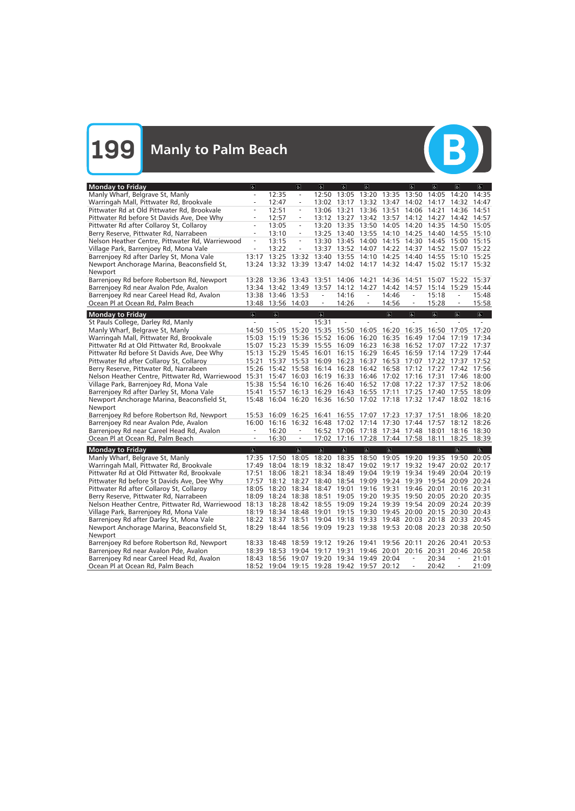**199** Manly to Palm Beach



| <b>Monday to Friday</b>                                     | $\sigma$                            |                          | $\overline{a}$           | d              | $\overline{a}$                                                    | $\sigma$          |                         | $\sigma$                 | $\overline{a}$                    | $\sigma$                 | d                       |
|-------------------------------------------------------------|-------------------------------------|--------------------------|--------------------------|----------------|-------------------------------------------------------------------|-------------------|-------------------------|--------------------------|-----------------------------------|--------------------------|-------------------------|
| Manly Wharf, Belgrave St, Manly                             |                                     | 12:35                    |                          |                | 12:50 13:05 13:20 13:35 13:50                                     |                   |                         |                          | 14:05                             | 14:20                    | 14:35                   |
| Warringah Mall, Pittwater Rd, Brookvale                     |                                     | 12:47                    |                          | 13:02          | 13:17                                                             | 13:32 13:47       |                         | 14:02                    | 14:17                             | 14:32                    | 14:47                   |
| Pittwater Rd at Old Pittwater Rd, Brookvale                 |                                     | 12:51                    | $\overline{\phantom{a}}$ |                | 13:06 13:21                                                       | 13:36 13:51       |                         | 14:06                    | 14:21                             | 14:36                    | 14:51                   |
| Pittwater Rd before St Davids Ave, Dee Why                  |                                     | 12:57                    | $\overline{\phantom{a}}$ |                | 13:12 13:27 13:42 13:57                                           |                   |                         | 14:12                    | 14:27                             | 14:42                    | 14:57                   |
| Pittwater Rd after Collaroy St, Collaroy                    | $\overline{\phantom{a}}$            | 13:05                    | $\bar{ }$                |                | 13:20 13:35 13:50 14:05                                           |                   |                         | 14:20                    | 14:35                             | 14:50 15:05              |                         |
| Berry Reserve, Pittwater Rd, Narrabeen                      | $\overline{\phantom{a}}$            | 13:10                    | $\equiv$                 |                | 13:25 13:40 13:55 14:10 14:25                                     |                   |                         |                          |                                   | 14:40 14:55 15:10        |                         |
| Nelson Heather Centre, Pittwater Rd, Warriewood             | $\equiv$                            | 13:15                    | ÷,                       |                | 13:30 13:45 14:00 14:15                                           |                   |                         | 14:30                    | 14:45                             | 15:00 15:15              |                         |
| Village Park, Barrenjoey Rd, Mona Vale                      |                                     | 13:22                    |                          |                | 13:37 13:52 14:07 14:22                                           |                   |                         | 14:37                    |                                   | 14:52 15:07 15:22        |                         |
| Barrenjoey Rd after Darley St, Mona Vale                    | 13:17                               | 13:25                    | 13:32                    |                | 13:40 13:55                                                       | 14:10 14:25       |                         | 14:40                    | 14:55                             | 15:10 15:25              |                         |
| Newport Anchorage Marina, Beaconsfield St,                  | 13:24                               | 13:32 13:39              |                          |                | 13:47 14:02 14:17 14:32 14:47 15:02 15:17 15:32                   |                   |                         |                          |                                   |                          |                         |
| Newport                                                     |                                     |                          |                          |                |                                                                   |                   |                         |                          |                                   |                          |                         |
| Barrenjoey Rd before Robertson Rd, Newport                  |                                     | 13:28 13:36              | 13:43                    | 13:51          | 14:06 14:21                                                       |                   | 14:36                   | 14:51                    | 15:07                             | 15:22                    | 15:37                   |
| Barrenjoey Rd near Avalon Pde, Avalon                       |                                     | 13:34 13:42 13:49        |                          | 13:57          | 14:12 14:27                                                       |                   | 14:42                   | 14:57                    | 15:14                             | 15:29                    | 15:44                   |
| Barrenjoey Rd near Careel Head Rd, Avalon                   |                                     | 13:38 13:46              | 13:53                    | $\equiv$       | 14:16                                                             | $\equiv$          | 14:46                   | $\overline{\phantom{a}}$ | 15:18                             |                          | 15:48                   |
| Ocean Pl at Ocean Rd, Palm Beach                            |                                     | 13:48 13:56 14:03        |                          | $\equiv$       | 14:26                                                             | $\equiv$          | 14:56                   | $\equiv$                 | 15:28                             | $\equiv$                 | 15:58                   |
|                                                             |                                     |                          |                          |                |                                                                   |                   |                         |                          |                                   |                          |                         |
| <b>Monday to Friday</b>                                     | $\overline{\mathbf{e}}$<br>$\omega$ | $\overline{a}$<br>$\sim$ |                          | $\overline{a}$ |                                                                   |                   | $\overline{6}$          | $\overline{6}$           | $\overline{\mathbf{r}}$<br>$\sim$ | $\sigma$                 | $\overline{\mathbf{e}}$ |
| St Pauls College, Darley Rd, Manly                          |                                     |                          |                          | 15:31          |                                                                   |                   |                         |                          |                                   |                          |                         |
| Manly Wharf, Belgrave St, Manly                             |                                     | 14:50 15:05              | 15:20                    |                | 15:35 15:50 16:05 16:20 16:35                                     |                   |                         |                          |                                   | 16:50 17:05              | 17:20                   |
| Warringah Mall, Pittwater Rd, Brookvale                     |                                     | 15:03 15:19              | 15:36                    |                | 15:52 16:06 16:20 16:35                                           |                   |                         | 16:49                    |                                   | 17:04 17:19              | 17:34                   |
| Pittwater Rd at Old Pittwater Rd, Brookvale                 |                                     | 15:07 15:23              | 15:39                    | 15:55          |                                                                   | 16:09 16:23 16:38 |                         | 16:52                    | 17:07                             | 17:22 17:37              |                         |
| Pittwater Rd before St Davids Ave, Dee Why                  |                                     | 15:13 15:29 15:45 16:01  |                          |                |                                                                   |                   | 16:15 16:29 16:45 16:59 |                          | 17:14                             | 17:29 17:44              |                         |
| Pittwater Rd after Collaroy St, Collaroy                    | 15:21                               | 15:37                    | 15:53                    | 16:09          | 16:23 16:37 16:53                                                 |                   |                         | 17:07                    |                                   | 17:22 17:37              | 17:52                   |
| Berry Reserve, Pittwater Rd, Narrabeen                      |                                     | 15:26 15:42 15:58        |                          |                | 16:14 16:28 16:42 16:58                                           |                   |                         | 17:12 17:27              |                                   | 17:42 17:56              |                         |
| Nelson Heather Centre, Pittwater Rd, Warriewood 15:31 15:47 |                                     |                          | 16:03                    |                | 16:19 16:33 16:46 17:02 17:16 17:31                               |                   |                         |                          |                                   | 17:46 18:00              |                         |
| Village Park, Barrenjoey Rd, Mona Vale                      |                                     | 15:38 15:54              | 16:10                    |                | 16:26 16:40 16:52 17:08 17:22                                     |                   |                         |                          |                                   | 17:37 17:52 18:06        |                         |
| Barrenjoey Rd after Darley St, Mona Vale                    |                                     | 15:41 15:57 16:13        |                          |                | 16:29 16:43 16:55 17:11                                           |                   |                         | 17:25                    |                                   | 17:40 17:55 18:09        |                         |
| Newport Anchorage Marina, Beaconsfield St,                  |                                     |                          |                          |                | 15:48 16:04 16:20 16:36 16:50 17:02 17:18 17:32 17:47 18:02 18:16 |                   |                         |                          |                                   |                          |                         |
| Newport                                                     |                                     |                          |                          |                |                                                                   |                   |                         |                          |                                   |                          |                         |
| Barrenjoey Rd before Robertson Rd, Newport                  | 15:53                               | 16:09                    | 16:25                    | 16:41          | 16:55 17:07                                                       |                   | 17:23                   | 17:37                    | 17:51                             | 18:06                    | 18:20                   |
| Barrenjoey Rd near Avalon Pde, Avalon                       | 16:00                               | 16:16                    | 16:32                    | 16:48          | 17:02 17:14                                                       |                   | 17:30                   | 17:44                    | 17:57                             | 18:12                    | 18:26                   |
| Barrenjoey Rd near Careel Head Rd, Avalon                   |                                     | 16:20                    | $\overline{\phantom{a}}$ |                | 16:52 17:06 17:18 17:34 17:48                                     |                   |                         |                          | 18:01                             | 18:16 18:30              |                         |
| Ocean Pl at Ocean Rd, Palm Beach                            | $\overline{\phantom{a}}$            | 16:30                    | $\equiv$                 |                | 17:02 17:16 17:28 17:44 17:58 18:11                               |                   |                         |                          |                                   | 18:25                    | 18:39                   |
| <b>Monday to Friday</b>                                     | $\sigma$                            |                          | $ \mathbf{P} $           | $ \mathbf{P} $ | a                                                                 | a                 | $\overline{a}$          |                          |                                   | $ \mathbf{e} $           | $\boxed{\mathbf{F}}$    |
| Manly Wharf, Belgrave St, Manly                             |                                     | 17:35 17:50              | 18:05                    | 18:20          | 18:35                                                             | 18:50             | 19:05 19:20             |                          | 19:35                             | 19:50 20:05              |                         |
| Warringah Mall, Pittwater Rd, Brookvale                     | 17:49                               | 18:04                    | 18:19                    | 18:32          | 18:47                                                             | 19:02             | 19:17                   | 19:32                    | 19:47                             | 20:02 20:17              |                         |
| Pittwater Rd at Old Pittwater Rd, Brookvale                 | 17:51                               | 18:06                    | 18:21                    | 18:34          | 18:49                                                             | 19:04             | 19:19                   | 19:34                    | 19:49                             | 20:04                    | 20:19                   |
| Pittwater Rd before St Davids Ave, Dee Why                  | 17:57                               | 18:12 18:27              |                          |                | 18:40 18:54 19:09 19:24 19:39 19:54 20:09 20:24                   |                   |                         |                          |                                   |                          |                         |
| Pittwater Rd after Collaroy St, Collaroy                    |                                     |                          |                          |                | 18:05 18:20 18:34 18:47 19:01 19:16 19:31 19:46 20:01 20:16 20:31 |                   |                         |                          |                                   |                          |                         |
| Berry Reserve, Pittwater Rd, Narrabeen                      |                                     | 18:09 18:24 18:38 18:51  |                          |                | 19:05 19:20 19:35 19:50 20:05 20:20 20:35                         |                   |                         |                          |                                   |                          |                         |
| Nelson Heather Centre, Pittwater Rd, Warriewood             | 18:13                               | 18:28 18:42              |                          | 18:55          | 19:09 19:24 19:39 19:54 20:09 20:24 20:39                         |                   |                         |                          |                                   |                          |                         |
| Village Park, Barrenjoey Rd, Mona Vale                      |                                     |                          |                          |                | 18:19 18:34 18:48 19:01 19:15 19:30 19:45 20:00 20:15 20:30 20:43 |                   |                         |                          |                                   |                          |                         |
| Barrenjoey Rd after Darley St, Mona Vale                    |                                     |                          |                          |                | 18:22 18:37 18:51 19:04 19:18 19:33 19:48 20:03 20:18 20:33 20:45 |                   |                         |                          |                                   |                          |                         |
| Newport Anchorage Marina, Beaconsfield St,                  |                                     |                          |                          |                | 18:29 18:44 18:56 19:09 19:23 19:38 19:53 20:08 20:23 20:38 20:50 |                   |                         |                          |                                   |                          |                         |
| Newport                                                     |                                     |                          |                          |                |                                                                   |                   |                         |                          |                                   |                          |                         |
| Barrenjoey Rd before Robertson Rd, Newport                  |                                     |                          |                          |                | 18:33 18:48 18:59 19:12 19:26 19:41 19:56 20:11                   |                   |                         |                          |                                   | 20:26 20:41              | 20:53                   |
| Barrenjoey Rd near Avalon Pde, Avalon                       |                                     |                          |                          |                | 18:39 18:53 19:04 19:17 19:31 19:46 20:01 20:16 20:31 20:46 20:58 |                   |                         |                          |                                   |                          |                         |
| Barrenjoey Rd near Careel Head Rd, Avalon                   |                                     |                          |                          |                | 18:43 18:56 19:07 19:20 19:34 19:49 20:04                         |                   |                         | $\equiv$                 | 20:34                             | $\overline{\phantom{a}}$ | 21:01                   |
| Ocean Pl at Ocean Rd, Palm Beach                            |                                     |                          |                          |                | 18:52 19:04 19:15 19:28 19:42 19:57 20:12                         |                   |                         |                          | 20:42                             |                          | 21:09                   |
|                                                             |                                     |                          |                          |                |                                                                   |                   |                         |                          |                                   |                          |                         |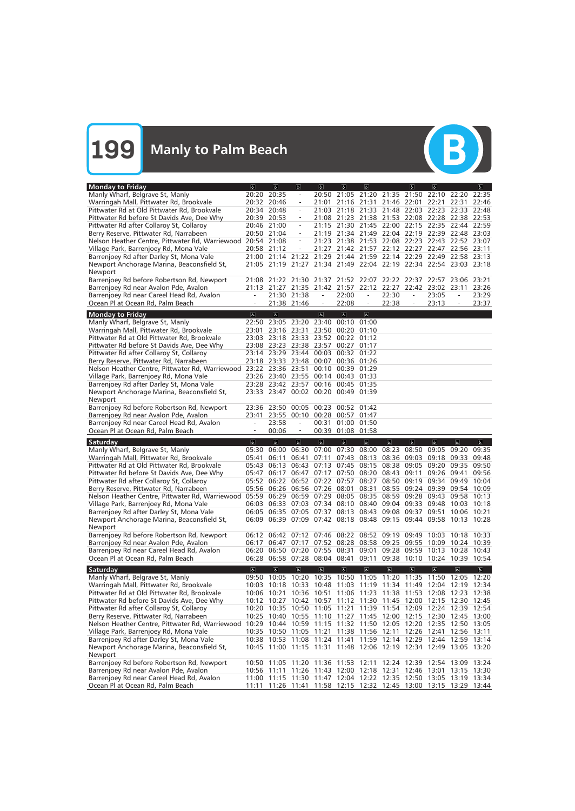**199** Manly to Palm Beach



| <b>Monday to Friday</b>                                                                   | $\sigma$            | $\sigma$                | $ \mathbf{f} $                      | $\sigma$                         | a                 | $\mathfrak{S}$          |                                                                                                                                  | $\sigma$                 | $\alpha$                |                          | <sub>6</sub>                     |
|-------------------------------------------------------------------------------------------|---------------------|-------------------------|-------------------------------------|----------------------------------|-------------------|-------------------------|----------------------------------------------------------------------------------------------------------------------------------|--------------------------|-------------------------|--------------------------|----------------------------------|
| Manly Wharf, Belgrave St, Manly                                                           | 20:20 20:35         |                         | $\overline{a}$                      |                                  |                   |                         | 20:50 21:05 21:20 21:35 21:50 22:10 22:20                                                                                        |                          |                         |                          | 22:35                            |
| Warringah Mall, Pittwater Rd, Brookvale                                                   | 20:32 20:46         |                         |                                     | 21:01                            |                   |                         | 21:16 21:31 21:46 22:01 22:21                                                                                                    |                          |                         | 22:31                    | 22:46                            |
| Pittwater Rd at Old Pittwater Rd, Brookvale                                               | 20:34 20:48         |                         | $\overline{\phantom{a}}$            |                                  |                   |                         | 21:03 21:18 21:33 21:48 22:03 22:23 22:33 22:48                                                                                  |                          |                         |                          |                                  |
| Pittwater Rd before St Davids Ave, Dee Why                                                | 20:39 20:53         |                         | $\overline{\phantom{a}}$            |                                  |                   |                         | 21:08 21:23 21:38 21:53 22:08 22:28 22:38 22:53                                                                                  |                          |                         |                          |                                  |
| Pittwater Rd after Collaroy St, Collaroy                                                  | 20:46 21:00         |                         | $\overline{\phantom{a}}$            |                                  |                   |                         | 21:15 21:30 21:45 22:00 22:15 22:35 22:44 22:59                                                                                  |                          |                         |                          |                                  |
| Berry Reserve, Pittwater Rd, Narrabeen                                                    | 20:50 21:04         |                         | $\equiv$                            |                                  |                   |                         | 21:19 21:34 21:49 22:04 22:19 22:39 22:48 23:03                                                                                  |                          |                         |                          |                                  |
| Nelson Heather Centre, Pittwater Rd, Warriewood                                           | 20:54 21:08         |                         | $\qquad \qquad -$                   |                                  |                   |                         | 21:23 21:38 21:53 22:08 22:23 22:43 22:52 23:07                                                                                  |                          |                         |                          |                                  |
| Village Park, Barrenjoey Rd, Mona Vale                                                    | 20:58 21:12         |                         |                                     |                                  |                   |                         | 21:27 21:42 21:57 22:12 22:27 22:47 22:56 23:11                                                                                  |                          |                         |                          |                                  |
| Barrenjoey Rd after Darley St, Mona Vale                                                  |                     |                         | 21:00 21:14 21:22                   |                                  |                   |                         | 21:29 21:44 21:59 22:14 22:29 22:49 22:58 23:13                                                                                  |                          |                         |                          |                                  |
| Newport Anchorage Marina, Beaconsfield St,                                                |                     |                         |                                     |                                  |                   |                         | 21:05 21:19 21:27 21:34 21:49 22:04 22:19 22:34 22:54 23:03 23:18                                                                |                          |                         |                          |                                  |
| Newport                                                                                   |                     |                         |                                     |                                  |                   |                         |                                                                                                                                  |                          |                         |                          |                                  |
| Barrenjoey Rd before Robertson Rd, Newport                                                |                     |                         |                                     |                                  |                   |                         | 21:08 21:22 21:30 21:37 21:52 22:07 22:22 22:37                                                                                  |                          | 22:57 23:06             |                          | 23:21                            |
| Barrenjoey Rd near Avalon Pde, Avalon                                                     |                     |                         |                                     |                                  |                   |                         | 21:13 21:27 21:35 21:42 21:57 22:12 22:27 22:42 23:02 23:11                                                                      |                          |                         |                          | 23:26                            |
| Barrenjoey Rd near Careel Head Rd, Avalon                                                 |                     |                         | 21:30 21:38                         | $\equiv$                         | 22:00             | $\equiv$                | 22:30                                                                                                                            | $\overline{\phantom{a}}$ | 23:05                   | $\overline{\phantom{a}}$ | 23:29                            |
| Ocean Pl at Ocean Rd, Palm Beach                                                          | $\frac{1}{2}$       |                         | 21:38 21:46                         | $\equiv$                         | 22:08             | $\equiv$                | 22:38                                                                                                                            | $\equiv$                 | 23:13                   | $\qquad \qquad =$        | 23:37                            |
| <b>Monday to Friday</b>                                                                   | ত                   | $\overline{6}$          |                                     | $\mathbf{r}$                     | $\sigma$          | $\mathbf{P}$            |                                                                                                                                  |                          |                         |                          |                                  |
| Manly Wharf, Belgrave St, Manly                                                           |                     |                         | 22:50 23:05 23:20 23:40             |                                  | 00:10 01:00       |                         |                                                                                                                                  |                          |                         |                          |                                  |
| Warringah Mall, Pittwater Rd, Brookvale                                                   |                     |                         | 23:01 23:16 23:31 23:50 00:20 01:10 |                                  |                   |                         |                                                                                                                                  |                          |                         |                          |                                  |
| Pittwater Rd at Old Pittwater Rd, Brookvale                                               |                     |                         | 23:03 23:18 23:33 23:52 00:22 01:12 |                                  |                   |                         |                                                                                                                                  |                          |                         |                          |                                  |
| Pittwater Rd before St Davids Ave, Dee Why                                                |                     |                         | 23:08 23:23 23:38 23:57 00:27 01:17 |                                  |                   |                         |                                                                                                                                  |                          |                         |                          |                                  |
| Pittwater Rd after Collaroy St, Collaroy                                                  |                     |                         | 23:14 23:29 23:44 00:03 00:32 01:22 |                                  |                   |                         |                                                                                                                                  |                          |                         |                          |                                  |
| Berry Reserve, Pittwater Rd, Narrabeen                                                    |                     |                         | 23:18 23:33 23:48                   |                                  | 00:07 00:36 01:26 |                         |                                                                                                                                  |                          |                         |                          |                                  |
| Nelson Heather Centre, Pittwater Rd, Warriewood 23:22 23:36 23:51                         |                     |                         |                                     |                                  | 00:10 00:39 01:29 |                         |                                                                                                                                  |                          |                         |                          |                                  |
| Village Park, Barrenjoey Rd, Mona Vale                                                    |                     |                         | 23:26 23:40 23:55 00:14 00:43 01:33 |                                  |                   |                         |                                                                                                                                  |                          |                         |                          |                                  |
| Barrenjoey Rd after Darley St, Mona Vale                                                  |                     |                         | 23:28 23:42 23:57 00:16 00:45 01:35 |                                  |                   |                         |                                                                                                                                  |                          |                         |                          |                                  |
| Newport Anchorage Marina, Beaconsfield St,                                                |                     |                         | 23:33 23:47 00:02 00:20 00:49 01:39 |                                  |                   |                         |                                                                                                                                  |                          |                         |                          |                                  |
| Newport                                                                                   |                     |                         |                                     |                                  |                   |                         |                                                                                                                                  |                          |                         |                          |                                  |
| Barrenjoey Rd before Robertson Rd, Newport                                                |                     | 23:36 23:50             | 00:05                               |                                  | 00:23 00:52 01:42 |                         |                                                                                                                                  |                          |                         |                          |                                  |
| Barrenjoey Rd near Avalon Pde, Avalon                                                     | 23:41               | 23:55<br>23:58          | $\overline{\phantom{a}}$            | 00:10 00:28 00:57 01:47          | 00:31 01:00 01:50 |                         |                                                                                                                                  |                          |                         |                          |                                  |
| Barrenjoey Rd near Careel Head Rd, Avalon<br>Ocean Pl at Ocean Rd, Palm Beach             |                     | 00:06                   | $\overline{\phantom{a}}$            |                                  | 00:39 01:08 01:58 |                         |                                                                                                                                  |                          |                         |                          |                                  |
|                                                                                           |                     |                         |                                     |                                  |                   |                         |                                                                                                                                  |                          |                         |                          |                                  |
|                                                                                           |                     |                         |                                     |                                  |                   |                         |                                                                                                                                  |                          |                         |                          |                                  |
| Saturday                                                                                  | $\overline{6}$      | $\overline{\mathbf{e}}$ | $\overline{\mathbf{e}}$             | $\left\vert \varphi \right\vert$ | $\overline{6}$    | $\mathbf{g}$            | $\overline{\mathbf{e}}$                                                                                                          | $\sigma$                 | $\overline{\mathbf{c}}$ | $\sigma$                 | $\overline{\mathbf{e}}$          |
| Manly Wharf, Belgrave St, Manly                                                           |                     | 05:30 06:00             |                                     |                                  |                   |                         | 06:30 07:00 07:30 08:00 08:23                                                                                                    | 08:50                    | 09:05 09:20             |                          | 09:35                            |
| Warringah Mall, Pittwater Rd, Brookvale                                                   | 05:41               | 06:11                   | 06:41                               | 07:11                            |                   | 07:43 08:13 08:36       |                                                                                                                                  | 09:03                    |                         | 09:18 09:33 09:48        |                                  |
| Pittwater Rd at Old Pittwater Rd, Brookvale                                               | 05:43 06:13         |                         | 06:43                               |                                  |                   | 07:13 07:45 08:15 08:38 |                                                                                                                                  | 09:05                    |                         | 09:20 09:35 09:50        |                                  |
| Pittwater Rd before St Davids Ave, Dee Why                                                |                     | 05:47 06:17             | 06:47                               |                                  |                   | 07:17 07:50 08:20 08:43 |                                                                                                                                  | 09:11                    |                         | 09:26 09:41              | 09:56                            |
| Pittwater Rd after Collaroy St, Collaroy                                                  |                     |                         |                                     |                                  |                   |                         | 05:52 06:22 06:52 07:22 07:57 08:27 08:50 09:19 09:34 09:49 10:04                                                                |                          |                         |                          |                                  |
| Berry Reserve, Pittwater Rd, Narrabeen                                                    |                     |                         |                                     |                                  |                   |                         | 05:56 06:26 06:56 07:26 08:01 08:31 08:55 09:24 09:39 09:54 10:09                                                                |                          |                         |                          |                                  |
| Nelson Heather Centre, Pittwater Rd, Warriewood                                           |                     |                         |                                     |                                  |                   |                         | 05:59 06:29 06:59 07:29 08:05 08:35 08:59 09:28 09:43 09:58 10:13                                                                |                          |                         |                          |                                  |
| Village Park, Barrenjoey Rd, Mona Vale                                                    |                     |                         |                                     |                                  |                   |                         | 06:03 06:33 07:03 07:34 08:10 08:40 09:04 09:33 09:48 10:03                                                                      |                          |                         |                          | 10:18                            |
| Barrenjoey Rd after Darley St, Mona Vale                                                  |                     |                         |                                     |                                  |                   |                         | 06:05 06:35 07:05 07:37 08:13 08:43 09:08 09:37 09:51                                                                            |                          |                         | 10:06 10:21              |                                  |
| Newport Anchorage Marina, Beaconsfield St,                                                |                     |                         |                                     |                                  |                   |                         | 06:09 06:39 07:09 07:42 08:18 08:48 09:15 09:44 09:58 10:13 10:28                                                                |                          |                         |                          |                                  |
| Newport                                                                                   |                     |                         |                                     |                                  |                   |                         |                                                                                                                                  |                          |                         |                          |                                  |
| Barrenjoey Rd before Robertson Rd, Newport                                                |                     | 06:17 06:47             |                                     |                                  |                   |                         | 06:12 06:42 07:12 07:46 08:22 08:52 09:19 09:49 10:03 10:18 10:33                                                                |                          |                         |                          |                                  |
| Barrenjoey Rd near Avalon Pde, Avalon                                                     |                     |                         |                                     |                                  |                   |                         | 07:17 07:52 08:28 08:58 09:25 09:55 10:09 10:24 10:39<br>06:20 06:50 07:20 07:55 08:31 09:01 09:28 09:59 10:13 10:28 10:43       |                          |                         |                          |                                  |
| Barrenjoey Rd near Careel Head Rd, Avalon<br>Ocean Pl at Ocean Rd, Palm Beach             |                     |                         | 06:28 06:58 07:28 08:04 08:41       |                                  |                   |                         | 09:11 09:38 10:10 10:24 10:39                                                                                                    |                          |                         |                          | 10:54                            |
|                                                                                           |                     |                         |                                     |                                  |                   |                         |                                                                                                                                  |                          |                         |                          |                                  |
| Saturday                                                                                  | $\overline{\infty}$ | $\overline{\mathbf{e}}$ | $\overline{\mathbf{g}}$             | $\overline{\mathbb{G}}$          | $\mathbf{P}$      | $\Delta$                | $\overline{\mathbf{b}}$                                                                                                          | $\overline{\mathbf{e}}$  | $\overline{\mathbf{g}}$ | $\pmb{\alpha}$           | $\left\vert \varphi \right\vert$ |
| Manly Wharf, Belgrave St, Manly                                                           |                     |                         | 09:50 10:05 10:20 10:35             |                                  |                   |                         | 10:50 11:05 11:20 11:35 11:50 12:05 12:20                                                                                        |                          |                         |                          |                                  |
| Warringah Mall, Pittwater Rd, Brookvale                                                   |                     | 10:03 10:18 10:33       |                                     |                                  |                   |                         | 10:48 11:03 11:19 11:34 11:49 12:04 12:19 12:34                                                                                  |                          |                         |                          |                                  |
| Pittwater Rd at Old Pittwater Rd, Brookvale                                               |                     | 10:06 10:21             | 10:36 10:51                         |                                  |                   |                         | 11:06 11:23 11:38 11:53 12:08 12:23 12:38                                                                                        |                          |                         |                          |                                  |
| Pittwater Rd before St Davids Ave, Dee Why                                                |                     |                         | 10:12 10:27 10:42 10:57             |                                  |                   |                         | 11:12 11:30 11:45 12:00 12:15 12:30 12:45                                                                                        |                          |                         |                          |                                  |
| Pittwater Rd after Collaroy St, Collaroy                                                  |                     | 10:20 10:35 10:50       |                                     |                                  |                   |                         | 11:05 11:21 11:39 11:54 12:09 12:24 12:39 12:54                                                                                  |                          |                         |                          |                                  |
| Berry Reserve, Pittwater Rd, Narrabeen<br>Nelson Heather Centre, Pittwater Rd, Warriewood |                     | 10:29 10:44 10:59       |                                     | 11:15                            |                   |                         | 10:25 10:40 10:55 11:10 11:27 11:45 12:00 12:15 12:30 12:45 13:00<br>11:32 11:50 12:05 12:20 12:35                               |                          |                         | 12:50                    | -13:05                           |
|                                                                                           |                     |                         | 10:35 10:50 11:05 11:21             |                                  |                   | 11:38 11:56 12:11       |                                                                                                                                  | 12:26                    | 12:41                   | 12:56 13:11              |                                  |
| Village Park, Barrenjoey Rd, Mona Vale<br>Barrenjoey Rd after Darley St, Mona Vale        |                     |                         |                                     |                                  |                   |                         | 10:38 10:53 11:08 11:24 11:41 11:59 12:14 12:29 12:44 12:59 13:14                                                                |                          |                         |                          |                                  |
| Newport Anchorage Marina, Beaconsfield St,                                                |                     |                         | 10:45 11:00 11:15 11:31             |                                  |                   |                         | 11:48 12:06 12:19 12:34 12:49 13:05 13:20                                                                                        |                          |                         |                          |                                  |
| Newport                                                                                   |                     |                         |                                     |                                  |                   |                         |                                                                                                                                  |                          |                         |                          |                                  |
| Barrenjoey Rd before Robertson Rd, Newport                                                |                     |                         |                                     |                                  |                   |                         | 10:50 11:05 11:20 11:36 11:53 12:11 12:24 12:39 12:54 13:09 13:24                                                                |                          |                         |                          |                                  |
| Barrenjoey Rd near Avalon Pde, Avalon                                                     |                     |                         |                                     |                                  |                   |                         | 10:56 11:11 11:26 11:43 12:00 12:18 12:31 12:46 13:01                                                                            |                          |                         | 13:15 13:30              |                                  |
| Barrenjoey Rd near Careel Head Rd, Avalon<br>Ocean Pl at Ocean Rd, Palm Beach             | 11:11               |                         |                                     |                                  |                   |                         | 11:00 11:15 11:30 11:47 12:04 12:22 12:35 12:50 13:05 13:19 13:34<br>11:26 11:41 11:58 12:15 12:32 12:45 13:00 13:15 13:29 13:44 |                          |                         |                          |                                  |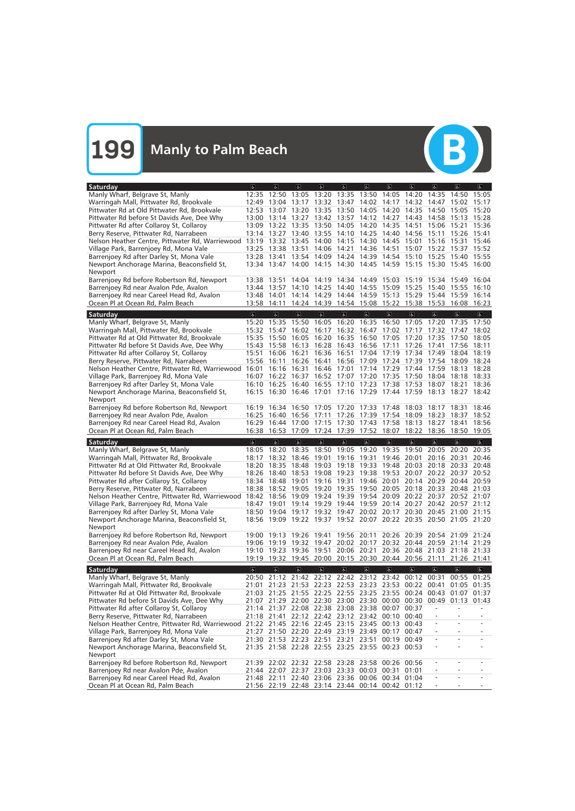

| Saturday                                                                            | $\sigma$                | $ \mathbf{r} $          | $\overline{a}$                                                                               | $\omega$                         | $\sigma$                | 6                                            | $\sigma$                | $\sigma$                | $\sigma$                | $\left  \mathbf{r} \right $                     | $\overline{a}$          |
|-------------------------------------------------------------------------------------|-------------------------|-------------------------|----------------------------------------------------------------------------------------------|----------------------------------|-------------------------|----------------------------------------------|-------------------------|-------------------------|-------------------------|-------------------------------------------------|-------------------------|
| Manly Wharf, Belgrave St, Manly                                                     | 12:35                   | 12:50                   | 13:05 13:20 13:35 13:50 14:05                                                                |                                  |                         |                                              |                         | 14:20                   | 14:35                   | 14:50                                           | 15:05                   |
| Warringah Mall, Pittwater Rd, Brookvale                                             |                         | 12:49 13:04 13:17       |                                                                                              |                                  |                         | 13:32 13:47 14:02 14:17                      |                         | 14:32                   | 14:47                   | 15:02                                           | 15:17                   |
| Pittwater Rd at Old Pittwater Rd, Brookvale                                         | 12:53                   | 13:07 13:20             |                                                                                              | 13:35                            | 13:50                   | 14:05                                        | 14:20                   | 14:35                   | 14:50                   | 15:05                                           | 15:20                   |
| Pittwater Rd before St Davids Ave, Dee Why                                          |                         | 13:00 13:14 13:27       |                                                                                              | 13:42 13:57                      |                         | 14:12 14:27                                  |                         | 14:43                   | 14:58                   | 15:13                                           | 15:28                   |
| Pittwater Rd after Collaroy St, Collaroy                                            |                         | 13:09 13:22 13:35       |                                                                                              |                                  |                         | 13:50 14:05 14:20 14:35                      |                         | 14:51                   | 15:06                   | 15:21                                           | 15:36                   |
| Berry Reserve, Pittwater Rd, Narrabeen                                              |                         | 13:14 13:27             | 13:40                                                                                        | 13:55                            |                         | 14:10 14:25 14:40                            |                         | 14:56                   | 15:11                   | 15:26 15:41                                     |                         |
| Nelson Heather Centre, Pittwater Rd, Warriewood                                     | 13:19 13:32             |                         | 13:45                                                                                        | 14:00                            |                         | 14:15 14:30 14:45                            |                         | 15:01                   | 15:16                   | 15:31                                           | 15:46                   |
| Village Park, Barrenjoey Rd, Mona Vale                                              |                         | 13:25 13:38 13:51       |                                                                                              |                                  |                         | 14:06 14:21 14:36 14:51                      |                         | 15:07                   |                         | 15:22 15:37 15:52                               |                         |
| Barrenjoey Rd after Darley St, Mona Vale                                            |                         |                         | 13:28 13:41 13:54 14:09 14:24 14:39 14:54 15:10 15:25                                        |                                  |                         |                                              |                         |                         |                         | 15:40 15:55                                     |                         |
| Newport Anchorage Marina, Beaconsfield St,                                          |                         |                         | 13:34 13:47 14:00 14:15 14:30 14:45 14:59 15:15 15:30 15:45 16:00                            |                                  |                         |                                              |                         |                         |                         |                                                 |                         |
| Newport                                                                             |                         |                         |                                                                                              |                                  |                         |                                              |                         |                         |                         |                                                 |                         |
| Barrenjoey Rd before Robertson Rd, Newport                                          |                         | 13:38 13:51             | 14:04                                                                                        |                                  |                         | 14:19 14:34 14:49 15:03 15:19                |                         |                         |                         | 15:34 15:49 16:04                               |                         |
| Barrenjoey Rd near Avalon Pde, Avalon                                               |                         | 13:44 13:57<br>14:01    | 14:10<br>14:14                                                                               | 14:25                            |                         | 14:40 14:55 15:09 15:25<br>14:44 14:59 15:13 |                         | 15:29                   | 15:40<br>15:44          | 15:55                                           | 16:10                   |
| Barrenjoey Rd near Careel Head Rd, Avalon                                           | 13:48<br>13:58 14:11    |                         |                                                                                              | 14:29                            |                         | 14:24 14:39 14:54 15:08 15:22 15:38          |                         |                         | 15:53                   | 15:59<br>16:08                                  | 16:14<br>16:23          |
| Ocean Pl at Ocean Rd, Palm Beach                                                    |                         |                         |                                                                                              |                                  |                         |                                              |                         |                         |                         |                                                 |                         |
| Saturday                                                                            | $\overline{\mathbf{c}}$ | $\sigma$                | $\overline{\mathbf{c}}$                                                                      | $\overline{a}$                   | $\overline{d}$          | $\overline{b}$                               | $\sigma$                | $\overline{\mathbf{c}}$ | $\overline{\mathbf{r}}$ | $\overline{a}$                                  | $\sigma$                |
| Manly Wharf, Belgrave St, Manly                                                     |                         |                         | 15:20 15:35 15:50 16:05 16:20 16:35 16:50 17:05 17:20                                        |                                  |                         |                                              |                         |                         |                         | 17:35 17:50                                     |                         |
| Warringah Mall, Pittwater Rd, Brookvale                                             | 15:32                   | 15:47                   | 16:02                                                                                        | 16:17                            | 16:32 16:47             |                                              | 17:02                   | 17:17                   | 17:32                   | 17:47                                           | 18:02                   |
| Pittwater Rd at Old Pittwater Rd, Brookvale                                         |                         | 15:35 15:50             | 16:05                                                                                        | 16:20                            |                         | 16:35 16:50 17:05                            |                         | 17:20                   | 17:35                   | 17:50                                           | 18:05                   |
| Pittwater Rd before St Davids Ave, Dee Why                                          |                         | 15:43 15:58             | 16:13                                                                                        | 16:28                            | 16:43                   | 16:56 17:11                                  |                         | 17:26                   | 17:41                   | 17:56                                           | 18:11                   |
| Pittwater Rd after Collaroy St, Collaroy                                            | 15:51                   | 16:06                   | 16:21                                                                                        | 16:36                            | 16:51                   | 17:04 17:19                                  |                         | 17:34                   | 17:49                   | 18:04                                           | 18:19                   |
| Berry Reserve, Pittwater Rd, Narrabeen                                              | 15:56                   | 16:11                   | 16:26                                                                                        | 16:41                            | 16:56                   | 17:09 17:24 17:39                            |                         |                         | 17:54                   | 18:09                                           | 18:24                   |
| Nelson Heather Centre, Pittwater Rd, Warriewood                                     | 16:01                   | 16:16                   | 16:31                                                                                        |                                  |                         | 16:46 17:01 17:14 17:29                      |                         | 17:44                   | 17:59                   | 18:13                                           | 18:28                   |
| Village Park, Barrenjoey Rd, Mona Vale                                              | 16:07                   | 16:22                   | 16:37                                                                                        |                                  |                         | 16:52 17:07 17:20 17:35                      |                         | 17:50                   | 18:04                   | 18:18                                           | 18:33                   |
| Barrenjoey Rd after Darley St, Mona Vale                                            |                         | 16:10 16:25             | 16:40                                                                                        |                                  |                         | 16:55 17:10 17:23 17:38 17:53                |                         |                         | 18:07                   | 18:21                                           | 18:36                   |
| Newport Anchorage Marina, Beaconsfield St,                                          |                         |                         | 16:15 16:30 16:46 17:01 17:16 17:29 17:44 17:59 18:13 18:27 18:42                            |                                  |                         |                                              |                         |                         |                         |                                                 |                         |
| Newport                                                                             |                         | 16:19 16:34             | 16:50                                                                                        |                                  | 17:05 17:20             | 17:33 17:48                                  |                         | 18:03                   | 18:17                   |                                                 | 18:46                   |
| Barrenjoey Rd before Robertson Rd, Newport<br>Barrenjoey Rd near Avalon Pde, Avalon |                         | 16:25 16:40             | 16:56                                                                                        | 17:11                            | 17:26                   | 17:39 17:54 18:09                            |                         |                         | 18:23                   | 18:31<br>18:37                                  | 18:52                   |
| Barrenjoey Rd near Careel Head Rd, Avalon                                           |                         | 16:29 16:44             | 17:00                                                                                        | 17:15                            | 17:30                   | 17:43                                        | 17:58                   | 18:13                   | 18:27                   | 18:41                                           | 18:56                   |
| Ocean Pl at Ocean Rd, Palm Beach                                                    |                         | 16:38 16:53             | 17:09                                                                                        |                                  |                         | 17:24 17:39 17:52 18:07                      |                         | 18:22                   | 18:36                   | 18:50                                           | 19:05                   |
|                                                                                     |                         |                         |                                                                                              |                                  |                         |                                              |                         |                         |                         |                                                 |                         |
|                                                                                     |                         |                         |                                                                                              |                                  |                         |                                              |                         |                         |                         |                                                 |                         |
| <b>Saturday</b>                                                                     | $\overline{\mathbf{g}}$ | $\overline{6}$          | $\overline{\mathbf{g}}$                                                                      | $\overline{\mathbb{G}}$          | $\overline{d}$          | $\overline{b}$                               | $\overline{\mathbf{b}}$ | $\overline{\mathbb{C}}$ | $\overline{\mathbf{e}}$ | $\overline{6}$                                  | $\overline{\mathbf{g}}$ |
| Manly Wharf, Belgrave St, Manly                                                     | 18:05                   | 18:20                   | 18:35                                                                                        |                                  |                         |                                              |                         |                         |                         | 18:50 19:05 19:20 19:35 19:50 20:05 20:20 20:35 |                         |
| Warringah Mall, Pittwater Rd, Brookvale                                             | 18:17                   | 18:32                   | 18:46                                                                                        | 19:01                            | 19:16 19:31             |                                              | 19:46                   | 20:01                   | 20:16 20:31             |                                                 | 20:46                   |
| Pittwater Rd at Old Pittwater Rd, Brookvale                                         |                         | 18:20 18:35             | 18:48                                                                                        | 19:03                            | 19:18 19:33             |                                              | 19:48                   | 20:03                   |                         | 20:18 20:33                                     | 20:48                   |
| Pittwater Rd before St Davids Ave, Dee Why                                          | 18:26                   | 18:40                   | 18:53                                                                                        | 19:08                            |                         | 19:23 19:38 19:53                            |                         | 20:07                   |                         | 20:22 20:37                                     | 20:52                   |
| Pittwater Rd after Collaroy St, Collaroy                                            |                         |                         | 18:34 18:48 19:01 19:16 19:31 19:46 20:01 20:14 20:29 20:44 20:59                            |                                  |                         |                                              |                         |                         |                         |                                                 |                         |
| Berry Reserve, Pittwater Rd, Narrabeen                                              | 18:38                   |                         | 18:52 19:05 19:20 19:35 19:50 20:05 20:18 20:33 20:48 21:03                                  |                                  |                         |                                              |                         |                         |                         |                                                 |                         |
| Nelson Heather Centre, Pittwater Rd, Warriewood                                     |                         |                         | 18:42 18:56 19:09 19:24 19:39 19:54 20:09 20:22 20:37 20:52 21:07                            |                                  |                         |                                              |                         |                         |                         |                                                 |                         |
| Village Park, Barrenjoey Rd, Mona Vale                                              |                         |                         | 18:47 19:01 19:14 19:29 19:44 19:59 20:14 20:27 20:42 20:57 21:12                            |                                  |                         |                                              |                         |                         |                         |                                                 |                         |
| Barrenjoey Rd after Darley St, Mona Vale                                            |                         |                         | 18:50 19:04 19:17 19:32 19:47 20:02 20:17 20:30 20:45 21:00 21:15                            |                                  |                         |                                              |                         |                         |                         |                                                 |                         |
| Newport Anchorage Marina, Beaconsfield St,                                          |                         |                         | 18:56 19:09 19:22 19:37 19:52 20:07 20:22 20:35 20:50 21:05 21:20                            |                                  |                         |                                              |                         |                         |                         |                                                 |                         |
| Newport                                                                             |                         |                         |                                                                                              |                                  |                         |                                              |                         |                         |                         |                                                 |                         |
| Barrenjoey Rd before Robertson Rd, Newport                                          |                         |                         | 19:00 19:13 19:26 19:41 19:56 20:11 20:26 20:39 20:54 21:09 21:24                            |                                  |                         |                                              |                         |                         |                         |                                                 |                         |
| Barrenjoey Rd near Avalon Pde, Avalon                                               |                         |                         | 19:06 19:19 19:32 19:47 20:02 20:17 20:32 20:44 20:59 21:14 21:29                            |                                  |                         |                                              |                         |                         |                         |                                                 |                         |
| Barrenjoey Rd near Careel Head Rd, Avalon                                           |                         |                         | 19:10 19:23 19:36 19:51 20:06 20:21 20:36 20:48 21:03 21:18 21:33                            |                                  |                         |                                              |                         |                         |                         |                                                 |                         |
| Ocean Pl at Ocean Rd, Palm Beach                                                    |                         |                         | 19:19 19:32 19:45 20:00 20:15 20:30 20:44 20:56 21:11 21:26 21:41                            |                                  |                         |                                              |                         |                         |                         |                                                 |                         |
| Saturday                                                                            | $\overline{\mathbf{a}}$ | $\overline{\mathbf{c}}$ | $\overline{6}$                                                                               | $\left\vert \varphi \right\vert$ | $\overline{\mathbf{e}}$ | $\left\vert \phi \right\rangle$              | $\overline{\mathbf{g}}$ | $\overline{6}$          | $\overline{a}$          | $\overline{\mathbf{r}}$                         | $\overline{\mathbf{e}}$ |
| Manly Wharf, Belgrave St, Manly                                                     | 20:50                   |                         | 21:12 21:42                                                                                  |                                  |                         | 22:12 22:42 23:12 23:42                      |                         | 00:12                   | 00:31                   | 00:55                                           | 01:25                   |
| Warringah Mall, Pittwater Rd, Brookvale                                             | 21:01                   |                         | 21:23 21:53 22:23 22:53 23:23 23:53 00:22                                                    |                                  |                         |                                              |                         |                         | 00:41                   | 01:05 01:35                                     |                         |
| Pittwater Rd at Old Pittwater Rd, Brookvale                                         |                         |                         | 21:03 21:25 21:55 22:25 22:55 23:25 23:55 00:24                                              |                                  |                         |                                              |                         |                         |                         | 00:43 01:07 01:37                               |                         |
| Pittwater Rd before St Davids Ave, Dee Why                                          |                         |                         | 21:07 21:29 22:00 22:30 23:00 23:30 00:00 00:30                                              |                                  |                         |                                              |                         |                         |                         | 00:49 01:13 01:43                               |                         |
| Pittwater Rd after Collaroy St, Collaroy                                            |                         |                         | 21:14 21:37 22:08 22:38 23:08 23:38 00:07                                                    |                                  |                         |                                              |                         | 00:37                   |                         |                                                 |                         |
| Berry Reserve, Pittwater Rd, Narrabeen                                              |                         |                         | 21:18 21:41 22:12 22:42 23:12 23:42 00:10                                                    |                                  |                         |                                              |                         | 00:40                   |                         |                                                 |                         |
| Nelson Heather Centre, Pittwater Rd, Warriewood                                     |                         |                         | 21:22 21:45 22:16 22:45 23:15 23:45 00:13 00:43                                              |                                  |                         |                                              |                         |                         |                         |                                                 |                         |
| Village Park, Barrenjoey Rd, Mona Vale                                              |                         |                         | 21:27 21:50 22:20 22:49 23:19 23:49 00:17                                                    |                                  |                         |                                              |                         | 00:47                   |                         |                                                 |                         |
| Barrenjoey Rd after Darley St, Mona Vale                                            |                         |                         | 21:30 21:53 22:23 22:51 23:21 23:51 00:19                                                    |                                  |                         |                                              |                         | 00:49                   |                         |                                                 |                         |
| Newport Anchorage Marina, Beaconsfield St,                                          |                         |                         | 21:35 21:58 22:28 22:55 23:25 23:55 00:23 00:53                                              |                                  |                         |                                              |                         |                         |                         |                                                 |                         |
| Newport                                                                             |                         |                         |                                                                                              |                                  |                         |                                              |                         |                         | ä,                      |                                                 |                         |
| Barrenjoey Rd before Robertson Rd, Newport                                          |                         |                         | 21:39 22:02 22:32 22:58 23:28 23:58 00:26 00:56                                              |                                  |                         |                                              |                         |                         |                         |                                                 |                         |
| Barrenjoey Rd near Avalon Pde, Avalon<br>Barrenjoey Rd near Careel Head Rd, Avalon  |                         |                         | 21:44 22:07 22:37 23:03 23:33 00:03 00:31<br>21:48 22:11 22:40 23:06 23:36 00:06 00:34 01:04 |                                  |                         |                                              |                         | 01:01                   |                         |                                                 |                         |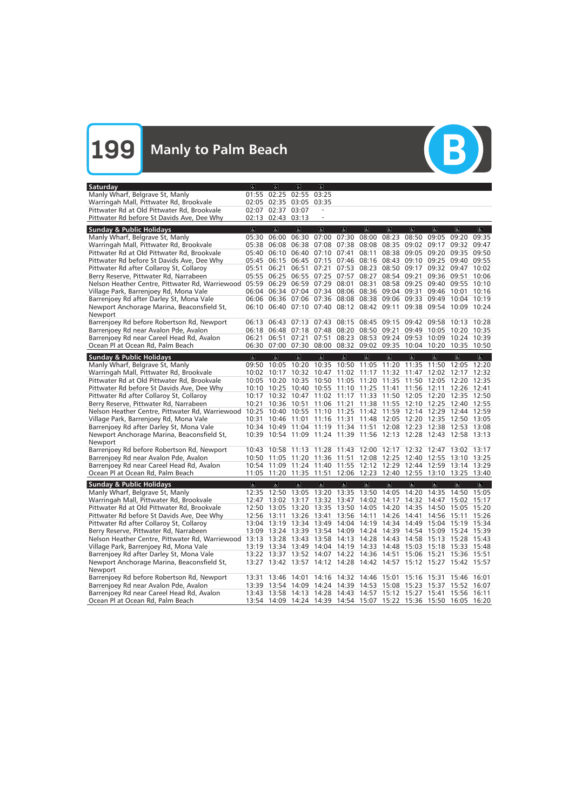

| <b>Saturday</b>                                                                           | $\sigma$            | ۱d                                                    | と                                         | $\sigma$                |                |                                     |                |                |                         |                                                                   |                         |
|-------------------------------------------------------------------------------------------|---------------------|-------------------------------------------------------|-------------------------------------------|-------------------------|----------------|-------------------------------------|----------------|----------------|-------------------------|-------------------------------------------------------------------|-------------------------|
| Manly Wharf, Belgrave St, Manly                                                           | 01:55               | 02:25                                                 | 02:55 03:25                               |                         |                |                                     |                |                |                         |                                                                   |                         |
| Warringah Mall, Pittwater Rd, Brookvale                                                   | 02:05               | 02:35                                                 | 03:05                                     | 03:35                   |                |                                     |                |                |                         |                                                                   |                         |
| Pittwater Rd at Old Pittwater Rd, Brookvale                                               | 02:07               | 02:37 03:07                                           |                                           |                         |                |                                     |                |                |                         |                                                                   |                         |
| Pittwater Rd before St Davids Ave, Dee Why                                                | 02:13               | 02:43                                                 | 03:13                                     |                         |                |                                     |                |                |                         |                                                                   |                         |
| <b>Sunday &amp; Public Holidays</b>                                                       | $\overline{\sigma}$ | $\overline{6}$                                        | $\overline{a}$                            | $\overline{\mathbb{C}}$ | $\overline{6}$ | $\overline{6}$                      | $\overline{a}$ | $\overline{6}$ | $\overline{\mathbf{c}}$ | $\overline{\sigma}$                                               | $\overline{\mathbf{r}}$ |
| Manly Wharf, Belgrave St, Manly                                                           | 05:30               | 06:00                                                 | 06:30                                     | 07:00                   | 07:30          | 08:00                               | 08:23          | 08:50          | 09:05                   | 09:20                                                             | 09:35                   |
| Warringah Mall, Pittwater Rd, Brookvale                                                   | 05:38               | 06:08                                                 | 06:38                                     | 07:08                   | 07:38          | 08:08                               | 08:35          | 09:02          | 09:17                   | 09:32                                                             | 09:47                   |
| Pittwater Rd at Old Pittwater Rd, Brookvale                                               | 05:40               | 06:10                                                 | 06:40                                     | 07:10 07:41             |                | 08:11                               | 08:38          | 09:05          | 09:20                   | 09:35                                                             | 09:50                   |
| Pittwater Rd before St Davids Ave, Dee Why                                                |                     | 05:45 06:15                                           |                                           |                         |                | 06:45 07:15 07:46 08:16 08:43       |                |                |                         | 09:10 09:25 09:40                                                 | 09:55                   |
| Pittwater Rd after Collaroy St, Collaroy                                                  | 05:51               | 06:21                                                 | 06:51                                     | 07:21                   | 07:53          | 08:23                               | 08:50          | 09:17          | 09:32 09:47             |                                                                   | 10:02                   |
| Berry Reserve, Pittwater Rd, Narrabeen                                                    | 05:55               | 06:25                                                 | 06:55                                     | 07:25 07:57             |                | 08:27                               | 08:54          | 09:21          | 09:36 09:51             |                                                                   | 10:06                   |
|                                                                                           |                     | 06:29                                                 |                                           | 06:59 07:29             | 08:01          | 08:31                               | 08:58 09:25    |                | 09:40                   | 09:55                                                             | 10:10                   |
| Nelson Heather Centre, Pittwater Rd, Warriewood 05:59                                     |                     |                                                       |                                           |                         |                |                                     |                |                |                         |                                                                   |                         |
| Village Park, Barrenjoey Rd, Mona Vale                                                    |                     | 06:04 06:34 07:04 07:34 08:06 08:36 09:04 09:31       |                                           |                         |                |                                     |                |                | 09:46                   | 10:01<br>10:04 10:19                                              | 10:16                   |
| Barrenjoey Rd after Darley St, Mona Vale                                                  |                     | 06:06 06:36 07:06 07:36 08:08 08:38 09:06 09:33 09:49 |                                           |                         |                |                                     |                |                |                         |                                                                   |                         |
| Newport Anchorage Marina, Beaconsfield St,                                                |                     |                                                       |                                           |                         |                |                                     |                |                |                         | 06:10 06:40 07:10 07:40 08:12 08:42 09:11 09:38 09:54 10:09 10:24 |                         |
| Newport                                                                                   |                     |                                                       |                                           |                         |                |                                     |                |                |                         |                                                                   |                         |
| Barrenjoey Rd before Robertson Rd, Newport                                                | 06:13               | 06:43                                                 | 07:13                                     |                         |                | 07:43 08:15 08:45 09:15 09:42 09:58 |                |                |                         | $10:13$ $10:28$                                                   |                         |
| Barrenjoey Rd near Avalon Pde, Avalon                                                     |                     | 06:18 06:48 07:18 07:48 08:20 08:50 09:21             |                                           |                         |                |                                     |                | 09:49          | 10:05                   | 10:20 10:35                                                       |                         |
| Barrenjoey Rd near Careel Head Rd, Avalon                                                 | 06:21               | 06:51                                                 | 07:21                                     | 07:51                   |                | 08:23 08:53 09:24                   |                | 09:53          | 10:09                   | 10:24 10:39                                                       |                         |
| Ocean Pl at Ocean Rd, Palm Beach                                                          |                     | 06:30 07:00                                           | 07:30 08:00 08:32 09:02 09:35 10:04 10:20 |                         |                |                                     |                |                |                         | 10:35 10:50                                                       |                         |
| <b>Sunday &amp; Public Holidays</b>                                                       | $\sigma$            | $\sigma$                                              | $\mathbf{g}$                              | $ \mathbf{r} $          | $\sigma$       | $\sigma$                            | $\sigma$       | $\sigma$       | $\overline{a}$          | $\overline{a}$                                                    | $\overline{a}$          |
| Manly Wharf, Belgrave St, Manly                                                           |                     | 09:50 10:05                                           | 10:20                                     | 10:35                   |                | 10:50 11:05 11:20                   |                | 11:35          | 11:50                   | 12:05                                                             | 12:20                   |
| Warringah Mall, Pittwater Rd, Brookvale                                                   |                     | 10:02 10:17                                           | 10:32                                     | 10:47                   |                | 11:02 11:17 11:32                   |                | 11:47          | 12:02                   | 12:17                                                             | 12:32                   |
| Pittwater Rd at Old Pittwater Rd, Brookvale                                               |                     | 10:05 10:20                                           |                                           | 10:35 10:50             |                | 11:05 11:20 11:35                   |                | 11:50          | 12:05                   | 12:20 12:35                                                       |                         |
| Pittwater Rd before St Davids Ave, Dee Why                                                |                     | 10:10 10:25                                           |                                           |                         |                | 10:40 10:55 11:10 11:25 11:41       |                | 11:56          | 12:11                   | 12:26 12:41                                                       |                         |
| Pittwater Rd after Collaroy St, Collaroy                                                  |                     | 10:17 10:32                                           | 10:47                                     |                         |                | 11:02 11:17 11:33 11:50 12:05       |                |                | 12:20                   | 12:35 12:50                                                       |                         |
| Berry Reserve, Pittwater Rd, Narrabeen                                                    | 10:21               | 10:36                                                 | 10:51                                     |                         |                | 11:06 11:21 11:38 11:55 12:10       |                |                | 12:25                   | 12:40 12:55                                                       |                         |
| Nelson Heather Centre, Pittwater Rd, Warriewood                                           |                     | 10:25 10:40                                           | 10:55                                     | 11:10                   |                | 11:25 11:42 11:59 12:14             |                |                | 12:29                   | 12:44 12:59                                                       |                         |
| Village Park, Barrenjoey Rd, Mona Vale                                                    | 10:31               | 10:46                                                 | 11:01                                     | 11:16                   | 11:31          | 11:48                               | 12:05          | 12:20          | 12:35                   | 12:50 13:05                                                       |                         |
| Barrenjoey Rd after Darley St, Mona Vale                                                  |                     | 10:34 10:49 11:04                                     |                                           | 11:19                   | 11:34 11:51    |                                     | 12:08 12:23    |                | 12:38                   | 12:53                                                             | 13:08                   |
| Newport Anchorage Marina, Beaconsfield St,                                                | 10:39               | 10:54 11:09 11:24 11:39 11:56 12:13 12:28             |                                           |                         |                |                                     |                |                |                         | 12:43 12:58 13:13                                                 |                         |
| Newport                                                                                   |                     |                                                       |                                           |                         |                |                                     |                |                |                         |                                                                   |                         |
| Barrenjoey Rd before Robertson Rd, Newport                                                | 10:43               | 10:58                                                 | 11:13                                     | 11:28                   | 11:43          | 12:00                               | 12:17          | 12:32          | 12:47                   | 13:02                                                             | 13:17                   |
| Barrenjoey Rd near Avalon Pde, Avalon                                                     |                     | 10:50 11:05                                           | 11:20                                     | 11:36                   | 11:51          | 12:08                               | 12:25          | 12:40          | 12:55                   | 13:10 13:25                                                       |                         |
| Barrenjoey Rd near Careel Head Rd, Avalon                                                 | 10:54               | 11:09                                                 | 11:24                                     | 11:40                   |                | 11:55 12:12 12:29                   |                | 12:44          | 12:59                   | 13:14                                                             | 13:29                   |
| Ocean Pl at Ocean Rd, Palm Beach                                                          | 11:05               | 11:20                                                 |                                           |                         |                | 11:35 11:51 12:06 12:23 12:40 12:55 |                |                | 13:10                   | 13:25 13:40                                                       |                         |
|                                                                                           | $\overline{a}$      | $\sigma$                                              | E                                         | $ \mathbf{P} $          | a              | a                                   | $\sigma$       | $\Delta$       | $\vert$                 | $ \mathbf{e} $                                                    | $\sigma$                |
| <b>Sunday &amp; Public Holidays</b><br>Manly Wharf, Belgrave St, Manly                    |                     |                                                       |                                           |                         |                |                                     |                |                |                         | 12:35 12:50 13:05 13:20 13:35 13:50 14:05 14:20 14:35 14:50 15:05 |                         |
| Warringah Mall, Pittwater Rd, Brookvale                                                   |                     |                                                       |                                           |                         |                |                                     |                |                |                         | 12:47 13:02 13:17 13:32 13:47 14:02 14:17 14:32 14:47 15:02 15:17 |                         |
|                                                                                           |                     |                                                       |                                           |                         |                |                                     |                |                |                         | 12:50 13:05 13:20 13:35 13:50 14:05 14:20 14:35 14:50 15:05 15:20 |                         |
| Pittwater Rd at Old Pittwater Rd, Brookvale<br>Pittwater Rd before St Davids Ave, Dee Why |                     | 12:56 13:11 13:26 13:41 13:56 14:11 14:26 14:41       |                                           |                         |                |                                     |                |                |                         |                                                                   |                         |
|                                                                                           |                     |                                                       |                                           |                         |                |                                     |                |                | 14:56 15:11             |                                                                   | 15:26                   |
| Pittwater Rd after Collaroy St, Collaroy                                                  |                     |                                                       |                                           |                         |                |                                     |                |                |                         | 13:04 13:19 13:34 13:49 14:04 14:19 14:34 14:49 15:04 15:19 15:34 |                         |
| Berry Reserve, Pittwater Rd, Narrabeen                                                    |                     |                                                       |                                           |                         |                |                                     |                |                |                         | 13:09 13:24 13:39 13:54 14:09 14:24 14:39 14:54 15:09 15:24 15:39 |                         |
| Nelson Heather Centre, Pittwater Rd, Warriewood                                           |                     |                                                       |                                           |                         |                |                                     |                |                |                         | 13:13 13:28 13:43 13:58 14:13 14:28 14:43 14:58 15:13 15:28 15:43 |                         |
| Village Park, Barrenjoey Rd, Mona Vale                                                    |                     |                                                       |                                           |                         |                |                                     |                |                |                         | 13:19 13:34 13:49 14:04 14:19 14:33 14:48 15:03 15:18 15:33 15:48 |                         |
| Barrenjoey Rd after Darley St, Mona Vale                                                  |                     | 13:22 13:37 13:52 14:07 14:22 14:36 14:51 15:06 15:21 |                                           |                         |                |                                     |                |                |                         | 15:36 15:51                                                       |                         |
| Newport Anchorage Marina, Beaconsfield St,                                                |                     |                                                       |                                           |                         |                |                                     |                |                |                         | 13:27 13:42 13:57 14:12 14:28 14:42 14:57 15:12 15:27 15:42 15:57 |                         |
| Newport                                                                                   |                     |                                                       |                                           |                         |                |                                     |                |                |                         |                                                                   |                         |
| Barrenjoey Rd before Robertson Rd, Newport                                                |                     | 13:31 13:46 14:01                                     |                                           |                         |                | 14:16 14:32 14:46 15:01 15:16 15:31 |                |                |                         | 15:46 16:01                                                       |                         |
| Barrenjoey Rd near Avalon Pde, Avalon                                                     |                     |                                                       |                                           |                         |                |                                     |                |                |                         | 13:39 13:54 14:09 14:24 14:39 14:53 15:08 15:23 15:37 15:52 16:07 |                         |
| Barrenjoey Rd near Careel Head Rd, Avalon                                                 |                     | 13:43 13:58 14:13 14:28 14:43 14:57 15:12 15:27 15:41 |                                           |                         |                |                                     |                |                |                         | 15:56 16:11                                                       |                         |
| Ocean Pl at Ocean Rd, Palm Beach                                                          |                     |                                                       |                                           |                         |                |                                     |                |                |                         | 13:54 14:09 14:24 14:39 14:54 15:07 15:22 15:36 15:50 16:05 16:20 |                         |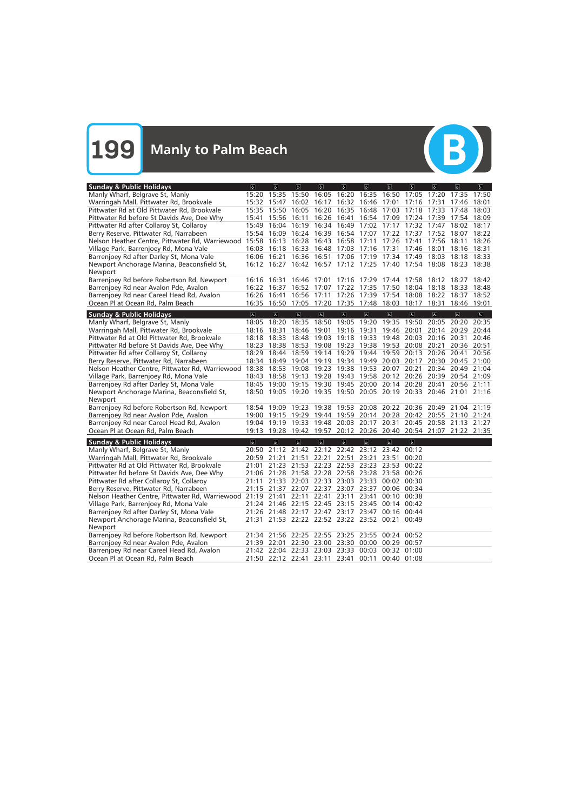

| <b>Sunday &amp; Public Holidays</b>                                                             | $\sigma$                | e                 | $\overline{a}$          | $\overline{a}$          | $\sigma$                                                          | $\sigma$                | $\sigma$                      | $\sigma$                | $\overline{a}$          | $\overline{a}$    | d              |
|-------------------------------------------------------------------------------------------------|-------------------------|-------------------|-------------------------|-------------------------|-------------------------------------------------------------------|-------------------------|-------------------------------|-------------------------|-------------------------|-------------------|----------------|
| Manly Wharf, Belgrave St, Manly                                                                 |                         | 15:20 15:35 15:50 |                         | 16:05                   | 16:20 16:35                                                       |                         | 16:50                         | 17:05                   | 17:20                   | 17:35             | 17:50          |
| Warringah Mall, Pittwater Rd, Brookvale                                                         |                         | 15:32 15:47       | 16:02                   |                         | 16:17 16:32 16:46                                                 |                         | 17:01                         | 17:16                   | 17:31                   | 17:46             | 18:01          |
| Pittwater Rd at Old Pittwater Rd, Brookvale                                                     |                         | 15:35 15:50       | 16:05                   |                         | 16:20 16:35 16:48 17:03 17:18 17:33                               |                         |                               |                         |                         | 17:48             | 18:03          |
| Pittwater Rd before St Davids Ave, Dee Why                                                      | 15:41                   |                   | 15:56 16:11             |                         | 16:26 16:41 16:54 17:09 17:24 17:39                               |                         |                               |                         |                         | 17:54 18:09       |                |
| Pittwater Rd after Collaroy St, Collaroy                                                        |                         |                   |                         |                         | 15:49 16:04 16:19 16:34 16:49 17:02 17:17 17:32                   |                         |                               |                         | 17:47                   | 18:02             | 18:17          |
| Berry Reserve, Pittwater Rd, Narrabeen                                                          |                         |                   | 15:54 16:09 16:24       |                         | 16:39 16:54 17:07 17:22 17:37                                     |                         |                               |                         | 17:52 18:07             |                   | 18:22          |
| Nelson Heather Centre, Pittwater Rd, Warriewood 15:58 16:13 16:28 16:43 16:58 17:11             |                         |                   |                         |                         |                                                                   |                         | 17:26                         | 17:41                   | 17:56                   | 18:11             | 18:26          |
| Village Park, Barrenjoey Rd, Mona Vale                                                          |                         | 16:03 16:18 16:33 |                         |                         | 16:48 17:03 17:16 17:31 17:46                                     |                         |                               |                         | 18:01                   | 18:16             | 18:31          |
| Barrenjoey Rd after Darley St, Mona Vale                                                        |                         |                   |                         |                         | 16:06 16:21 16:36 16:51 17:06 17:19 17:34 17:49                   |                         |                               |                         | 18:03                   | 18:18             | 18:33          |
| Newport Anchorage Marina, Beaconsfield St,                                                      |                         |                   |                         |                         | 16:12 16:27 16:42 16:57 17:12 17:25 17:40 17:54 18:08 18:23 18:38 |                         |                               |                         |                         |                   |                |
| Newport                                                                                         |                         |                   |                         |                         |                                                                   |                         |                               |                         |                         |                   |                |
| Barrenjoey Rd before Robertson Rd, Newport                                                      |                         | 16:16 16:31       | 16:46                   |                         | 17:01 17:16 17:29 17:44 17:58                                     |                         |                               |                         |                         | 18:12 18:27       | 18:42          |
| Barrenjoey Rd near Avalon Pde, Avalon                                                           |                         | 16:22 16:37       |                         |                         | 16:52 17:07 17:22 17:35 17:50 18:04 18:18 18:33                   |                         |                               |                         |                         |                   | 18:48          |
| Barrenjoey Rd near Careel Head Rd, Avalon                                                       |                         | 16:26 16:41       |                         |                         | 16:56 17:11 17:26 17:39 17:54 18:08                               |                         |                               |                         |                         | 18:22 18:37       | 18:52          |
| Ocean Pl at Ocean Rd, Palm Beach                                                                |                         |                   |                         |                         | 16:35 16:50 17:05 17:20 17:35 17:48 18:03 18:17                   |                         |                               |                         | 18:31                   | 18:46 19:01       |                |
|                                                                                                 |                         |                   |                         |                         |                                                                   |                         |                               |                         |                         |                   |                |
| <b>Sunday &amp; Public Holidays</b>                                                             | $\overline{\mathbf{c}}$ | $\overline{a}$    | $\overline{\mathbf{c}}$ | $\overline{\mathbf{e}}$ | $\overline{d}$                                                    | $\overline{6}$          | $\overline{\mathbf{c}}$       | $\overline{\mathbf{c}}$ | $\overline{\infty}$     | $\sigma$          | $\overline{a}$ |
| Manly Wharf, Belgrave St, Manly                                                                 | 18:05                   | 18:20             | 18:35                   | 18:50                   | 19:05 19:20 19:35                                                 |                         |                               | 19:50                   |                         | 20:05 20:20       | 20:35          |
| Warringah Mall, Pittwater Rd, Brookvale                                                         |                         | 18:16 18:31       | 18:46                   | 19:01                   |                                                                   |                         | 19:16 19:31 19:46 20:01       |                         |                         | 20:14 20:29 20:44 |                |
| Pittwater Rd at Old Pittwater Rd, Brookvale                                                     |                         | 18:18 18:33       | 18:48                   |                         | 19:03 19:18 19:33 19:48 20:03                                     |                         |                               |                         | 20:16 20:31             |                   | 20:46          |
| Pittwater Rd before St Davids Ave, Dee Why                                                      |                         | 18:23 18:38 18:53 |                         |                         | 19:08 19:23 19:38 19:53 20:08 20:21                               |                         |                               |                         |                         | 20:36 20:51       |                |
| Pittwater Rd after Collaroy St, Collaroy                                                        |                         | 18:29 18:44       |                         |                         | 18:59 19:14 19:29 19:44 19:59 20:13 20:26 20:41                   |                         |                               |                         |                         |                   | 20:56          |
| Berry Reserve, Pittwater Rd, Narrabeen                                                          |                         | 18:34 18:49       |                         |                         | 19:04 19:19 19:34 19:49                                           |                         | 20:03 20:17 20:30 20:45 21:00 |                         |                         |                   |                |
| Nelson Heather Centre, Pittwater Rd, Warriewood                                                 |                         |                   |                         |                         | 18:38 18:53 19:08 19:23 19:38 19:53 20:07 20:21                   |                         |                               |                         |                         | 20:34 20:49 21:04 |                |
| Village Park, Barrenjoey Rd, Mona Vale                                                          |                         |                   |                         |                         | 18:43 18:58 19:13 19:28 19:43 19:58 20:12 20:26 20:39 20:54 21:09 |                         |                               |                         |                         |                   |                |
| Barrenjoey Rd after Darley St, Mona Vale                                                        |                         |                   |                         |                         | 18:45 19:00 19:15 19:30 19:45 20:00 20:14 20:28 20:41             |                         |                               |                         |                         | 20:56 21:11       |                |
| Newport Anchorage Marina, Beaconsfield St,                                                      |                         |                   |                         |                         | 18:50 19:05 19:20 19:35 19:50 20:05 20:19 20:33 20:46 21:01 21:16 |                         |                               |                         |                         |                   |                |
| Newport                                                                                         |                         |                   |                         |                         |                                                                   |                         |                               |                         |                         |                   |                |
| Barrenjoey Rd before Robertson Rd, Newport                                                      | 18:54                   | 19:09 19:23       |                         |                         | 19:38 19:53 20:08 20:22 20:36 20:49 21:04                         |                         |                               |                         |                         |                   | 21:19          |
| Barrenjoey Rd near Avalon Pde, Avalon                                                           |                         | 19:00 19:15 19:29 |                         |                         | 19:44 19:59 20:14 20:28 20:42 20:55 21:10 21:24                   |                         |                               |                         |                         |                   |                |
| Barrenjoey Rd near Careel Head Rd, Avalon                                                       |                         | 19:04 19:19 19:33 |                         |                         | 19:48 20:03 20:17 20:31                                           |                         |                               |                         | 20:45 20:58 21:13 21:27 |                   |                |
| Ocean Pl at Ocean Rd, Palm Beach                                                                |                         |                   |                         |                         | 19:13 19:28 19:42 19:57 20:12 20:26 20:40 20:54 21:07 21:22 21:35 |                         |                               |                         |                         |                   |                |
|                                                                                                 |                         |                   |                         |                         |                                                                   |                         |                               |                         |                         |                   |                |
| <b>Sunday &amp; Public Holidays</b>                                                             | $\overline{\mathbf{c}}$ | $\sigma$          | $\overline{6}$          | $\overline{\mathbb{R}}$ | $\overline{d}$                                                    | $\overline{\mathbf{e}}$ | $\overline{a}$                | $\overline{\mathbf{g}}$ |                         |                   |                |
| Manly Wharf, Belgrave St, Manly                                                                 | 20:50                   |                   |                         |                         | 21:12 21:42 22:12 22:42 23:12 23:42                               |                         |                               | 00:12                   |                         |                   |                |
| Warringah Mall, Pittwater Rd, Brookvale                                                         | 20:59                   | 21:21             | 21:51                   | 22:21                   | 22:51                                                             | 23:21                   | 23:51                         | 00:20                   |                         |                   |                |
| Pittwater Rd at Old Pittwater Rd, Brookvale                                                     | 21:01                   |                   |                         |                         | 21:23 21:53 22:23 22:53 23:23                                     |                         | 23:53                         | 00:22                   |                         |                   |                |
| Pittwater Rd before St Davids Ave, Dee Why                                                      |                         |                   |                         |                         | 21:06 21:28 21:58 22:28 22:58 23:28 23:58                         |                         |                               | 00:26                   |                         |                   |                |
| Pittwater Rd after Collaroy St, Collaroy                                                        |                         |                   |                         |                         | 21:11 21:33 22:03 22:33 23:03 23:33 00:02                         |                         |                               | 00:30                   |                         |                   |                |
| Berry Reserve, Pittwater Rd, Narrabeen                                                          |                         |                   |                         |                         | 21:15 21:37 22:07 22:37 23:07 23:37 00:06 00:34                   |                         |                               |                         |                         |                   |                |
| Nelson Heather Centre, Pittwater Rd, Warriewood 21:19 21:41 22:11 22:41 23:11 23:41 00:10 00:38 |                         |                   |                         |                         |                                                                   |                         |                               |                         |                         |                   |                |
| Village Park, Barrenjoey Rd, Mona Vale                                                          |                         |                   |                         |                         | 21:24 21:46 22:15 22:45 23:15 23:45 00:14 00:42                   |                         |                               |                         |                         |                   |                |
| Barrenjoey Rd after Darley St, Mona Vale                                                        |                         |                   |                         |                         | 21:26 21:48 22:17 22:47 23:17 23:47 00:16 00:44                   |                         |                               |                         |                         |                   |                |
| Newport Anchorage Marina, Beaconsfield St,                                                      |                         |                   |                         |                         | 21:31 21:53 22:22 22:52 23:22 23:52 00:21                         |                         |                               | 00:49                   |                         |                   |                |
| Newport                                                                                         |                         |                   |                         |                         |                                                                   |                         |                               |                         |                         |                   |                |
| Barrenjoey Rd before Robertson Rd, Newport                                                      |                         |                   |                         |                         | 21:34 21:56 22:25 22:55 23:25 23:55 00:24 00:52                   |                         |                               |                         |                         |                   |                |
| Barrenjoey Rd near Avalon Pde, Avalon                                                           |                         |                   |                         |                         | 21:39 22:01 22:30 23:00 23:30 00:00 00:29 00:57                   |                         |                               |                         |                         |                   |                |
| Barrenjoey Rd near Careel Head Rd, Avalon                                                       |                         |                   |                         |                         | 21:42 22:04 22:33 23:03 23:33 00:03 00:32 01:00                   |                         |                               |                         |                         |                   |                |
| Ocean Pl at Ocean Rd, Palm Beach                                                                |                         |                   |                         |                         | 21:50 22:12 22:41 23:11 23:41 00:11 00:40 01:08                   |                         |                               |                         |                         |                   |                |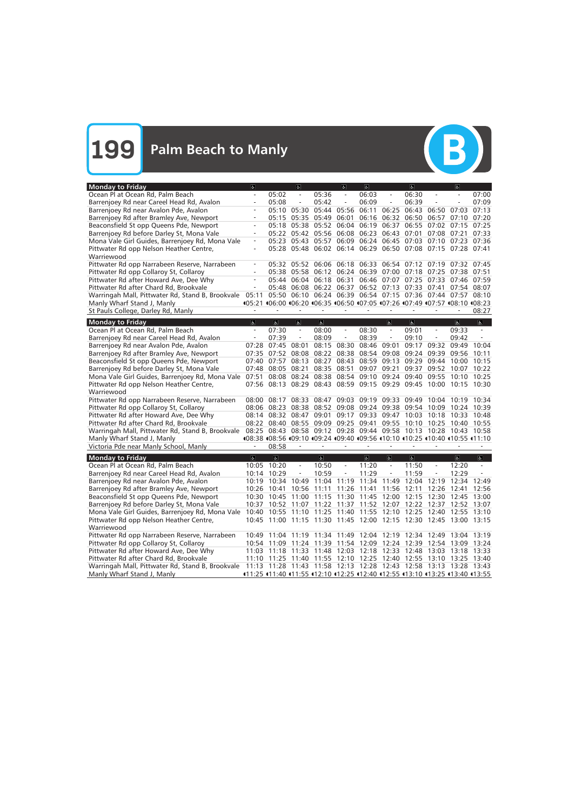(B)

| Ocean Pl at Ocean Rd, Palm Beach<br>05:02<br>06:03<br>05:36<br>06:30<br>$\overline{\phantom{a}}$<br>$\overline{\phantom{a}}$<br>$\overline{\phantom{a}}$<br>$\overline{\phantom{a}}$<br>$\overline{\phantom{a}}$<br>$\overline{\phantom{a}}$ | 07:00                                |
|----------------------------------------------------------------------------------------------------------------------------------------------------------------------------------------------------------------------------------------------|--------------------------------------|
|                                                                                                                                                                                                                                              |                                      |
| 05:08<br>05:42<br>06:09<br>06:39<br>Barrenjoey Rd near Careel Head Rd, Avalon<br>$\frac{1}{2}$<br>$\equiv$<br>-                                                                                                                              | 07:09                                |
| 05:10<br>05:30<br>05:44<br>05:56<br>06:11<br>06:25<br>06:43<br>06:50<br>07:03<br>Barrenjoey Rd near Avalon Pde, Avalon                                                                                                                       | 07:13                                |
| Barrenjoey Rd after Bramley Ave, Newport<br>05:35<br>05:49<br>06:01<br>06:16<br>06:32 06:50<br>06:57<br>07:10<br>05:15                                                                                                                       | 07:20                                |
| Beaconsfield St opp Queens Pde, Newport<br>05:18 05:38 05:52<br>06:04 06:19<br>06:37<br>06:55 07:02 07:15                                                                                                                                    | 07:25                                |
| Barrenjoey Rd before Darley St, Mona Vale<br>05:22 05:42<br>05:56 06:08 06:23 06:43 07:01<br>07:08 07:21                                                                                                                                     | 07:33                                |
| 05:57 06:09 06:24 06:45 07:03 07:10 07:23<br>Mona Vale Girl Guides, Barrenjoey Rd, Mona Vale<br>05:23 05:43<br>$\equiv$                                                                                                                      | 07:36                                |
| 05:28 05:48 06:02 06:14 06:29 06:50 07:08 07:15 07:28 07:41<br>Pittwater Rd opp Nelson Heather Centre,                                                                                                                                       |                                      |
|                                                                                                                                                                                                                                              |                                      |
| Warriewood                                                                                                                                                                                                                                   |                                      |
| Pittwater Rd opp Narrabeen Reserve, Narrabeen<br>06:06 06:18 06:33 06:54 07:12 07:19 07:32 07:45<br>05:32 05:52                                                                                                                              |                                      |
| Pittwater Rd opp Collaroy St, Collaroy<br>05:38 05:58<br>06:12 06:24 06:39 07:00 07:18 07:25 07:38 07:51                                                                                                                                     |                                      |
| Pittwater Rd after Howard Ave, Dee Why<br>05:44 06:04<br>06:18<br>06:31<br>06:46 07:07 07:25 07:33 07:46 07:59                                                                                                                               |                                      |
| 06:37 06:52 07:13 07:33 07:41 07:54 08:07<br>Pittwater Rd after Chard Rd, Brookvale<br>05:48 06:08<br>06:22                                                                                                                                  |                                      |
| 05:50 06:10 06:24 06:39 06:54 07:15 07:36 07:44 07:57 08:10<br>Warringah Mall, Pittwater Rd, Stand B, Brookvale 05:11                                                                                                                        |                                      |
| 405:21 406:00 406:20 406:35 406:50 407:05 407:26 407:49 407:57 408:10 408:23<br>Manly Wharf Stand J, Manly                                                                                                                                   |                                      |
| St Pauls College, Darley Rd, Manly                                                                                                                                                                                                           | 08:27                                |
|                                                                                                                                                                                                                                              |                                      |
| <b>Monday to Friday</b><br>$\overline{\sigma}$<br>$\overline{a}$<br>$\overline{a}$<br>$\overline{a}$<br>$\overline{\mathbf{g}}$<br>$\overline{\mathbf{c}}$<br>$\overline{6}$<br>$\equiv$<br>$\equiv$<br>$\rightarrow$<br>$\equiv$            | $\overline{\mathcal{L}}$<br>$\equiv$ |
| Ocean Pl at Ocean Rd, Palm Beach<br>07:30<br>08:00<br>08:30<br>09:01<br>09:33<br>$\equiv$                                                                                                                                                    |                                      |
| 08:09<br>08:39<br>Barrenjoey Rd near Careel Head Rd, Avalon<br>07:39<br>09:10<br>09:42<br>$\overline{\phantom{a}}$<br>$\overline{\phantom{a}}$<br>$\overline{\phantom{a}}$<br>$\qquad \qquad -$                                              |                                      |
| Barrenjoey Rd near Avalon Pde, Avalon<br>07:28<br>07:45<br>08:01<br>08:15<br>08:30<br>08:46 09:01<br>09:17<br>09:32<br>09:49 10:04                                                                                                           |                                      |
| Barrenjoey Rd after Bramley Ave, Newport<br>07:35 07:52 08:08<br>08:22<br>08:38 08:54 09:08<br>09:24<br>09:39<br>09:56                                                                                                                       | 10:11                                |
| 07:40 07:57<br>08:13<br>08:27<br>08:43 08:59 09:13 09:29 09:44<br>10:00<br>Beaconsfield St opp Queens Pde, Newport                                                                                                                           | 10:15                                |
| 08:51<br>09:37<br>Barrenjoey Rd before Darley St, Mona Vale<br>07:48<br>08:05 08:21<br>08:35<br>09:07 09:21<br>09:52<br>10:07                                                                                                                | 10:22                                |
| 08:08 08:24<br>08:38<br>08:54 09:10 09:24 09:40<br>Mona Vale Girl Guides, Barrenjoey Rd, Mona Vale 07:51<br>09:55<br>10:10                                                                                                                   | 10:25                                |
| 07:56 08:13 08:29 08:43 08:59 09:15 09:29 09:45 10:00 10:15<br>Pittwater Rd opp Nelson Heather Centre,                                                                                                                                       | 10:30                                |
| Warriewood                                                                                                                                                                                                                                   |                                      |
| Pittwater Rd opp Narrabeen Reserve, Narrabeen<br>08:47<br>09:03 09:19 09:33 09:49<br>08:00<br>08:17<br>08:33<br>10:04<br>10:19                                                                                                               | 10:34                                |
| Pittwater Rd opp Collaroy St, Collaroy<br>08:06 08:23 08:38<br>08:52 09:08 09:24 09:38 09:54 10:09<br>10:24 10:39                                                                                                                            |                                      |
| Pittwater Rd after Howard Ave, Dee Why<br>08:32 08:47<br>09:01<br>09:17 09:33 09:47 10:03<br>10:18<br>10:33<br>08:14                                                                                                                         | 10:48                                |
| Pittwater Rd after Chard Rd, Brookvale<br>08:40 08:55<br>09:09<br>09:25 09:41 09:55 10:10 10:25 10:40<br>08:22                                                                                                                               | 10:55                                |
| 08:25 08:43 08:58 09:12 09:28 09:44 09:58 10:13 10:28 10:43 10:58<br>Warringah Mall, Pittwater Rd, Stand B, Brookvale                                                                                                                        |                                      |
| 408:38 408:56 409:10 409:24 409:40 409:56 410:10 410:25 410:40 410:55 411:10                                                                                                                                                                 |                                      |
| Manly Wharf Stand J, Manly                                                                                                                                                                                                                   |                                      |
| Victoria Pde near Manly School, Manly<br>08:58                                                                                                                                                                                               |                                      |
| $\sigma$<br>$\mathbb{P}$<br>$\mathbf{P}$<br>$\overline{\mathbb{C}}$<br>$\sigma$<br>$\sigma$<br>$\sigma$<br><b>Monday to Friday</b>                                                                                                           | $\mathbf{r}$                         |
| Ocean Pl at Ocean Rd, Palm Beach<br>10:05 10:20<br>10:50<br>11:20<br>11:50<br>12:20<br>$\overline{\phantom{a}}$<br>$\overline{\phantom{a}}$<br>$\overline{\phantom{a}}$<br>$\overline{\phantom{a}}$                                          |                                      |
| Barrenjoey Rd near Careel Head Rd, Avalon<br>10:14 10:29<br>10:59<br>11:29<br>12:29<br>$\qquad \qquad -$<br>$\overline{\phantom{a}}$<br>11:59<br>$\overline{\phantom{a}}$<br>$\overline{\phantom{a}}$                                        |                                      |
| Barrenjoey Rd near Avalon Pde, Avalon<br>10:19 10:34<br>10:49<br>11:04 11:19 11:34 11:49<br>12:04 12:19<br>12:34                                                                                                                             | 12:49                                |
| Barrenjoey Rd after Bramley Ave, Newport<br>10:26 10:41<br>10:56 11:11 11:26 11:41 11:56 12:11 12:26 12:41                                                                                                                                   | 12:56                                |
| Beaconsfield St opp Queens Pde, Newport<br>10:30 10:45 11:00 11:15 11:30 11:45 12:00 12:15 12:30 12:45 13:00                                                                                                                                 |                                      |
| Barrenjoey Rd before Darley St, Mona Vale<br>10:37 10:52 11:07 11:22 11:37 11:52 12:07 12:22 12:37 12:52 13:07                                                                                                                               |                                      |
| Mona Vale Girl Guides, Barrenjoey Rd, Mona Vale<br>10:40 10:55 11:10 11:25 11:40 11:55 12:10 12:25 12:40 12:55 13:10                                                                                                                         |                                      |
| Pittwater Rd opp Nelson Heather Centre,<br>10:45 11:00 11:15 11:30 11:45 12:00 12:15 12:30 12:45 13:00 13:15                                                                                                                                 |                                      |
|                                                                                                                                                                                                                                              |                                      |
| Warriewood                                                                                                                                                                                                                                   |                                      |
| Pittwater Rd opp Narrabeen Reserve, Narrabeen<br>10:49 11:04 11:19 11:34 11:49 12:04 12:19 12:34 12:49 13:04 13:19                                                                                                                           |                                      |
| Pittwater Rd opp Collaroy St, Collaroy<br>10:54 11:09 11:24 11:39 11:54 12:09 12:24 12:39 12:54 13:09 13:24                                                                                                                                  |                                      |
| Pittwater Rd after Howard Ave, Dee Why<br>11:03 11:18 11:33 11:48 12:03 12:18 12:33 12:48 13:03 13:18 13:33                                                                                                                                  |                                      |
| Pittwater Rd after Chard Rd, Brookvale<br>11:10 11:25 11:40 11:55 12:10 12:25 12:40 12:55 13:10 13:25 13:40                                                                                                                                  |                                      |
| Warringah Mall, Pittwater Rd, Stand B, Brookvale<br>11:13 11:28 11:43 11:58 12:13 12:28 12:43 12:58 13:13 13:28 13:43                                                                                                                        |                                      |
| Manly Wharf Stand J, Manly<br>411:25 411:40 411:55 412:10 412:25 412:40 412:55 413:10 413:25 413:40 413:55                                                                                                                                   |                                      |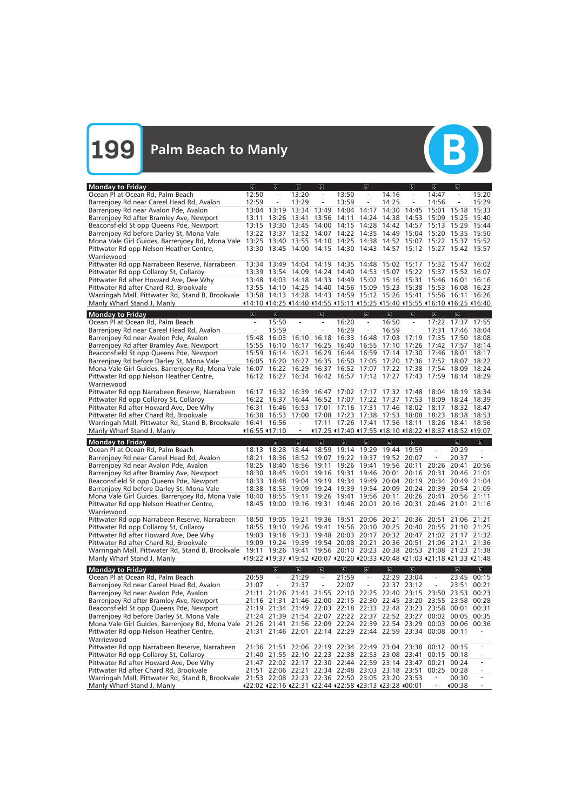| Ocean Pl at Ocean Rd, Palm Beach<br>12:50<br>13:20<br>13:50<br>15:20<br>14:16<br>14:47<br>$\overline{\phantom{a}}$<br>$\overline{\phantom{a}}$<br>$\overline{\phantom{a}}$<br>$\overline{\phantom{a}}$<br>$\overline{\phantom{a}}$<br>12:59<br>13:29<br>13:59<br>14:25<br>14:56<br>15:29<br>Barrenjoey Rd near Careel Head Rd, Avalon<br>$\equiv$<br>$\equiv$<br>$\equiv$<br>$\overline{\phantom{a}}$<br>Barrenjoey Rd near Avalon Pde, Avalon<br>13:34<br>13:49<br>14:04<br>14:17<br>14:30<br>14:45<br>15:33<br>13:04<br>13:19<br>15:01<br>15:18<br>Barrenjoey Rd after Bramley Ave, Newport<br>13:26<br>13:56<br>14:11<br>14:24<br>14:38<br>14:53<br>15:09<br>15:40<br>13:11<br>13:41<br>15:25<br>14:28<br>Beaconsfield St opp Queens Pde, Newport<br>13:30 13:45<br>14:00<br>14:15<br>14:42<br>14:57<br>15:13<br>15:29<br>15:44<br>13:15<br>13:52<br>14:22<br>14:35<br>15:04<br>Barrenjoey Rd before Darley St, Mona Vale<br>13:22 13:37<br>14:07<br>14:49<br>15:20<br>15:35 15:50<br>14:25 14:38<br>Mona Vale Girl Guides, Barrenjoey Rd, Mona Vale<br>13:25 13:40<br>13:55<br>14:10<br>14:52<br>15:07<br>15:22<br>15:37 15:52<br>Pittwater Rd opp Nelson Heather Centre,<br>13:30 13:45 14:00 14:15 14:30 14:43 14:57 15:12 15:27 15:42 15:57<br>Warriewood<br>Pittwater Rd opp Narrabeen Reserve, Narrabeen<br>14:19<br>14:35 14:48 15:02 15:17 15:32 15:47<br>13:34 13:49 14:04<br>16:02<br>Pittwater Rd opp Collaroy St, Collaroy<br>14:24<br>14:40 14:53 15:07 15:22 15:37 15:52<br>16:07<br>13:39 13:54 14:09<br>Pittwater Rd after Howard Ave, Dee Why<br>14:33<br>14:49 15:02 15:16 15:31<br>16:16<br>13:48 14:03 14:18<br>15:46<br>16:01<br>14:40 14:56 15:09 15:23<br>Pittwater Rd after Chard Rd, Brookvale<br>13:55 14:10 14:25<br>15:38<br>15:53<br>16:08<br>16:23<br>13:58 14:13 14:28 14:43 14:59 15:12 15:26 15:41 15:56 16:11<br>Warringah Mall, Pittwater Rd, Stand B, Brookvale<br>16:26<br>14:10 114:25 114:40 114:55 115:11 115:25 115:40 115:55 116:10 116:25 116:40<br>Manly Wharf Stand J, Manly<br><b>Monday to Friday</b><br>$\overline{6}$<br>$\mathbf{r}$<br>$\sigma$<br>$\overline{6}$<br>$\sigma$<br>$\sigma$<br>$\sigma$<br>$\sigma$<br>Ocean Pl at Ocean Rd, Palm Beach<br>15:50<br>16:20<br>16:50<br>17:22 17:37 17:55<br>$\overline{\phantom{a}}$<br>$\overline{\phantom{a}}$<br>$\overline{\phantom{a}}$<br>$\overline{\phantom{a}}$<br>$\overline{\phantom{a}}$<br>16:29<br>Barrenjoey Rd near Careel Head Rd, Avalon<br>15:59<br>16:59<br>17:31<br>18:04<br>17:46<br>$\overline{\phantom{a}}$<br>$\overline{\phantom{a}}$<br>Barrenjoey Rd near Avalon Pde, Avalon<br>16:03<br>16:18<br>16:33<br>16:48<br>17:03<br>17:19<br>17:35<br>17:50<br>15:48<br>16:10<br>18:08<br>Barrenjoey Rd after Bramley Ave, Newport<br>16:25<br>16:40<br>16:55<br>17:10<br>17:26<br>17:42<br>17:57<br>18:14<br>15:55<br>16:10<br>16:17<br>16:14 16:21<br>16:44<br>16:59<br>17:14<br>18:01<br>18:17<br>Beaconsfield St opp Queens Pde, Newport<br>15:59<br>16:29<br>17:30<br>17:46<br>16:50<br>17:05 17:20 17:36<br>Barrenjoey Rd before Darley St, Mona Vale<br>16:05<br>16:20<br>16:27<br>16:35<br>17:52<br>18:07<br>18:22<br>16:37 16:52 17:07 17:22 17:38<br>Mona Vale Girl Guides, Barrenjoey Rd, Mona Vale<br>16:22 16:29<br>17:54<br>18:09<br>18:24<br>16:07<br>16:12 16:27 16:34 16:42 16:57 17:12 17:27 17:43 17:59 18:14 18:29<br>Pittwater Rd opp Nelson Heather Centre,<br>Warriewood<br>Pittwater Rd opp Narrabeen Reserve, Narrabeen<br>16:47 17:02 17:17 17:32 17:48<br>16:17<br>16:32<br>16:39<br>18:04 18:19<br>18:34<br>Pittwater Rd opp Collaroy St, Collaroy<br>16:22 16:37<br>16:44<br>16:52 17:07 17:22 17:37<br>17:53<br>18:09<br>18:24<br>- 18:39<br>Pittwater Rd after Howard Ave, Dee Why<br>16:31 16:46<br>16:53<br>17:01<br>17:16 17:31 17:46 18:02 18:17 18:32 18:47<br>Pittwater Rd after Chard Rd, Brookvale<br>16:38 16:53<br>17:00<br>17:08<br>17:23 17:38 17:53<br>18:08<br>18:23<br>18:38 18:53<br>17:26 17:41 17:56 18:11 18:26 18:41<br>Warringah Mall, Pittwater Rd, Stand B, Brookvale 16:41 16:56<br>17:11<br>18:56<br>116:55 117:10<br>17:25 17:40 17:55 18:10 18:22 18:37 18:52 19:07<br>Manly Wharf Stand J, Manly<br>$\overline{\mathbb{G}}$<br>$\overline{6}$<br>$\overline{\mathbb{C}}$<br><b>Monday to Friday</b><br>$\overline{6}$<br>$\overline{\mathbf{g}}$<br>$\overline{b}$<br>$\overline{6}$<br>$\overline{a}$<br>$\overline{b}$<br>18:44 18:59 19:14 19:29 19:44 19:59<br>$\equiv$<br>Ocean Pl at Ocean Rd, Palm Beach<br>18:13 18:28<br>$\equiv$<br>20:29<br>Barrenjoey Rd near Careel Head Rd, Avalon<br>19:07 19:22 19:37<br>19:52<br>20:07<br>20:37<br>18:21<br>18:36<br>18:52<br>$\overline{\phantom{a}}$<br>Barrenjoey Rd near Avalon Pde, Avalon<br>18:40<br>18:56 19:11<br>19:26 19:41<br>19:56 20:11<br>18:25<br>20:26<br>20:41<br>20:56<br>Barrenjoey Rd after Bramley Ave, Newport<br>19:01<br>19:16 19:31 19:46 20:01<br>20:16<br>20:31<br>20:46<br>21:01<br>18:30<br>18:45<br>Beaconsfield St opp Queens Pde, Newport<br>18:33 18:48 19:04 19:19 19:34 19:49 20:04 20:19 20:34 20:49 21:04<br>Barrenjoey Rd before Darley St, Mona Vale<br>18:38 18:53 19:09 19:24 19:39 19:54 20:09 20:24 20:39 20:54 21:09<br>Mona Vale Girl Guides, Barrenjoey Rd, Mona Vale 18:40 18:55 19:11 19:26 19:41 19:56 20:11 20:26 20:41 20:56 21:11<br>Pittwater Rd opp Nelson Heather Centre,<br>18:45 19:00 19:16 19:31 19:46 20:01 20:16 20:31 20:46 21:01 21:16<br>Warriewood<br>Pittwater Rd opp Narrabeen Reserve, Narrabeen<br>19:36 19:51 20:06 20:21 20:36 20:51<br>18:50 19:05 19:21<br>21:06 21:21<br>18:55 19:10 19:26 19:41 19:56 20:10 20:25 20:40 20:55 21:10 21:25<br>Pittwater Rd opp Collaroy St, Collaroy<br>Pittwater Rd after Howard Ave, Dee Why<br>19:03 19:18 19:33 19:48 20:03 20:17 20:32 20:47 21:02 21:17 21:32<br>Pittwater Rd after Chard Rd, Brookvale<br>19:09 19:24 19:39 19:54 20:08 20:21 20:36 20:51 21:06 21:21 21:36<br>Warringah Mall, Pittwater Rd, Stand B, Brookvale 19:11 19:26 19:41 19:56 20:10 20:23 20:38 20:53 21:08 21:23 21:38<br>Manly Wharf Stand J, Manly<br>419:22 419:37 419:52 420:07 420:20 420:33 420:48 421:03 421:18 421:33 421:48<br>$\overline{\mathbf{e}}$<br><b>Monday to Friday</b><br>$\overline{6}$<br>$\overline{\mathbf{P}}$<br>$\overline{a}$<br>$\overline{\mathbb{P}}$<br>$\overline{a}$<br>$\overline{\mathbf{c}}$<br>$\overline{\mathbf{G}}$<br>$\overline{\mathbf{e}}$<br>Ocean Pl at Ocean Rd, Palm Beach<br>21:59<br>20:59<br>21:29<br>22:29 23:04<br>00:15<br>$\equiv$<br>$\equiv$<br>$\equiv$<br>$\equiv$<br>23:45<br>Barrenjoey Rd near Careel Head Rd, Avalon<br>21:37<br>22:07<br>22:37 23:12<br>00:21<br>21:07<br>$\overline{\phantom{a}}$<br>$\bar{\phantom{a}}$<br>23:51<br>$\frac{1}{2}$<br>$\qquad \qquad -$<br>Barrenjoey Rd near Avalon Pde, Avalon<br>21:55 22:10 22:25 22:40 23:15 23:50 23:53<br>21:11 21:26<br>21:41<br>00:23<br>Barrenjoey Rd after Bramley Ave, Newport<br>21:46 22:00 22:15 22:30 22:45 23:20 23:55 23:58 00:28<br>21:16 21:31<br>Beaconsfield St opp Queens Pde, Newport<br>21:19 21:34 21:49 22:03 22:18 22:33 22:48 23:23 23:58 00:01<br>00:31<br>Barrenjoey Rd before Darley St, Mona Vale<br>21:24 21:39 21:54 22:07 22:22 22:37 22:52 23:27 00:02 00:05 00:35<br>Mona Vale Girl Guides, Barrenjoey Rd, Mona Vale 21:26 21:41 21:56 22:09 22:24 22:39 22:54 23:29 00:03 00:06 00:36<br>21:31 21:46 22:01 22:14 22:29 22:44 22:59 23:34 00:08 00:11<br>Pittwater Rd opp Nelson Heather Centre,<br>Warriewood<br>Pittwater Rd opp Narrabeen Reserve, Narrabeen<br>22:06 22:19 22:34 22:49 23:04 23:38<br>21:36 21:51<br>00:12<br>00:15<br>Pittwater Rd opp Collaroy St, Collaroy<br>21:40 21:55 22:10 22:23 22:38 22:53 23:08 23:41<br>00:15 00:18<br>Pittwater Rd after Howard Ave, Dee Why<br>21:47 22:02 22:17 22:30 22:44 22:59 23:14 23:47<br>00:21<br>00:24<br>Pittwater Rd after Chard Rd, Brookvale<br>21:51 22:06 22:21 22:34 22:48 23:03 23:18 23:51<br>00:28<br>00:25<br>Warringah Mall, Pittwater Rd, Stand B, Brookvale<br>21:53 22:08 22:23 22:36 22:50 23:05 23:20 23:53<br>00:30<br>Manly Wharf Stand J, Manly<br>422:02 422:16 422:31 422:44 422:58 423:13 423:28 400:01<br>●00:38 | <b>Monday to Friday</b> | $\sigma$ | $\lvert \mathbf{F} \rvert$ | $\sigma$ | $\sigma$ | $\sigma$ | $\sigma$ | $\sigma$ | $\sqrt{2}$ |  |
|-----------------------------------------------------------------------------------------------------------------------------------------------------------------------------------------------------------------------------------------------------------------------------------------------------------------------------------------------------------------------------------------------------------------------------------------------------------------------------------------------------------------------------------------------------------------------------------------------------------------------------------------------------------------------------------------------------------------------------------------------------------------------------------------------------------------------------------------------------------------------------------------------------------------------------------------------------------------------------------------------------------------------------------------------------------------------------------------------------------------------------------------------------------------------------------------------------------------------------------------------------------------------------------------------------------------------------------------------------------------------------------------------------------------------------------------------------------------------------------------------------------------------------------------------------------------------------------------------------------------------------------------------------------------------------------------------------------------------------------------------------------------------------------------------------------------------------------------------------------------------------------------------------------------------------------------------------------------------------------------------------------------------------------------------------------------------------------------------------------------------------------------------------------------------------------------------------------------------------------------------------------------------------------------------------------------------------------------------------------------------------------------------------------------------------------------------------------------------------------------------------------------------------------------------------------------------------------------------------------------------------------------------------------------------------------------------------------------------------------------------------------------------------------------------------------------------------------------------------------------------------------------------------------------------------------------------------------------------------------------------------------------------------------------------------------------------------------------------------------------------------------------------------------------------------------------------------------------------------------------------------------------------------------------------------------------------------------------------------------------------------------------------------------------------------------------------------------------------------------------------------------------------------------------------------------------------------------------------------------------------------------------------------------------------------------------------------------------------------------------------------------------------------------------------------------------------------------------------------------------------------------------------------------------------------------------------------------------------------------------------------------------------------------------------------------------------------------------------------------------------------------------------------------------------------------------------------------------------------------------------------------------------------------------------------------------------------------------------------------------------------------------------------------------------------------------------------------------------------------------------------------------------------------------------------------------------------------------------------------------------------------------------------------------------------------------------------------------------------------------------------------------------------------------------------------------------------------------------------------------------------------------------------------------------------------------------------------------------------------------------------------------------------------------------------------------------------------------------------------------------------------------------------------------------------------------------------------------------------------------------------------------------------------------------------------------------------------------------------------------------------------------------------------------------------------------------------------------------------------------------------------------------------------------------------------------------------------------------------------------------------------------------------------------------------------------------------------------------------------------------------------------------------------------------------------------------------------------------------------------------------------------------------------------------------------------------------------------------------------------------------------------------------------------------------------------------------------------------------------------------------------------------------------------------------------------------------------------------------------------------------------------------------------------------------------------------------------------------------------------------------------------------------------------------------------------------------------------------------------------------------------------------------------------------------------------------------------------------------------------------------------------------------------------------------------------------------------------------------------------------------------------------------------------------------------------------------------------------------------------------------------------------------------------------------------------------------------------------------------------------------------------------------------------------------------------------------------------------------------------------------------------------------------------------------------------------------------------------------------------------------------------------------------------------------------------------------------------------------------------------------------------------------------------------------------------------------------------------------------------------------------------------------------------------------------------------------------------------------------------------------------------------------------------------------------------------------------------------------------------------------------------------------------------------------------------------------------------------------------------------------------------------------------------------------------------------------------------------------------------------------------------------------------------------------------------------------------------------------------------------------------------------------------------------------------------------|-------------------------|----------|----------------------------|----------|----------|----------|----------|----------|------------|--|
|                                                                                                                                                                                                                                                                                                                                                                                                                                                                                                                                                                                                                                                                                                                                                                                                                                                                                                                                                                                                                                                                                                                                                                                                                                                                                                                                                                                                                                                                                                                                                                                                                                                                                                                                                                                                                                                                                                                                                                                                                                                                                                                                                                                                                                                                                                                                                                                                                                                                                                                                                                                                                                                                                                                                                                                                                                                                                                                                                                                                                                                                                                                                                                                                                                                                                                                                                                                                                                                                                                                                                                                                                                                                                                                                                                                                                                                                                                                                                                                                                                                                                                                                                                                                                                                                                                                                                                                                                                                                                                                                                                                                                                                                                                                                                                                                                                                                                                                                                                                                                                                                                                                                                                                                                                                                                                                                                                                                                                                                                                                                                                                                                                                                                                                                                                                                                                                                                                                                                                                                                                                                                                                                                                                                                                                                                                                                                                                                                                                                                                                                                                                                                                                                                                                                                                                                                                                                                                                                                                                                                                                                                                                                                                                                                                                                                                                                                                                                                                                                                                                                                                                                                                                                                                                                                                                                                                                                                                                                                                                                                                                                                                                                                                                               |                         |          |                            |          |          |          |          |          |            |  |
|                                                                                                                                                                                                                                                                                                                                                                                                                                                                                                                                                                                                                                                                                                                                                                                                                                                                                                                                                                                                                                                                                                                                                                                                                                                                                                                                                                                                                                                                                                                                                                                                                                                                                                                                                                                                                                                                                                                                                                                                                                                                                                                                                                                                                                                                                                                                                                                                                                                                                                                                                                                                                                                                                                                                                                                                                                                                                                                                                                                                                                                                                                                                                                                                                                                                                                                                                                                                                                                                                                                                                                                                                                                                                                                                                                                                                                                                                                                                                                                                                                                                                                                                                                                                                                                                                                                                                                                                                                                                                                                                                                                                                                                                                                                                                                                                                                                                                                                                                                                                                                                                                                                                                                                                                                                                                                                                                                                                                                                                                                                                                                                                                                                                                                                                                                                                                                                                                                                                                                                                                                                                                                                                                                                                                                                                                                                                                                                                                                                                                                                                                                                                                                                                                                                                                                                                                                                                                                                                                                                                                                                                                                                                                                                                                                                                                                                                                                                                                                                                                                                                                                                                                                                                                                                                                                                                                                                                                                                                                                                                                                                                                                                                                                                               |                         |          |                            |          |          |          |          |          |            |  |
|                                                                                                                                                                                                                                                                                                                                                                                                                                                                                                                                                                                                                                                                                                                                                                                                                                                                                                                                                                                                                                                                                                                                                                                                                                                                                                                                                                                                                                                                                                                                                                                                                                                                                                                                                                                                                                                                                                                                                                                                                                                                                                                                                                                                                                                                                                                                                                                                                                                                                                                                                                                                                                                                                                                                                                                                                                                                                                                                                                                                                                                                                                                                                                                                                                                                                                                                                                                                                                                                                                                                                                                                                                                                                                                                                                                                                                                                                                                                                                                                                                                                                                                                                                                                                                                                                                                                                                                                                                                                                                                                                                                                                                                                                                                                                                                                                                                                                                                                                                                                                                                                                                                                                                                                                                                                                                                                                                                                                                                                                                                                                                                                                                                                                                                                                                                                                                                                                                                                                                                                                                                                                                                                                                                                                                                                                                                                                                                                                                                                                                                                                                                                                                                                                                                                                                                                                                                                                                                                                                                                                                                                                                                                                                                                                                                                                                                                                                                                                                                                                                                                                                                                                                                                                                                                                                                                                                                                                                                                                                                                                                                                                                                                                                                               |                         |          |                            |          |          |          |          |          |            |  |
|                                                                                                                                                                                                                                                                                                                                                                                                                                                                                                                                                                                                                                                                                                                                                                                                                                                                                                                                                                                                                                                                                                                                                                                                                                                                                                                                                                                                                                                                                                                                                                                                                                                                                                                                                                                                                                                                                                                                                                                                                                                                                                                                                                                                                                                                                                                                                                                                                                                                                                                                                                                                                                                                                                                                                                                                                                                                                                                                                                                                                                                                                                                                                                                                                                                                                                                                                                                                                                                                                                                                                                                                                                                                                                                                                                                                                                                                                                                                                                                                                                                                                                                                                                                                                                                                                                                                                                                                                                                                                                                                                                                                                                                                                                                                                                                                                                                                                                                                                                                                                                                                                                                                                                                                                                                                                                                                                                                                                                                                                                                                                                                                                                                                                                                                                                                                                                                                                                                                                                                                                                                                                                                                                                                                                                                                                                                                                                                                                                                                                                                                                                                                                                                                                                                                                                                                                                                                                                                                                                                                                                                                                                                                                                                                                                                                                                                                                                                                                                                                                                                                                                                                                                                                                                                                                                                                                                                                                                                                                                                                                                                                                                                                                                                               |                         |          |                            |          |          |          |          |          |            |  |
|                                                                                                                                                                                                                                                                                                                                                                                                                                                                                                                                                                                                                                                                                                                                                                                                                                                                                                                                                                                                                                                                                                                                                                                                                                                                                                                                                                                                                                                                                                                                                                                                                                                                                                                                                                                                                                                                                                                                                                                                                                                                                                                                                                                                                                                                                                                                                                                                                                                                                                                                                                                                                                                                                                                                                                                                                                                                                                                                                                                                                                                                                                                                                                                                                                                                                                                                                                                                                                                                                                                                                                                                                                                                                                                                                                                                                                                                                                                                                                                                                                                                                                                                                                                                                                                                                                                                                                                                                                                                                                                                                                                                                                                                                                                                                                                                                                                                                                                                                                                                                                                                                                                                                                                                                                                                                                                                                                                                                                                                                                                                                                                                                                                                                                                                                                                                                                                                                                                                                                                                                                                                                                                                                                                                                                                                                                                                                                                                                                                                                                                                                                                                                                                                                                                                                                                                                                                                                                                                                                                                                                                                                                                                                                                                                                                                                                                                                                                                                                                                                                                                                                                                                                                                                                                                                                                                                                                                                                                                                                                                                                                                                                                                                                                               |                         |          |                            |          |          |          |          |          |            |  |
|                                                                                                                                                                                                                                                                                                                                                                                                                                                                                                                                                                                                                                                                                                                                                                                                                                                                                                                                                                                                                                                                                                                                                                                                                                                                                                                                                                                                                                                                                                                                                                                                                                                                                                                                                                                                                                                                                                                                                                                                                                                                                                                                                                                                                                                                                                                                                                                                                                                                                                                                                                                                                                                                                                                                                                                                                                                                                                                                                                                                                                                                                                                                                                                                                                                                                                                                                                                                                                                                                                                                                                                                                                                                                                                                                                                                                                                                                                                                                                                                                                                                                                                                                                                                                                                                                                                                                                                                                                                                                                                                                                                                                                                                                                                                                                                                                                                                                                                                                                                                                                                                                                                                                                                                                                                                                                                                                                                                                                                                                                                                                                                                                                                                                                                                                                                                                                                                                                                                                                                                                                                                                                                                                                                                                                                                                                                                                                                                                                                                                                                                                                                                                                                                                                                                                                                                                                                                                                                                                                                                                                                                                                                                                                                                                                                                                                                                                                                                                                                                                                                                                                                                                                                                                                                                                                                                                                                                                                                                                                                                                                                                                                                                                                                               |                         |          |                            |          |          |          |          |          |            |  |
|                                                                                                                                                                                                                                                                                                                                                                                                                                                                                                                                                                                                                                                                                                                                                                                                                                                                                                                                                                                                                                                                                                                                                                                                                                                                                                                                                                                                                                                                                                                                                                                                                                                                                                                                                                                                                                                                                                                                                                                                                                                                                                                                                                                                                                                                                                                                                                                                                                                                                                                                                                                                                                                                                                                                                                                                                                                                                                                                                                                                                                                                                                                                                                                                                                                                                                                                                                                                                                                                                                                                                                                                                                                                                                                                                                                                                                                                                                                                                                                                                                                                                                                                                                                                                                                                                                                                                                                                                                                                                                                                                                                                                                                                                                                                                                                                                                                                                                                                                                                                                                                                                                                                                                                                                                                                                                                                                                                                                                                                                                                                                                                                                                                                                                                                                                                                                                                                                                                                                                                                                                                                                                                                                                                                                                                                                                                                                                                                                                                                                                                                                                                                                                                                                                                                                                                                                                                                                                                                                                                                                                                                                                                                                                                                                                                                                                                                                                                                                                                                                                                                                                                                                                                                                                                                                                                                                                                                                                                                                                                                                                                                                                                                                                                               |                         |          |                            |          |          |          |          |          |            |  |
|                                                                                                                                                                                                                                                                                                                                                                                                                                                                                                                                                                                                                                                                                                                                                                                                                                                                                                                                                                                                                                                                                                                                                                                                                                                                                                                                                                                                                                                                                                                                                                                                                                                                                                                                                                                                                                                                                                                                                                                                                                                                                                                                                                                                                                                                                                                                                                                                                                                                                                                                                                                                                                                                                                                                                                                                                                                                                                                                                                                                                                                                                                                                                                                                                                                                                                                                                                                                                                                                                                                                                                                                                                                                                                                                                                                                                                                                                                                                                                                                                                                                                                                                                                                                                                                                                                                                                                                                                                                                                                                                                                                                                                                                                                                                                                                                                                                                                                                                                                                                                                                                                                                                                                                                                                                                                                                                                                                                                                                                                                                                                                                                                                                                                                                                                                                                                                                                                                                                                                                                                                                                                                                                                                                                                                                                                                                                                                                                                                                                                                                                                                                                                                                                                                                                                                                                                                                                                                                                                                                                                                                                                                                                                                                                                                                                                                                                                                                                                                                                                                                                                                                                                                                                                                                                                                                                                                                                                                                                                                                                                                                                                                                                                                                               |                         |          |                            |          |          |          |          |          |            |  |
|                                                                                                                                                                                                                                                                                                                                                                                                                                                                                                                                                                                                                                                                                                                                                                                                                                                                                                                                                                                                                                                                                                                                                                                                                                                                                                                                                                                                                                                                                                                                                                                                                                                                                                                                                                                                                                                                                                                                                                                                                                                                                                                                                                                                                                                                                                                                                                                                                                                                                                                                                                                                                                                                                                                                                                                                                                                                                                                                                                                                                                                                                                                                                                                                                                                                                                                                                                                                                                                                                                                                                                                                                                                                                                                                                                                                                                                                                                                                                                                                                                                                                                                                                                                                                                                                                                                                                                                                                                                                                                                                                                                                                                                                                                                                                                                                                                                                                                                                                                                                                                                                                                                                                                                                                                                                                                                                                                                                                                                                                                                                                                                                                                                                                                                                                                                                                                                                                                                                                                                                                                                                                                                                                                                                                                                                                                                                                                                                                                                                                                                                                                                                                                                                                                                                                                                                                                                                                                                                                                                                                                                                                                                                                                                                                                                                                                                                                                                                                                                                                                                                                                                                                                                                                                                                                                                                                                                                                                                                                                                                                                                                                                                                                                                               |                         |          |                            |          |          |          |          |          |            |  |
|                                                                                                                                                                                                                                                                                                                                                                                                                                                                                                                                                                                                                                                                                                                                                                                                                                                                                                                                                                                                                                                                                                                                                                                                                                                                                                                                                                                                                                                                                                                                                                                                                                                                                                                                                                                                                                                                                                                                                                                                                                                                                                                                                                                                                                                                                                                                                                                                                                                                                                                                                                                                                                                                                                                                                                                                                                                                                                                                                                                                                                                                                                                                                                                                                                                                                                                                                                                                                                                                                                                                                                                                                                                                                                                                                                                                                                                                                                                                                                                                                                                                                                                                                                                                                                                                                                                                                                                                                                                                                                                                                                                                                                                                                                                                                                                                                                                                                                                                                                                                                                                                                                                                                                                                                                                                                                                                                                                                                                                                                                                                                                                                                                                                                                                                                                                                                                                                                                                                                                                                                                                                                                                                                                                                                                                                                                                                                                                                                                                                                                                                                                                                                                                                                                                                                                                                                                                                                                                                                                                                                                                                                                                                                                                                                                                                                                                                                                                                                                                                                                                                                                                                                                                                                                                                                                                                                                                                                                                                                                                                                                                                                                                                                                                               |                         |          |                            |          |          |          |          |          |            |  |
|                                                                                                                                                                                                                                                                                                                                                                                                                                                                                                                                                                                                                                                                                                                                                                                                                                                                                                                                                                                                                                                                                                                                                                                                                                                                                                                                                                                                                                                                                                                                                                                                                                                                                                                                                                                                                                                                                                                                                                                                                                                                                                                                                                                                                                                                                                                                                                                                                                                                                                                                                                                                                                                                                                                                                                                                                                                                                                                                                                                                                                                                                                                                                                                                                                                                                                                                                                                                                                                                                                                                                                                                                                                                                                                                                                                                                                                                                                                                                                                                                                                                                                                                                                                                                                                                                                                                                                                                                                                                                                                                                                                                                                                                                                                                                                                                                                                                                                                                                                                                                                                                                                                                                                                                                                                                                                                                                                                                                                                                                                                                                                                                                                                                                                                                                                                                                                                                                                                                                                                                                                                                                                                                                                                                                                                                                                                                                                                                                                                                                                                                                                                                                                                                                                                                                                                                                                                                                                                                                                                                                                                                                                                                                                                                                                                                                                                                                                                                                                                                                                                                                                                                                                                                                                                                                                                                                                                                                                                                                                                                                                                                                                                                                                                               |                         |          |                            |          |          |          |          |          |            |  |
|                                                                                                                                                                                                                                                                                                                                                                                                                                                                                                                                                                                                                                                                                                                                                                                                                                                                                                                                                                                                                                                                                                                                                                                                                                                                                                                                                                                                                                                                                                                                                                                                                                                                                                                                                                                                                                                                                                                                                                                                                                                                                                                                                                                                                                                                                                                                                                                                                                                                                                                                                                                                                                                                                                                                                                                                                                                                                                                                                                                                                                                                                                                                                                                                                                                                                                                                                                                                                                                                                                                                                                                                                                                                                                                                                                                                                                                                                                                                                                                                                                                                                                                                                                                                                                                                                                                                                                                                                                                                                                                                                                                                                                                                                                                                                                                                                                                                                                                                                                                                                                                                                                                                                                                                                                                                                                                                                                                                                                                                                                                                                                                                                                                                                                                                                                                                                                                                                                                                                                                                                                                                                                                                                                                                                                                                                                                                                                                                                                                                                                                                                                                                                                                                                                                                                                                                                                                                                                                                                                                                                                                                                                                                                                                                                                                                                                                                                                                                                                                                                                                                                                                                                                                                                                                                                                                                                                                                                                                                                                                                                                                                                                                                                                                               |                         |          |                            |          |          |          |          |          |            |  |
|                                                                                                                                                                                                                                                                                                                                                                                                                                                                                                                                                                                                                                                                                                                                                                                                                                                                                                                                                                                                                                                                                                                                                                                                                                                                                                                                                                                                                                                                                                                                                                                                                                                                                                                                                                                                                                                                                                                                                                                                                                                                                                                                                                                                                                                                                                                                                                                                                                                                                                                                                                                                                                                                                                                                                                                                                                                                                                                                                                                                                                                                                                                                                                                                                                                                                                                                                                                                                                                                                                                                                                                                                                                                                                                                                                                                                                                                                                                                                                                                                                                                                                                                                                                                                                                                                                                                                                                                                                                                                                                                                                                                                                                                                                                                                                                                                                                                                                                                                                                                                                                                                                                                                                                                                                                                                                                                                                                                                                                                                                                                                                                                                                                                                                                                                                                                                                                                                                                                                                                                                                                                                                                                                                                                                                                                                                                                                                                                                                                                                                                                                                                                                                                                                                                                                                                                                                                                                                                                                                                                                                                                                                                                                                                                                                                                                                                                                                                                                                                                                                                                                                                                                                                                                                                                                                                                                                                                                                                                                                                                                                                                                                                                                                                               |                         |          |                            |          |          |          |          |          |            |  |
|                                                                                                                                                                                                                                                                                                                                                                                                                                                                                                                                                                                                                                                                                                                                                                                                                                                                                                                                                                                                                                                                                                                                                                                                                                                                                                                                                                                                                                                                                                                                                                                                                                                                                                                                                                                                                                                                                                                                                                                                                                                                                                                                                                                                                                                                                                                                                                                                                                                                                                                                                                                                                                                                                                                                                                                                                                                                                                                                                                                                                                                                                                                                                                                                                                                                                                                                                                                                                                                                                                                                                                                                                                                                                                                                                                                                                                                                                                                                                                                                                                                                                                                                                                                                                                                                                                                                                                                                                                                                                                                                                                                                                                                                                                                                                                                                                                                                                                                                                                                                                                                                                                                                                                                                                                                                                                                                                                                                                                                                                                                                                                                                                                                                                                                                                                                                                                                                                                                                                                                                                                                                                                                                                                                                                                                                                                                                                                                                                                                                                                                                                                                                                                                                                                                                                                                                                                                                                                                                                                                                                                                                                                                                                                                                                                                                                                                                                                                                                                                                                                                                                                                                                                                                                                                                                                                                                                                                                                                                                                                                                                                                                                                                                                                               |                         |          |                            |          |          |          |          |          |            |  |
|                                                                                                                                                                                                                                                                                                                                                                                                                                                                                                                                                                                                                                                                                                                                                                                                                                                                                                                                                                                                                                                                                                                                                                                                                                                                                                                                                                                                                                                                                                                                                                                                                                                                                                                                                                                                                                                                                                                                                                                                                                                                                                                                                                                                                                                                                                                                                                                                                                                                                                                                                                                                                                                                                                                                                                                                                                                                                                                                                                                                                                                                                                                                                                                                                                                                                                                                                                                                                                                                                                                                                                                                                                                                                                                                                                                                                                                                                                                                                                                                                                                                                                                                                                                                                                                                                                                                                                                                                                                                                                                                                                                                                                                                                                                                                                                                                                                                                                                                                                                                                                                                                                                                                                                                                                                                                                                                                                                                                                                                                                                                                                                                                                                                                                                                                                                                                                                                                                                                                                                                                                                                                                                                                                                                                                                                                                                                                                                                                                                                                                                                                                                                                                                                                                                                                                                                                                                                                                                                                                                                                                                                                                                                                                                                                                                                                                                                                                                                                                                                                                                                                                                                                                                                                                                                                                                                                                                                                                                                                                                                                                                                                                                                                                                               |                         |          |                            |          |          |          |          |          |            |  |
|                                                                                                                                                                                                                                                                                                                                                                                                                                                                                                                                                                                                                                                                                                                                                                                                                                                                                                                                                                                                                                                                                                                                                                                                                                                                                                                                                                                                                                                                                                                                                                                                                                                                                                                                                                                                                                                                                                                                                                                                                                                                                                                                                                                                                                                                                                                                                                                                                                                                                                                                                                                                                                                                                                                                                                                                                                                                                                                                                                                                                                                                                                                                                                                                                                                                                                                                                                                                                                                                                                                                                                                                                                                                                                                                                                                                                                                                                                                                                                                                                                                                                                                                                                                                                                                                                                                                                                                                                                                                                                                                                                                                                                                                                                                                                                                                                                                                                                                                                                                                                                                                                                                                                                                                                                                                                                                                                                                                                                                                                                                                                                                                                                                                                                                                                                                                                                                                                                                                                                                                                                                                                                                                                                                                                                                                                                                                                                                                                                                                                                                                                                                                                                                                                                                                                                                                                                                                                                                                                                                                                                                                                                                                                                                                                                                                                                                                                                                                                                                                                                                                                                                                                                                                                                                                                                                                                                                                                                                                                                                                                                                                                                                                                                                               |                         |          |                            |          |          |          |          |          |            |  |
|                                                                                                                                                                                                                                                                                                                                                                                                                                                                                                                                                                                                                                                                                                                                                                                                                                                                                                                                                                                                                                                                                                                                                                                                                                                                                                                                                                                                                                                                                                                                                                                                                                                                                                                                                                                                                                                                                                                                                                                                                                                                                                                                                                                                                                                                                                                                                                                                                                                                                                                                                                                                                                                                                                                                                                                                                                                                                                                                                                                                                                                                                                                                                                                                                                                                                                                                                                                                                                                                                                                                                                                                                                                                                                                                                                                                                                                                                                                                                                                                                                                                                                                                                                                                                                                                                                                                                                                                                                                                                                                                                                                                                                                                                                                                                                                                                                                                                                                                                                                                                                                                                                                                                                                                                                                                                                                                                                                                                                                                                                                                                                                                                                                                                                                                                                                                                                                                                                                                                                                                                                                                                                                                                                                                                                                                                                                                                                                                                                                                                                                                                                                                                                                                                                                                                                                                                                                                                                                                                                                                                                                                                                                                                                                                                                                                                                                                                                                                                                                                                                                                                                                                                                                                                                                                                                                                                                                                                                                                                                                                                                                                                                                                                                                               |                         |          |                            |          |          |          |          |          |            |  |
|                                                                                                                                                                                                                                                                                                                                                                                                                                                                                                                                                                                                                                                                                                                                                                                                                                                                                                                                                                                                                                                                                                                                                                                                                                                                                                                                                                                                                                                                                                                                                                                                                                                                                                                                                                                                                                                                                                                                                                                                                                                                                                                                                                                                                                                                                                                                                                                                                                                                                                                                                                                                                                                                                                                                                                                                                                                                                                                                                                                                                                                                                                                                                                                                                                                                                                                                                                                                                                                                                                                                                                                                                                                                                                                                                                                                                                                                                                                                                                                                                                                                                                                                                                                                                                                                                                                                                                                                                                                                                                                                                                                                                                                                                                                                                                                                                                                                                                                                                                                                                                                                                                                                                                                                                                                                                                                                                                                                                                                                                                                                                                                                                                                                                                                                                                                                                                                                                                                                                                                                                                                                                                                                                                                                                                                                                                                                                                                                                                                                                                                                                                                                                                                                                                                                                                                                                                                                                                                                                                                                                                                                                                                                                                                                                                                                                                                                                                                                                                                                                                                                                                                                                                                                                                                                                                                                                                                                                                                                                                                                                                                                                                                                                                                               |                         |          |                            |          |          |          |          |          |            |  |
|                                                                                                                                                                                                                                                                                                                                                                                                                                                                                                                                                                                                                                                                                                                                                                                                                                                                                                                                                                                                                                                                                                                                                                                                                                                                                                                                                                                                                                                                                                                                                                                                                                                                                                                                                                                                                                                                                                                                                                                                                                                                                                                                                                                                                                                                                                                                                                                                                                                                                                                                                                                                                                                                                                                                                                                                                                                                                                                                                                                                                                                                                                                                                                                                                                                                                                                                                                                                                                                                                                                                                                                                                                                                                                                                                                                                                                                                                                                                                                                                                                                                                                                                                                                                                                                                                                                                                                                                                                                                                                                                                                                                                                                                                                                                                                                                                                                                                                                                                                                                                                                                                                                                                                                                                                                                                                                                                                                                                                                                                                                                                                                                                                                                                                                                                                                                                                                                                                                                                                                                                                                                                                                                                                                                                                                                                                                                                                                                                                                                                                                                                                                                                                                                                                                                                                                                                                                                                                                                                                                                                                                                                                                                                                                                                                                                                                                                                                                                                                                                                                                                                                                                                                                                                                                                                                                                                                                                                                                                                                                                                                                                                                                                                                                               |                         |          |                            |          |          |          |          |          |            |  |
|                                                                                                                                                                                                                                                                                                                                                                                                                                                                                                                                                                                                                                                                                                                                                                                                                                                                                                                                                                                                                                                                                                                                                                                                                                                                                                                                                                                                                                                                                                                                                                                                                                                                                                                                                                                                                                                                                                                                                                                                                                                                                                                                                                                                                                                                                                                                                                                                                                                                                                                                                                                                                                                                                                                                                                                                                                                                                                                                                                                                                                                                                                                                                                                                                                                                                                                                                                                                                                                                                                                                                                                                                                                                                                                                                                                                                                                                                                                                                                                                                                                                                                                                                                                                                                                                                                                                                                                                                                                                                                                                                                                                                                                                                                                                                                                                                                                                                                                                                                                                                                                                                                                                                                                                                                                                                                                                                                                                                                                                                                                                                                                                                                                                                                                                                                                                                                                                                                                                                                                                                                                                                                                                                                                                                                                                                                                                                                                                                                                                                                                                                                                                                                                                                                                                                                                                                                                                                                                                                                                                                                                                                                                                                                                                                                                                                                                                                                                                                                                                                                                                                                                                                                                                                                                                                                                                                                                                                                                                                                                                                                                                                                                                                                                               |                         |          |                            |          |          |          |          |          |            |  |
|                                                                                                                                                                                                                                                                                                                                                                                                                                                                                                                                                                                                                                                                                                                                                                                                                                                                                                                                                                                                                                                                                                                                                                                                                                                                                                                                                                                                                                                                                                                                                                                                                                                                                                                                                                                                                                                                                                                                                                                                                                                                                                                                                                                                                                                                                                                                                                                                                                                                                                                                                                                                                                                                                                                                                                                                                                                                                                                                                                                                                                                                                                                                                                                                                                                                                                                                                                                                                                                                                                                                                                                                                                                                                                                                                                                                                                                                                                                                                                                                                                                                                                                                                                                                                                                                                                                                                                                                                                                                                                                                                                                                                                                                                                                                                                                                                                                                                                                                                                                                                                                                                                                                                                                                                                                                                                                                                                                                                                                                                                                                                                                                                                                                                                                                                                                                                                                                                                                                                                                                                                                                                                                                                                                                                                                                                                                                                                                                                                                                                                                                                                                                                                                                                                                                                                                                                                                                                                                                                                                                                                                                                                                                                                                                                                                                                                                                                                                                                                                                                                                                                                                                                                                                                                                                                                                                                                                                                                                                                                                                                                                                                                                                                                                               |                         |          |                            |          |          |          |          |          |            |  |
|                                                                                                                                                                                                                                                                                                                                                                                                                                                                                                                                                                                                                                                                                                                                                                                                                                                                                                                                                                                                                                                                                                                                                                                                                                                                                                                                                                                                                                                                                                                                                                                                                                                                                                                                                                                                                                                                                                                                                                                                                                                                                                                                                                                                                                                                                                                                                                                                                                                                                                                                                                                                                                                                                                                                                                                                                                                                                                                                                                                                                                                                                                                                                                                                                                                                                                                                                                                                                                                                                                                                                                                                                                                                                                                                                                                                                                                                                                                                                                                                                                                                                                                                                                                                                                                                                                                                                                                                                                                                                                                                                                                                                                                                                                                                                                                                                                                                                                                                                                                                                                                                                                                                                                                                                                                                                                                                                                                                                                                                                                                                                                                                                                                                                                                                                                                                                                                                                                                                                                                                                                                                                                                                                                                                                                                                                                                                                                                                                                                                                                                                                                                                                                                                                                                                                                                                                                                                                                                                                                                                                                                                                                                                                                                                                                                                                                                                                                                                                                                                                                                                                                                                                                                                                                                                                                                                                                                                                                                                                                                                                                                                                                                                                                                               |                         |          |                            |          |          |          |          |          |            |  |
|                                                                                                                                                                                                                                                                                                                                                                                                                                                                                                                                                                                                                                                                                                                                                                                                                                                                                                                                                                                                                                                                                                                                                                                                                                                                                                                                                                                                                                                                                                                                                                                                                                                                                                                                                                                                                                                                                                                                                                                                                                                                                                                                                                                                                                                                                                                                                                                                                                                                                                                                                                                                                                                                                                                                                                                                                                                                                                                                                                                                                                                                                                                                                                                                                                                                                                                                                                                                                                                                                                                                                                                                                                                                                                                                                                                                                                                                                                                                                                                                                                                                                                                                                                                                                                                                                                                                                                                                                                                                                                                                                                                                                                                                                                                                                                                                                                                                                                                                                                                                                                                                                                                                                                                                                                                                                                                                                                                                                                                                                                                                                                                                                                                                                                                                                                                                                                                                                                                                                                                                                                                                                                                                                                                                                                                                                                                                                                                                                                                                                                                                                                                                                                                                                                                                                                                                                                                                                                                                                                                                                                                                                                                                                                                                                                                                                                                                                                                                                                                                                                                                                                                                                                                                                                                                                                                                                                                                                                                                                                                                                                                                                                                                                                                               |                         |          |                            |          |          |          |          |          |            |  |
|                                                                                                                                                                                                                                                                                                                                                                                                                                                                                                                                                                                                                                                                                                                                                                                                                                                                                                                                                                                                                                                                                                                                                                                                                                                                                                                                                                                                                                                                                                                                                                                                                                                                                                                                                                                                                                                                                                                                                                                                                                                                                                                                                                                                                                                                                                                                                                                                                                                                                                                                                                                                                                                                                                                                                                                                                                                                                                                                                                                                                                                                                                                                                                                                                                                                                                                                                                                                                                                                                                                                                                                                                                                                                                                                                                                                                                                                                                                                                                                                                                                                                                                                                                                                                                                                                                                                                                                                                                                                                                                                                                                                                                                                                                                                                                                                                                                                                                                                                                                                                                                                                                                                                                                                                                                                                                                                                                                                                                                                                                                                                                                                                                                                                                                                                                                                                                                                                                                                                                                                                                                                                                                                                                                                                                                                                                                                                                                                                                                                                                                                                                                                                                                                                                                                                                                                                                                                                                                                                                                                                                                                                                                                                                                                                                                                                                                                                                                                                                                                                                                                                                                                                                                                                                                                                                                                                                                                                                                                                                                                                                                                                                                                                                                               |                         |          |                            |          |          |          |          |          |            |  |
|                                                                                                                                                                                                                                                                                                                                                                                                                                                                                                                                                                                                                                                                                                                                                                                                                                                                                                                                                                                                                                                                                                                                                                                                                                                                                                                                                                                                                                                                                                                                                                                                                                                                                                                                                                                                                                                                                                                                                                                                                                                                                                                                                                                                                                                                                                                                                                                                                                                                                                                                                                                                                                                                                                                                                                                                                                                                                                                                                                                                                                                                                                                                                                                                                                                                                                                                                                                                                                                                                                                                                                                                                                                                                                                                                                                                                                                                                                                                                                                                                                                                                                                                                                                                                                                                                                                                                                                                                                                                                                                                                                                                                                                                                                                                                                                                                                                                                                                                                                                                                                                                                                                                                                                                                                                                                                                                                                                                                                                                                                                                                                                                                                                                                                                                                                                                                                                                                                                                                                                                                                                                                                                                                                                                                                                                                                                                                                                                                                                                                                                                                                                                                                                                                                                                                                                                                                                                                                                                                                                                                                                                                                                                                                                                                                                                                                                                                                                                                                                                                                                                                                                                                                                                                                                                                                                                                                                                                                                                                                                                                                                                                                                                                                                               |                         |          |                            |          |          |          |          |          |            |  |
|                                                                                                                                                                                                                                                                                                                                                                                                                                                                                                                                                                                                                                                                                                                                                                                                                                                                                                                                                                                                                                                                                                                                                                                                                                                                                                                                                                                                                                                                                                                                                                                                                                                                                                                                                                                                                                                                                                                                                                                                                                                                                                                                                                                                                                                                                                                                                                                                                                                                                                                                                                                                                                                                                                                                                                                                                                                                                                                                                                                                                                                                                                                                                                                                                                                                                                                                                                                                                                                                                                                                                                                                                                                                                                                                                                                                                                                                                                                                                                                                                                                                                                                                                                                                                                                                                                                                                                                                                                                                                                                                                                                                                                                                                                                                                                                                                                                                                                                                                                                                                                                                                                                                                                                                                                                                                                                                                                                                                                                                                                                                                                                                                                                                                                                                                                                                                                                                                                                                                                                                                                                                                                                                                                                                                                                                                                                                                                                                                                                                                                                                                                                                                                                                                                                                                                                                                                                                                                                                                                                                                                                                                                                                                                                                                                                                                                                                                                                                                                                                                                                                                                                                                                                                                                                                                                                                                                                                                                                                                                                                                                                                                                                                                                                               |                         |          |                            |          |          |          |          |          |            |  |
|                                                                                                                                                                                                                                                                                                                                                                                                                                                                                                                                                                                                                                                                                                                                                                                                                                                                                                                                                                                                                                                                                                                                                                                                                                                                                                                                                                                                                                                                                                                                                                                                                                                                                                                                                                                                                                                                                                                                                                                                                                                                                                                                                                                                                                                                                                                                                                                                                                                                                                                                                                                                                                                                                                                                                                                                                                                                                                                                                                                                                                                                                                                                                                                                                                                                                                                                                                                                                                                                                                                                                                                                                                                                                                                                                                                                                                                                                                                                                                                                                                                                                                                                                                                                                                                                                                                                                                                                                                                                                                                                                                                                                                                                                                                                                                                                                                                                                                                                                                                                                                                                                                                                                                                                                                                                                                                                                                                                                                                                                                                                                                                                                                                                                                                                                                                                                                                                                                                                                                                                                                                                                                                                                                                                                                                                                                                                                                                                                                                                                                                                                                                                                                                                                                                                                                                                                                                                                                                                                                                                                                                                                                                                                                                                                                                                                                                                                                                                                                                                                                                                                                                                                                                                                                                                                                                                                                                                                                                                                                                                                                                                                                                                                                                               |                         |          |                            |          |          |          |          |          |            |  |
|                                                                                                                                                                                                                                                                                                                                                                                                                                                                                                                                                                                                                                                                                                                                                                                                                                                                                                                                                                                                                                                                                                                                                                                                                                                                                                                                                                                                                                                                                                                                                                                                                                                                                                                                                                                                                                                                                                                                                                                                                                                                                                                                                                                                                                                                                                                                                                                                                                                                                                                                                                                                                                                                                                                                                                                                                                                                                                                                                                                                                                                                                                                                                                                                                                                                                                                                                                                                                                                                                                                                                                                                                                                                                                                                                                                                                                                                                                                                                                                                                                                                                                                                                                                                                                                                                                                                                                                                                                                                                                                                                                                                                                                                                                                                                                                                                                                                                                                                                                                                                                                                                                                                                                                                                                                                                                                                                                                                                                                                                                                                                                                                                                                                                                                                                                                                                                                                                                                                                                                                                                                                                                                                                                                                                                                                                                                                                                                                                                                                                                                                                                                                                                                                                                                                                                                                                                                                                                                                                                                                                                                                                                                                                                                                                                                                                                                                                                                                                                                                                                                                                                                                                                                                                                                                                                                                                                                                                                                                                                                                                                                                                                                                                                                               |                         |          |                            |          |          |          |          |          |            |  |
|                                                                                                                                                                                                                                                                                                                                                                                                                                                                                                                                                                                                                                                                                                                                                                                                                                                                                                                                                                                                                                                                                                                                                                                                                                                                                                                                                                                                                                                                                                                                                                                                                                                                                                                                                                                                                                                                                                                                                                                                                                                                                                                                                                                                                                                                                                                                                                                                                                                                                                                                                                                                                                                                                                                                                                                                                                                                                                                                                                                                                                                                                                                                                                                                                                                                                                                                                                                                                                                                                                                                                                                                                                                                                                                                                                                                                                                                                                                                                                                                                                                                                                                                                                                                                                                                                                                                                                                                                                                                                                                                                                                                                                                                                                                                                                                                                                                                                                                                                                                                                                                                                                                                                                                                                                                                                                                                                                                                                                                                                                                                                                                                                                                                                                                                                                                                                                                                                                                                                                                                                                                                                                                                                                                                                                                                                                                                                                                                                                                                                                                                                                                                                                                                                                                                                                                                                                                                                                                                                                                                                                                                                                                                                                                                                                                                                                                                                                                                                                                                                                                                                                                                                                                                                                                                                                                                                                                                                                                                                                                                                                                                                                                                                                                               |                         |          |                            |          |          |          |          |          |            |  |
|                                                                                                                                                                                                                                                                                                                                                                                                                                                                                                                                                                                                                                                                                                                                                                                                                                                                                                                                                                                                                                                                                                                                                                                                                                                                                                                                                                                                                                                                                                                                                                                                                                                                                                                                                                                                                                                                                                                                                                                                                                                                                                                                                                                                                                                                                                                                                                                                                                                                                                                                                                                                                                                                                                                                                                                                                                                                                                                                                                                                                                                                                                                                                                                                                                                                                                                                                                                                                                                                                                                                                                                                                                                                                                                                                                                                                                                                                                                                                                                                                                                                                                                                                                                                                                                                                                                                                                                                                                                                                                                                                                                                                                                                                                                                                                                                                                                                                                                                                                                                                                                                                                                                                                                                                                                                                                                                                                                                                                                                                                                                                                                                                                                                                                                                                                                                                                                                                                                                                                                                                                                                                                                                                                                                                                                                                                                                                                                                                                                                                                                                                                                                                                                                                                                                                                                                                                                                                                                                                                                                                                                                                                                                                                                                                                                                                                                                                                                                                                                                                                                                                                                                                                                                                                                                                                                                                                                                                                                                                                                                                                                                                                                                                                                               |                         |          |                            |          |          |          |          |          |            |  |
|                                                                                                                                                                                                                                                                                                                                                                                                                                                                                                                                                                                                                                                                                                                                                                                                                                                                                                                                                                                                                                                                                                                                                                                                                                                                                                                                                                                                                                                                                                                                                                                                                                                                                                                                                                                                                                                                                                                                                                                                                                                                                                                                                                                                                                                                                                                                                                                                                                                                                                                                                                                                                                                                                                                                                                                                                                                                                                                                                                                                                                                                                                                                                                                                                                                                                                                                                                                                                                                                                                                                                                                                                                                                                                                                                                                                                                                                                                                                                                                                                                                                                                                                                                                                                                                                                                                                                                                                                                                                                                                                                                                                                                                                                                                                                                                                                                                                                                                                                                                                                                                                                                                                                                                                                                                                                                                                                                                                                                                                                                                                                                                                                                                                                                                                                                                                                                                                                                                                                                                                                                                                                                                                                                                                                                                                                                                                                                                                                                                                                                                                                                                                                                                                                                                                                                                                                                                                                                                                                                                                                                                                                                                                                                                                                                                                                                                                                                                                                                                                                                                                                                                                                                                                                                                                                                                                                                                                                                                                                                                                                                                                                                                                                                                               |                         |          |                            |          |          |          |          |          |            |  |
|                                                                                                                                                                                                                                                                                                                                                                                                                                                                                                                                                                                                                                                                                                                                                                                                                                                                                                                                                                                                                                                                                                                                                                                                                                                                                                                                                                                                                                                                                                                                                                                                                                                                                                                                                                                                                                                                                                                                                                                                                                                                                                                                                                                                                                                                                                                                                                                                                                                                                                                                                                                                                                                                                                                                                                                                                                                                                                                                                                                                                                                                                                                                                                                                                                                                                                                                                                                                                                                                                                                                                                                                                                                                                                                                                                                                                                                                                                                                                                                                                                                                                                                                                                                                                                                                                                                                                                                                                                                                                                                                                                                                                                                                                                                                                                                                                                                                                                                                                                                                                                                                                                                                                                                                                                                                                                                                                                                                                                                                                                                                                                                                                                                                                                                                                                                                                                                                                                                                                                                                                                                                                                                                                                                                                                                                                                                                                                                                                                                                                                                                                                                                                                                                                                                                                                                                                                                                                                                                                                                                                                                                                                                                                                                                                                                                                                                                                                                                                                                                                                                                                                                                                                                                                                                                                                                                                                                                                                                                                                                                                                                                                                                                                                                               |                         |          |                            |          |          |          |          |          |            |  |
|                                                                                                                                                                                                                                                                                                                                                                                                                                                                                                                                                                                                                                                                                                                                                                                                                                                                                                                                                                                                                                                                                                                                                                                                                                                                                                                                                                                                                                                                                                                                                                                                                                                                                                                                                                                                                                                                                                                                                                                                                                                                                                                                                                                                                                                                                                                                                                                                                                                                                                                                                                                                                                                                                                                                                                                                                                                                                                                                                                                                                                                                                                                                                                                                                                                                                                                                                                                                                                                                                                                                                                                                                                                                                                                                                                                                                                                                                                                                                                                                                                                                                                                                                                                                                                                                                                                                                                                                                                                                                                                                                                                                                                                                                                                                                                                                                                                                                                                                                                                                                                                                                                                                                                                                                                                                                                                                                                                                                                                                                                                                                                                                                                                                                                                                                                                                                                                                                                                                                                                                                                                                                                                                                                                                                                                                                                                                                                                                                                                                                                                                                                                                                                                                                                                                                                                                                                                                                                                                                                                                                                                                                                                                                                                                                                                                                                                                                                                                                                                                                                                                                                                                                                                                                                                                                                                                                                                                                                                                                                                                                                                                                                                                                                                               |                         |          |                            |          |          |          |          |          |            |  |
|                                                                                                                                                                                                                                                                                                                                                                                                                                                                                                                                                                                                                                                                                                                                                                                                                                                                                                                                                                                                                                                                                                                                                                                                                                                                                                                                                                                                                                                                                                                                                                                                                                                                                                                                                                                                                                                                                                                                                                                                                                                                                                                                                                                                                                                                                                                                                                                                                                                                                                                                                                                                                                                                                                                                                                                                                                                                                                                                                                                                                                                                                                                                                                                                                                                                                                                                                                                                                                                                                                                                                                                                                                                                                                                                                                                                                                                                                                                                                                                                                                                                                                                                                                                                                                                                                                                                                                                                                                                                                                                                                                                                                                                                                                                                                                                                                                                                                                                                                                                                                                                                                                                                                                                                                                                                                                                                                                                                                                                                                                                                                                                                                                                                                                                                                                                                                                                                                                                                                                                                                                                                                                                                                                                                                                                                                                                                                                                                                                                                                                                                                                                                                                                                                                                                                                                                                                                                                                                                                                                                                                                                                                                                                                                                                                                                                                                                                                                                                                                                                                                                                                                                                                                                                                                                                                                                                                                                                                                                                                                                                                                                                                                                                                                               |                         |          |                            |          |          |          |          |          |            |  |
|                                                                                                                                                                                                                                                                                                                                                                                                                                                                                                                                                                                                                                                                                                                                                                                                                                                                                                                                                                                                                                                                                                                                                                                                                                                                                                                                                                                                                                                                                                                                                                                                                                                                                                                                                                                                                                                                                                                                                                                                                                                                                                                                                                                                                                                                                                                                                                                                                                                                                                                                                                                                                                                                                                                                                                                                                                                                                                                                                                                                                                                                                                                                                                                                                                                                                                                                                                                                                                                                                                                                                                                                                                                                                                                                                                                                                                                                                                                                                                                                                                                                                                                                                                                                                                                                                                                                                                                                                                                                                                                                                                                                                                                                                                                                                                                                                                                                                                                                                                                                                                                                                                                                                                                                                                                                                                                                                                                                                                                                                                                                                                                                                                                                                                                                                                                                                                                                                                                                                                                                                                                                                                                                                                                                                                                                                                                                                                                                                                                                                                                                                                                                                                                                                                                                                                                                                                                                                                                                                                                                                                                                                                                                                                                                                                                                                                                                                                                                                                                                                                                                                                                                                                                                                                                                                                                                                                                                                                                                                                                                                                                                                                                                                                                               |                         |          |                            |          |          |          |          |          |            |  |
|                                                                                                                                                                                                                                                                                                                                                                                                                                                                                                                                                                                                                                                                                                                                                                                                                                                                                                                                                                                                                                                                                                                                                                                                                                                                                                                                                                                                                                                                                                                                                                                                                                                                                                                                                                                                                                                                                                                                                                                                                                                                                                                                                                                                                                                                                                                                                                                                                                                                                                                                                                                                                                                                                                                                                                                                                                                                                                                                                                                                                                                                                                                                                                                                                                                                                                                                                                                                                                                                                                                                                                                                                                                                                                                                                                                                                                                                                                                                                                                                                                                                                                                                                                                                                                                                                                                                                                                                                                                                                                                                                                                                                                                                                                                                                                                                                                                                                                                                                                                                                                                                                                                                                                                                                                                                                                                                                                                                                                                                                                                                                                                                                                                                                                                                                                                                                                                                                                                                                                                                                                                                                                                                                                                                                                                                                                                                                                                                                                                                                                                                                                                                                                                                                                                                                                                                                                                                                                                                                                                                                                                                                                                                                                                                                                                                                                                                                                                                                                                                                                                                                                                                                                                                                                                                                                                                                                                                                                                                                                                                                                                                                                                                                                                               |                         |          |                            |          |          |          |          |          |            |  |
|                                                                                                                                                                                                                                                                                                                                                                                                                                                                                                                                                                                                                                                                                                                                                                                                                                                                                                                                                                                                                                                                                                                                                                                                                                                                                                                                                                                                                                                                                                                                                                                                                                                                                                                                                                                                                                                                                                                                                                                                                                                                                                                                                                                                                                                                                                                                                                                                                                                                                                                                                                                                                                                                                                                                                                                                                                                                                                                                                                                                                                                                                                                                                                                                                                                                                                                                                                                                                                                                                                                                                                                                                                                                                                                                                                                                                                                                                                                                                                                                                                                                                                                                                                                                                                                                                                                                                                                                                                                                                                                                                                                                                                                                                                                                                                                                                                                                                                                                                                                                                                                                                                                                                                                                                                                                                                                                                                                                                                                                                                                                                                                                                                                                                                                                                                                                                                                                                                                                                                                                                                                                                                                                                                                                                                                                                                                                                                                                                                                                                                                                                                                                                                                                                                                                                                                                                                                                                                                                                                                                                                                                                                                                                                                                                                                                                                                                                                                                                                                                                                                                                                                                                                                                                                                                                                                                                                                                                                                                                                                                                                                                                                                                                                                               |                         |          |                            |          |          |          |          |          |            |  |
|                                                                                                                                                                                                                                                                                                                                                                                                                                                                                                                                                                                                                                                                                                                                                                                                                                                                                                                                                                                                                                                                                                                                                                                                                                                                                                                                                                                                                                                                                                                                                                                                                                                                                                                                                                                                                                                                                                                                                                                                                                                                                                                                                                                                                                                                                                                                                                                                                                                                                                                                                                                                                                                                                                                                                                                                                                                                                                                                                                                                                                                                                                                                                                                                                                                                                                                                                                                                                                                                                                                                                                                                                                                                                                                                                                                                                                                                                                                                                                                                                                                                                                                                                                                                                                                                                                                                                                                                                                                                                                                                                                                                                                                                                                                                                                                                                                                                                                                                                                                                                                                                                                                                                                                                                                                                                                                                                                                                                                                                                                                                                                                                                                                                                                                                                                                                                                                                                                                                                                                                                                                                                                                                                                                                                                                                                                                                                                                                                                                                                                                                                                                                                                                                                                                                                                                                                                                                                                                                                                                                                                                                                                                                                                                                                                                                                                                                                                                                                                                                                                                                                                                                                                                                                                                                                                                                                                                                                                                                                                                                                                                                                                                                                                                               |                         |          |                            |          |          |          |          |          |            |  |
|                                                                                                                                                                                                                                                                                                                                                                                                                                                                                                                                                                                                                                                                                                                                                                                                                                                                                                                                                                                                                                                                                                                                                                                                                                                                                                                                                                                                                                                                                                                                                                                                                                                                                                                                                                                                                                                                                                                                                                                                                                                                                                                                                                                                                                                                                                                                                                                                                                                                                                                                                                                                                                                                                                                                                                                                                                                                                                                                                                                                                                                                                                                                                                                                                                                                                                                                                                                                                                                                                                                                                                                                                                                                                                                                                                                                                                                                                                                                                                                                                                                                                                                                                                                                                                                                                                                                                                                                                                                                                                                                                                                                                                                                                                                                                                                                                                                                                                                                                                                                                                                                                                                                                                                                                                                                                                                                                                                                                                                                                                                                                                                                                                                                                                                                                                                                                                                                                                                                                                                                                                                                                                                                                                                                                                                                                                                                                                                                                                                                                                                                                                                                                                                                                                                                                                                                                                                                                                                                                                                                                                                                                                                                                                                                                                                                                                                                                                                                                                                                                                                                                                                                                                                                                                                                                                                                                                                                                                                                                                                                                                                                                                                                                                                               |                         |          |                            |          |          |          |          |          |            |  |
|                                                                                                                                                                                                                                                                                                                                                                                                                                                                                                                                                                                                                                                                                                                                                                                                                                                                                                                                                                                                                                                                                                                                                                                                                                                                                                                                                                                                                                                                                                                                                                                                                                                                                                                                                                                                                                                                                                                                                                                                                                                                                                                                                                                                                                                                                                                                                                                                                                                                                                                                                                                                                                                                                                                                                                                                                                                                                                                                                                                                                                                                                                                                                                                                                                                                                                                                                                                                                                                                                                                                                                                                                                                                                                                                                                                                                                                                                                                                                                                                                                                                                                                                                                                                                                                                                                                                                                                                                                                                                                                                                                                                                                                                                                                                                                                                                                                                                                                                                                                                                                                                                                                                                                                                                                                                                                                                                                                                                                                                                                                                                                                                                                                                                                                                                                                                                                                                                                                                                                                                                                                                                                                                                                                                                                                                                                                                                                                                                                                                                                                                                                                                                                                                                                                                                                                                                                                                                                                                                                                                                                                                                                                                                                                                                                                                                                                                                                                                                                                                                                                                                                                                                                                                                                                                                                                                                                                                                                                                                                                                                                                                                                                                                                                               |                         |          |                            |          |          |          |          |          |            |  |
|                                                                                                                                                                                                                                                                                                                                                                                                                                                                                                                                                                                                                                                                                                                                                                                                                                                                                                                                                                                                                                                                                                                                                                                                                                                                                                                                                                                                                                                                                                                                                                                                                                                                                                                                                                                                                                                                                                                                                                                                                                                                                                                                                                                                                                                                                                                                                                                                                                                                                                                                                                                                                                                                                                                                                                                                                                                                                                                                                                                                                                                                                                                                                                                                                                                                                                                                                                                                                                                                                                                                                                                                                                                                                                                                                                                                                                                                                                                                                                                                                                                                                                                                                                                                                                                                                                                                                                                                                                                                                                                                                                                                                                                                                                                                                                                                                                                                                                                                                                                                                                                                                                                                                                                                                                                                                                                                                                                                                                                                                                                                                                                                                                                                                                                                                                                                                                                                                                                                                                                                                                                                                                                                                                                                                                                                                                                                                                                                                                                                                                                                                                                                                                                                                                                                                                                                                                                                                                                                                                                                                                                                                                                                                                                                                                                                                                                                                                                                                                                                                                                                                                                                                                                                                                                                                                                                                                                                                                                                                                                                                                                                                                                                                                                               |                         |          |                            |          |          |          |          |          |            |  |
|                                                                                                                                                                                                                                                                                                                                                                                                                                                                                                                                                                                                                                                                                                                                                                                                                                                                                                                                                                                                                                                                                                                                                                                                                                                                                                                                                                                                                                                                                                                                                                                                                                                                                                                                                                                                                                                                                                                                                                                                                                                                                                                                                                                                                                                                                                                                                                                                                                                                                                                                                                                                                                                                                                                                                                                                                                                                                                                                                                                                                                                                                                                                                                                                                                                                                                                                                                                                                                                                                                                                                                                                                                                                                                                                                                                                                                                                                                                                                                                                                                                                                                                                                                                                                                                                                                                                                                                                                                                                                                                                                                                                                                                                                                                                                                                                                                                                                                                                                                                                                                                                                                                                                                                                                                                                                                                                                                                                                                                                                                                                                                                                                                                                                                                                                                                                                                                                                                                                                                                                                                                                                                                                                                                                                                                                                                                                                                                                                                                                                                                                                                                                                                                                                                                                                                                                                                                                                                                                                                                                                                                                                                                                                                                                                                                                                                                                                                                                                                                                                                                                                                                                                                                                                                                                                                                                                                                                                                                                                                                                                                                                                                                                                                                               |                         |          |                            |          |          |          |          |          |            |  |
|                                                                                                                                                                                                                                                                                                                                                                                                                                                                                                                                                                                                                                                                                                                                                                                                                                                                                                                                                                                                                                                                                                                                                                                                                                                                                                                                                                                                                                                                                                                                                                                                                                                                                                                                                                                                                                                                                                                                                                                                                                                                                                                                                                                                                                                                                                                                                                                                                                                                                                                                                                                                                                                                                                                                                                                                                                                                                                                                                                                                                                                                                                                                                                                                                                                                                                                                                                                                                                                                                                                                                                                                                                                                                                                                                                                                                                                                                                                                                                                                                                                                                                                                                                                                                                                                                                                                                                                                                                                                                                                                                                                                                                                                                                                                                                                                                                                                                                                                                                                                                                                                                                                                                                                                                                                                                                                                                                                                                                                                                                                                                                                                                                                                                                                                                                                                                                                                                                                                                                                                                                                                                                                                                                                                                                                                                                                                                                                                                                                                                                                                                                                                                                                                                                                                                                                                                                                                                                                                                                                                                                                                                                                                                                                                                                                                                                                                                                                                                                                                                                                                                                                                                                                                                                                                                                                                                                                                                                                                                                                                                                                                                                                                                                                               |                         |          |                            |          |          |          |          |          |            |  |
|                                                                                                                                                                                                                                                                                                                                                                                                                                                                                                                                                                                                                                                                                                                                                                                                                                                                                                                                                                                                                                                                                                                                                                                                                                                                                                                                                                                                                                                                                                                                                                                                                                                                                                                                                                                                                                                                                                                                                                                                                                                                                                                                                                                                                                                                                                                                                                                                                                                                                                                                                                                                                                                                                                                                                                                                                                                                                                                                                                                                                                                                                                                                                                                                                                                                                                                                                                                                                                                                                                                                                                                                                                                                                                                                                                                                                                                                                                                                                                                                                                                                                                                                                                                                                                                                                                                                                                                                                                                                                                                                                                                                                                                                                                                                                                                                                                                                                                                                                                                                                                                                                                                                                                                                                                                                                                                                                                                                                                                                                                                                                                                                                                                                                                                                                                                                                                                                                                                                                                                                                                                                                                                                                                                                                                                                                                                                                                                                                                                                                                                                                                                                                                                                                                                                                                                                                                                                                                                                                                                                                                                                                                                                                                                                                                                                                                                                                                                                                                                                                                                                                                                                                                                                                                                                                                                                                                                                                                                                                                                                                                                                                                                                                                                               |                         |          |                            |          |          |          |          |          |            |  |
|                                                                                                                                                                                                                                                                                                                                                                                                                                                                                                                                                                                                                                                                                                                                                                                                                                                                                                                                                                                                                                                                                                                                                                                                                                                                                                                                                                                                                                                                                                                                                                                                                                                                                                                                                                                                                                                                                                                                                                                                                                                                                                                                                                                                                                                                                                                                                                                                                                                                                                                                                                                                                                                                                                                                                                                                                                                                                                                                                                                                                                                                                                                                                                                                                                                                                                                                                                                                                                                                                                                                                                                                                                                                                                                                                                                                                                                                                                                                                                                                                                                                                                                                                                                                                                                                                                                                                                                                                                                                                                                                                                                                                                                                                                                                                                                                                                                                                                                                                                                                                                                                                                                                                                                                                                                                                                                                                                                                                                                                                                                                                                                                                                                                                                                                                                                                                                                                                                                                                                                                                                                                                                                                                                                                                                                                                                                                                                                                                                                                                                                                                                                                                                                                                                                                                                                                                                                                                                                                                                                                                                                                                                                                                                                                                                                                                                                                                                                                                                                                                                                                                                                                                                                                                                                                                                                                                                                                                                                                                                                                                                                                                                                                                                                               |                         |          |                            |          |          |          |          |          |            |  |
|                                                                                                                                                                                                                                                                                                                                                                                                                                                                                                                                                                                                                                                                                                                                                                                                                                                                                                                                                                                                                                                                                                                                                                                                                                                                                                                                                                                                                                                                                                                                                                                                                                                                                                                                                                                                                                                                                                                                                                                                                                                                                                                                                                                                                                                                                                                                                                                                                                                                                                                                                                                                                                                                                                                                                                                                                                                                                                                                                                                                                                                                                                                                                                                                                                                                                                                                                                                                                                                                                                                                                                                                                                                                                                                                                                                                                                                                                                                                                                                                                                                                                                                                                                                                                                                                                                                                                                                                                                                                                                                                                                                                                                                                                                                                                                                                                                                                                                                                                                                                                                                                                                                                                                                                                                                                                                                                                                                                                                                                                                                                                                                                                                                                                                                                                                                                                                                                                                                                                                                                                                                                                                                                                                                                                                                                                                                                                                                                                                                                                                                                                                                                                                                                                                                                                                                                                                                                                                                                                                                                                                                                                                                                                                                                                                                                                                                                                                                                                                                                                                                                                                                                                                                                                                                                                                                                                                                                                                                                                                                                                                                                                                                                                                                               |                         |          |                            |          |          |          |          |          |            |  |
|                                                                                                                                                                                                                                                                                                                                                                                                                                                                                                                                                                                                                                                                                                                                                                                                                                                                                                                                                                                                                                                                                                                                                                                                                                                                                                                                                                                                                                                                                                                                                                                                                                                                                                                                                                                                                                                                                                                                                                                                                                                                                                                                                                                                                                                                                                                                                                                                                                                                                                                                                                                                                                                                                                                                                                                                                                                                                                                                                                                                                                                                                                                                                                                                                                                                                                                                                                                                                                                                                                                                                                                                                                                                                                                                                                                                                                                                                                                                                                                                                                                                                                                                                                                                                                                                                                                                                                                                                                                                                                                                                                                                                                                                                                                                                                                                                                                                                                                                                                                                                                                                                                                                                                                                                                                                                                                                                                                                                                                                                                                                                                                                                                                                                                                                                                                                                                                                                                                                                                                                                                                                                                                                                                                                                                                                                                                                                                                                                                                                                                                                                                                                                                                                                                                                                                                                                                                                                                                                                                                                                                                                                                                                                                                                                                                                                                                                                                                                                                                                                                                                                                                                                                                                                                                                                                                                                                                                                                                                                                                                                                                                                                                                                                                               |                         |          |                            |          |          |          |          |          |            |  |
|                                                                                                                                                                                                                                                                                                                                                                                                                                                                                                                                                                                                                                                                                                                                                                                                                                                                                                                                                                                                                                                                                                                                                                                                                                                                                                                                                                                                                                                                                                                                                                                                                                                                                                                                                                                                                                                                                                                                                                                                                                                                                                                                                                                                                                                                                                                                                                                                                                                                                                                                                                                                                                                                                                                                                                                                                                                                                                                                                                                                                                                                                                                                                                                                                                                                                                                                                                                                                                                                                                                                                                                                                                                                                                                                                                                                                                                                                                                                                                                                                                                                                                                                                                                                                                                                                                                                                                                                                                                                                                                                                                                                                                                                                                                                                                                                                                                                                                                                                                                                                                                                                                                                                                                                                                                                                                                                                                                                                                                                                                                                                                                                                                                                                                                                                                                                                                                                                                                                                                                                                                                                                                                                                                                                                                                                                                                                                                                                                                                                                                                                                                                                                                                                                                                                                                                                                                                                                                                                                                                                                                                                                                                                                                                                                                                                                                                                                                                                                                                                                                                                                                                                                                                                                                                                                                                                                                                                                                                                                                                                                                                                                                                                                                                               |                         |          |                            |          |          |          |          |          |            |  |
|                                                                                                                                                                                                                                                                                                                                                                                                                                                                                                                                                                                                                                                                                                                                                                                                                                                                                                                                                                                                                                                                                                                                                                                                                                                                                                                                                                                                                                                                                                                                                                                                                                                                                                                                                                                                                                                                                                                                                                                                                                                                                                                                                                                                                                                                                                                                                                                                                                                                                                                                                                                                                                                                                                                                                                                                                                                                                                                                                                                                                                                                                                                                                                                                                                                                                                                                                                                                                                                                                                                                                                                                                                                                                                                                                                                                                                                                                                                                                                                                                                                                                                                                                                                                                                                                                                                                                                                                                                                                                                                                                                                                                                                                                                                                                                                                                                                                                                                                                                                                                                                                                                                                                                                                                                                                                                                                                                                                                                                                                                                                                                                                                                                                                                                                                                                                                                                                                                                                                                                                                                                                                                                                                                                                                                                                                                                                                                                                                                                                                                                                                                                                                                                                                                                                                                                                                                                                                                                                                                                                                                                                                                                                                                                                                                                                                                                                                                                                                                                                                                                                                                                                                                                                                                                                                                                                                                                                                                                                                                                                                                                                                                                                                                                               |                         |          |                            |          |          |          |          |          |            |  |
|                                                                                                                                                                                                                                                                                                                                                                                                                                                                                                                                                                                                                                                                                                                                                                                                                                                                                                                                                                                                                                                                                                                                                                                                                                                                                                                                                                                                                                                                                                                                                                                                                                                                                                                                                                                                                                                                                                                                                                                                                                                                                                                                                                                                                                                                                                                                                                                                                                                                                                                                                                                                                                                                                                                                                                                                                                                                                                                                                                                                                                                                                                                                                                                                                                                                                                                                                                                                                                                                                                                                                                                                                                                                                                                                                                                                                                                                                                                                                                                                                                                                                                                                                                                                                                                                                                                                                                                                                                                                                                                                                                                                                                                                                                                                                                                                                                                                                                                                                                                                                                                                                                                                                                                                                                                                                                                                                                                                                                                                                                                                                                                                                                                                                                                                                                                                                                                                                                                                                                                                                                                                                                                                                                                                                                                                                                                                                                                                                                                                                                                                                                                                                                                                                                                                                                                                                                                                                                                                                                                                                                                                                                                                                                                                                                                                                                                                                                                                                                                                                                                                                                                                                                                                                                                                                                                                                                                                                                                                                                                                                                                                                                                                                                                               |                         |          |                            |          |          |          |          |          |            |  |
|                                                                                                                                                                                                                                                                                                                                                                                                                                                                                                                                                                                                                                                                                                                                                                                                                                                                                                                                                                                                                                                                                                                                                                                                                                                                                                                                                                                                                                                                                                                                                                                                                                                                                                                                                                                                                                                                                                                                                                                                                                                                                                                                                                                                                                                                                                                                                                                                                                                                                                                                                                                                                                                                                                                                                                                                                                                                                                                                                                                                                                                                                                                                                                                                                                                                                                                                                                                                                                                                                                                                                                                                                                                                                                                                                                                                                                                                                                                                                                                                                                                                                                                                                                                                                                                                                                                                                                                                                                                                                                                                                                                                                                                                                                                                                                                                                                                                                                                                                                                                                                                                                                                                                                                                                                                                                                                                                                                                                                                                                                                                                                                                                                                                                                                                                                                                                                                                                                                                                                                                                                                                                                                                                                                                                                                                                                                                                                                                                                                                                                                                                                                                                                                                                                                                                                                                                                                                                                                                                                                                                                                                                                                                                                                                                                                                                                                                                                                                                                                                                                                                                                                                                                                                                                                                                                                                                                                                                                                                                                                                                                                                                                                                                                                               |                         |          |                            |          |          |          |          |          |            |  |
|                                                                                                                                                                                                                                                                                                                                                                                                                                                                                                                                                                                                                                                                                                                                                                                                                                                                                                                                                                                                                                                                                                                                                                                                                                                                                                                                                                                                                                                                                                                                                                                                                                                                                                                                                                                                                                                                                                                                                                                                                                                                                                                                                                                                                                                                                                                                                                                                                                                                                                                                                                                                                                                                                                                                                                                                                                                                                                                                                                                                                                                                                                                                                                                                                                                                                                                                                                                                                                                                                                                                                                                                                                                                                                                                                                                                                                                                                                                                                                                                                                                                                                                                                                                                                                                                                                                                                                                                                                                                                                                                                                                                                                                                                                                                                                                                                                                                                                                                                                                                                                                                                                                                                                                                                                                                                                                                                                                                                                                                                                                                                                                                                                                                                                                                                                                                                                                                                                                                                                                                                                                                                                                                                                                                                                                                                                                                                                                                                                                                                                                                                                                                                                                                                                                                                                                                                                                                                                                                                                                                                                                                                                                                                                                                                                                                                                                                                                                                                                                                                                                                                                                                                                                                                                                                                                                                                                                                                                                                                                                                                                                                                                                                                                                               |                         |          |                            |          |          |          |          |          |            |  |
|                                                                                                                                                                                                                                                                                                                                                                                                                                                                                                                                                                                                                                                                                                                                                                                                                                                                                                                                                                                                                                                                                                                                                                                                                                                                                                                                                                                                                                                                                                                                                                                                                                                                                                                                                                                                                                                                                                                                                                                                                                                                                                                                                                                                                                                                                                                                                                                                                                                                                                                                                                                                                                                                                                                                                                                                                                                                                                                                                                                                                                                                                                                                                                                                                                                                                                                                                                                                                                                                                                                                                                                                                                                                                                                                                                                                                                                                                                                                                                                                                                                                                                                                                                                                                                                                                                                                                                                                                                                                                                                                                                                                                                                                                                                                                                                                                                                                                                                                                                                                                                                                                                                                                                                                                                                                                                                                                                                                                                                                                                                                                                                                                                                                                                                                                                                                                                                                                                                                                                                                                                                                                                                                                                                                                                                                                                                                                                                                                                                                                                                                                                                                                                                                                                                                                                                                                                                                                                                                                                                                                                                                                                                                                                                                                                                                                                                                                                                                                                                                                                                                                                                                                                                                                                                                                                                                                                                                                                                                                                                                                                                                                                                                                                                               |                         |          |                            |          |          |          |          |          |            |  |
|                                                                                                                                                                                                                                                                                                                                                                                                                                                                                                                                                                                                                                                                                                                                                                                                                                                                                                                                                                                                                                                                                                                                                                                                                                                                                                                                                                                                                                                                                                                                                                                                                                                                                                                                                                                                                                                                                                                                                                                                                                                                                                                                                                                                                                                                                                                                                                                                                                                                                                                                                                                                                                                                                                                                                                                                                                                                                                                                                                                                                                                                                                                                                                                                                                                                                                                                                                                                                                                                                                                                                                                                                                                                                                                                                                                                                                                                                                                                                                                                                                                                                                                                                                                                                                                                                                                                                                                                                                                                                                                                                                                                                                                                                                                                                                                                                                                                                                                                                                                                                                                                                                                                                                                                                                                                                                                                                                                                                                                                                                                                                                                                                                                                                                                                                                                                                                                                                                                                                                                                                                                                                                                                                                                                                                                                                                                                                                                                                                                                                                                                                                                                                                                                                                                                                                                                                                                                                                                                                                                                                                                                                                                                                                                                                                                                                                                                                                                                                                                                                                                                                                                                                                                                                                                                                                                                                                                                                                                                                                                                                                                                                                                                                                                               |                         |          |                            |          |          |          |          |          |            |  |
|                                                                                                                                                                                                                                                                                                                                                                                                                                                                                                                                                                                                                                                                                                                                                                                                                                                                                                                                                                                                                                                                                                                                                                                                                                                                                                                                                                                                                                                                                                                                                                                                                                                                                                                                                                                                                                                                                                                                                                                                                                                                                                                                                                                                                                                                                                                                                                                                                                                                                                                                                                                                                                                                                                                                                                                                                                                                                                                                                                                                                                                                                                                                                                                                                                                                                                                                                                                                                                                                                                                                                                                                                                                                                                                                                                                                                                                                                                                                                                                                                                                                                                                                                                                                                                                                                                                                                                                                                                                                                                                                                                                                                                                                                                                                                                                                                                                                                                                                                                                                                                                                                                                                                                                                                                                                                                                                                                                                                                                                                                                                                                                                                                                                                                                                                                                                                                                                                                                                                                                                                                                                                                                                                                                                                                                                                                                                                                                                                                                                                                                                                                                                                                                                                                                                                                                                                                                                                                                                                                                                                                                                                                                                                                                                                                                                                                                                                                                                                                                                                                                                                                                                                                                                                                                                                                                                                                                                                                                                                                                                                                                                                                                                                                                               |                         |          |                            |          |          |          |          |          |            |  |
|                                                                                                                                                                                                                                                                                                                                                                                                                                                                                                                                                                                                                                                                                                                                                                                                                                                                                                                                                                                                                                                                                                                                                                                                                                                                                                                                                                                                                                                                                                                                                                                                                                                                                                                                                                                                                                                                                                                                                                                                                                                                                                                                                                                                                                                                                                                                                                                                                                                                                                                                                                                                                                                                                                                                                                                                                                                                                                                                                                                                                                                                                                                                                                                                                                                                                                                                                                                                                                                                                                                                                                                                                                                                                                                                                                                                                                                                                                                                                                                                                                                                                                                                                                                                                                                                                                                                                                                                                                                                                                                                                                                                                                                                                                                                                                                                                                                                                                                                                                                                                                                                                                                                                                                                                                                                                                                                                                                                                                                                                                                                                                                                                                                                                                                                                                                                                                                                                                                                                                                                                                                                                                                                                                                                                                                                                                                                                                                                                                                                                                                                                                                                                                                                                                                                                                                                                                                                                                                                                                                                                                                                                                                                                                                                                                                                                                                                                                                                                                                                                                                                                                                                                                                                                                                                                                                                                                                                                                                                                                                                                                                                                                                                                                                               |                         |          |                            |          |          |          |          |          |            |  |
|                                                                                                                                                                                                                                                                                                                                                                                                                                                                                                                                                                                                                                                                                                                                                                                                                                                                                                                                                                                                                                                                                                                                                                                                                                                                                                                                                                                                                                                                                                                                                                                                                                                                                                                                                                                                                                                                                                                                                                                                                                                                                                                                                                                                                                                                                                                                                                                                                                                                                                                                                                                                                                                                                                                                                                                                                                                                                                                                                                                                                                                                                                                                                                                                                                                                                                                                                                                                                                                                                                                                                                                                                                                                                                                                                                                                                                                                                                                                                                                                                                                                                                                                                                                                                                                                                                                                                                                                                                                                                                                                                                                                                                                                                                                                                                                                                                                                                                                                                                                                                                                                                                                                                                                                                                                                                                                                                                                                                                                                                                                                                                                                                                                                                                                                                                                                                                                                                                                                                                                                                                                                                                                                                                                                                                                                                                                                                                                                                                                                                                                                                                                                                                                                                                                                                                                                                                                                                                                                                                                                                                                                                                                                                                                                                                                                                                                                                                                                                                                                                                                                                                                                                                                                                                                                                                                                                                                                                                                                                                                                                                                                                                                                                                                               |                         |          |                            |          |          |          |          |          |            |  |
|                                                                                                                                                                                                                                                                                                                                                                                                                                                                                                                                                                                                                                                                                                                                                                                                                                                                                                                                                                                                                                                                                                                                                                                                                                                                                                                                                                                                                                                                                                                                                                                                                                                                                                                                                                                                                                                                                                                                                                                                                                                                                                                                                                                                                                                                                                                                                                                                                                                                                                                                                                                                                                                                                                                                                                                                                                                                                                                                                                                                                                                                                                                                                                                                                                                                                                                                                                                                                                                                                                                                                                                                                                                                                                                                                                                                                                                                                                                                                                                                                                                                                                                                                                                                                                                                                                                                                                                                                                                                                                                                                                                                                                                                                                                                                                                                                                                                                                                                                                                                                                                                                                                                                                                                                                                                                                                                                                                                                                                                                                                                                                                                                                                                                                                                                                                                                                                                                                                                                                                                                                                                                                                                                                                                                                                                                                                                                                                                                                                                                                                                                                                                                                                                                                                                                                                                                                                                                                                                                                                                                                                                                                                                                                                                                                                                                                                                                                                                                                                                                                                                                                                                                                                                                                                                                                                                                                                                                                                                                                                                                                                                                                                                                                                               |                         |          |                            |          |          |          |          |          |            |  |
|                                                                                                                                                                                                                                                                                                                                                                                                                                                                                                                                                                                                                                                                                                                                                                                                                                                                                                                                                                                                                                                                                                                                                                                                                                                                                                                                                                                                                                                                                                                                                                                                                                                                                                                                                                                                                                                                                                                                                                                                                                                                                                                                                                                                                                                                                                                                                                                                                                                                                                                                                                                                                                                                                                                                                                                                                                                                                                                                                                                                                                                                                                                                                                                                                                                                                                                                                                                                                                                                                                                                                                                                                                                                                                                                                                                                                                                                                                                                                                                                                                                                                                                                                                                                                                                                                                                                                                                                                                                                                                                                                                                                                                                                                                                                                                                                                                                                                                                                                                                                                                                                                                                                                                                                                                                                                                                                                                                                                                                                                                                                                                                                                                                                                                                                                                                                                                                                                                                                                                                                                                                                                                                                                                                                                                                                                                                                                                                                                                                                                                                                                                                                                                                                                                                                                                                                                                                                                                                                                                                                                                                                                                                                                                                                                                                                                                                                                                                                                                                                                                                                                                                                                                                                                                                                                                                                                                                                                                                                                                                                                                                                                                                                                                                               |                         |          |                            |          |          |          |          |          |            |  |
|                                                                                                                                                                                                                                                                                                                                                                                                                                                                                                                                                                                                                                                                                                                                                                                                                                                                                                                                                                                                                                                                                                                                                                                                                                                                                                                                                                                                                                                                                                                                                                                                                                                                                                                                                                                                                                                                                                                                                                                                                                                                                                                                                                                                                                                                                                                                                                                                                                                                                                                                                                                                                                                                                                                                                                                                                                                                                                                                                                                                                                                                                                                                                                                                                                                                                                                                                                                                                                                                                                                                                                                                                                                                                                                                                                                                                                                                                                                                                                                                                                                                                                                                                                                                                                                                                                                                                                                                                                                                                                                                                                                                                                                                                                                                                                                                                                                                                                                                                                                                                                                                                                                                                                                                                                                                                                                                                                                                                                                                                                                                                                                                                                                                                                                                                                                                                                                                                                                                                                                                                                                                                                                                                                                                                                                                                                                                                                                                                                                                                                                                                                                                                                                                                                                                                                                                                                                                                                                                                                                                                                                                                                                                                                                                                                                                                                                                                                                                                                                                                                                                                                                                                                                                                                                                                                                                                                                                                                                                                                                                                                                                                                                                                                                               |                         |          |                            |          |          |          |          |          |            |  |
|                                                                                                                                                                                                                                                                                                                                                                                                                                                                                                                                                                                                                                                                                                                                                                                                                                                                                                                                                                                                                                                                                                                                                                                                                                                                                                                                                                                                                                                                                                                                                                                                                                                                                                                                                                                                                                                                                                                                                                                                                                                                                                                                                                                                                                                                                                                                                                                                                                                                                                                                                                                                                                                                                                                                                                                                                                                                                                                                                                                                                                                                                                                                                                                                                                                                                                                                                                                                                                                                                                                                                                                                                                                                                                                                                                                                                                                                                                                                                                                                                                                                                                                                                                                                                                                                                                                                                                                                                                                                                                                                                                                                                                                                                                                                                                                                                                                                                                                                                                                                                                                                                                                                                                                                                                                                                                                                                                                                                                                                                                                                                                                                                                                                                                                                                                                                                                                                                                                                                                                                                                                                                                                                                                                                                                                                                                                                                                                                                                                                                                                                                                                                                                                                                                                                                                                                                                                                                                                                                                                                                                                                                                                                                                                                                                                                                                                                                                                                                                                                                                                                                                                                                                                                                                                                                                                                                                                                                                                                                                                                                                                                                                                                                                                               |                         |          |                            |          |          |          |          |          |            |  |
|                                                                                                                                                                                                                                                                                                                                                                                                                                                                                                                                                                                                                                                                                                                                                                                                                                                                                                                                                                                                                                                                                                                                                                                                                                                                                                                                                                                                                                                                                                                                                                                                                                                                                                                                                                                                                                                                                                                                                                                                                                                                                                                                                                                                                                                                                                                                                                                                                                                                                                                                                                                                                                                                                                                                                                                                                                                                                                                                                                                                                                                                                                                                                                                                                                                                                                                                                                                                                                                                                                                                                                                                                                                                                                                                                                                                                                                                                                                                                                                                                                                                                                                                                                                                                                                                                                                                                                                                                                                                                                                                                                                                                                                                                                                                                                                                                                                                                                                                                                                                                                                                                                                                                                                                                                                                                                                                                                                                                                                                                                                                                                                                                                                                                                                                                                                                                                                                                                                                                                                                                                                                                                                                                                                                                                                                                                                                                                                                                                                                                                                                                                                                                                                                                                                                                                                                                                                                                                                                                                                                                                                                                                                                                                                                                                                                                                                                                                                                                                                                                                                                                                                                                                                                                                                                                                                                                                                                                                                                                                                                                                                                                                                                                                                               |                         |          |                            |          |          |          |          |          |            |  |
|                                                                                                                                                                                                                                                                                                                                                                                                                                                                                                                                                                                                                                                                                                                                                                                                                                                                                                                                                                                                                                                                                                                                                                                                                                                                                                                                                                                                                                                                                                                                                                                                                                                                                                                                                                                                                                                                                                                                                                                                                                                                                                                                                                                                                                                                                                                                                                                                                                                                                                                                                                                                                                                                                                                                                                                                                                                                                                                                                                                                                                                                                                                                                                                                                                                                                                                                                                                                                                                                                                                                                                                                                                                                                                                                                                                                                                                                                                                                                                                                                                                                                                                                                                                                                                                                                                                                                                                                                                                                                                                                                                                                                                                                                                                                                                                                                                                                                                                                                                                                                                                                                                                                                                                                                                                                                                                                                                                                                                                                                                                                                                                                                                                                                                                                                                                                                                                                                                                                                                                                                                                                                                                                                                                                                                                                                                                                                                                                                                                                                                                                                                                                                                                                                                                                                                                                                                                                                                                                                                                                                                                                                                                                                                                                                                                                                                                                                                                                                                                                                                                                                                                                                                                                                                                                                                                                                                                                                                                                                                                                                                                                                                                                                                                               |                         |          |                            |          |          |          |          |          |            |  |
|                                                                                                                                                                                                                                                                                                                                                                                                                                                                                                                                                                                                                                                                                                                                                                                                                                                                                                                                                                                                                                                                                                                                                                                                                                                                                                                                                                                                                                                                                                                                                                                                                                                                                                                                                                                                                                                                                                                                                                                                                                                                                                                                                                                                                                                                                                                                                                                                                                                                                                                                                                                                                                                                                                                                                                                                                                                                                                                                                                                                                                                                                                                                                                                                                                                                                                                                                                                                                                                                                                                                                                                                                                                                                                                                                                                                                                                                                                                                                                                                                                                                                                                                                                                                                                                                                                                                                                                                                                                                                                                                                                                                                                                                                                                                                                                                                                                                                                                                                                                                                                                                                                                                                                                                                                                                                                                                                                                                                                                                                                                                                                                                                                                                                                                                                                                                                                                                                                                                                                                                                                                                                                                                                                                                                                                                                                                                                                                                                                                                                                                                                                                                                                                                                                                                                                                                                                                                                                                                                                                                                                                                                                                                                                                                                                                                                                                                                                                                                                                                                                                                                                                                                                                                                                                                                                                                                                                                                                                                                                                                                                                                                                                                                                                               |                         |          |                            |          |          |          |          |          |            |  |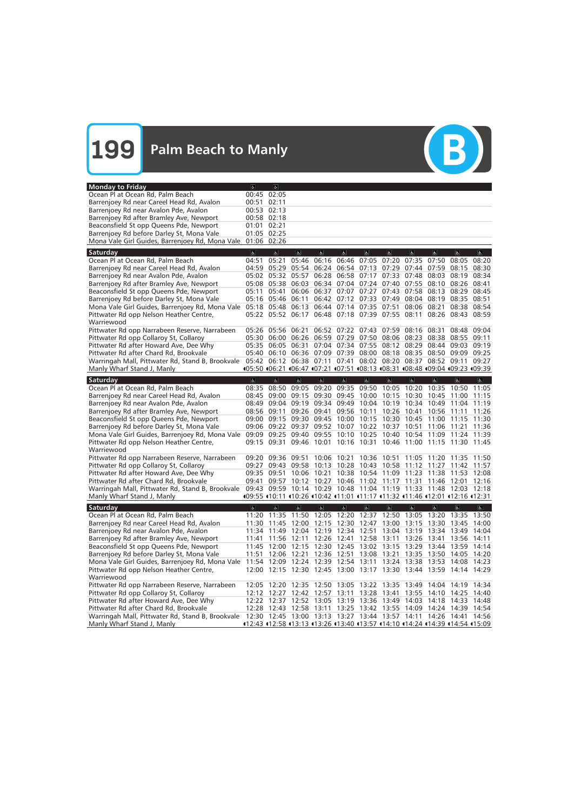| <b>Monday to Friday</b>                                                                                                                          | $\sigma$                                                                     | $\sigma$                |                         |                                           |                         |                         |                                                             |                                                             |                         |                                                                                                                                        |                |
|--------------------------------------------------------------------------------------------------------------------------------------------------|------------------------------------------------------------------------------|-------------------------|-------------------------|-------------------------------------------|-------------------------|-------------------------|-------------------------------------------------------------|-------------------------------------------------------------|-------------------------|----------------------------------------------------------------------------------------------------------------------------------------|----------------|
| Ocean Pl at Ocean Rd, Palm Beach                                                                                                                 |                                                                              | 00:45 02:05             |                         |                                           |                         |                         |                                                             |                                                             |                         |                                                                                                                                        |                |
| Barrenjoey Rd near Careel Head Rd, Avalon                                                                                                        |                                                                              | 00:51 02:11             |                         |                                           |                         |                         |                                                             |                                                             |                         |                                                                                                                                        |                |
| Barrenjoey Rd near Avalon Pde, Avalon                                                                                                            |                                                                              | 00:53 02:13             |                         |                                           |                         |                         |                                                             |                                                             |                         |                                                                                                                                        |                |
| Barrenjoey Rd after Bramley Ave, Newport                                                                                                         |                                                                              | 00:58 02:18             |                         |                                           |                         |                         |                                                             |                                                             |                         |                                                                                                                                        |                |
| Beaconsfield St opp Queens Pde, Newport                                                                                                          | 01:01 02:21                                                                  |                         |                         |                                           |                         |                         |                                                             |                                                             |                         |                                                                                                                                        |                |
| Barrenjoey Rd before Darley St, Mona Vale                                                                                                        |                                                                              | 01:05 02:25             |                         |                                           |                         |                         |                                                             |                                                             |                         |                                                                                                                                        |                |
| Mona Vale Girl Guides, Barrenjoey Rd, Mona Vale                                                                                                  |                                                                              | 01:06 02:26             |                         |                                           |                         |                         |                                                             |                                                             |                         |                                                                                                                                        |                |
| Saturday                                                                                                                                         | $\overline{6}$                                                               | $\sigma$                | $\mathbf{P}$            | $\mathbb{P}$                              | $\sigma$                | $\sigma$                | $\sigma$                                                    | $\sigma$                                                    | $\sigma$                | $\sigma$                                                                                                                               | $\sigma$       |
| Ocean Pl at Ocean Rd, Palm Beach                                                                                                                 | 04:51                                                                        | 05:21                   |                         | 05:46 06:16 06:46 07:05 07:20             |                         |                         |                                                             | 07:35                                                       | 07:50                   | 08:05                                                                                                                                  | 08:20          |
| Barrenjoey Rd near Careel Head Rd, Avalon                                                                                                        |                                                                              | 04:59 05:29             |                         | 05:54 06:24 06:54 07:13 07:29             |                         |                         |                                                             |                                                             | 07:44 07:59             | 08:15                                                                                                                                  | 08:30          |
| Barrenjoey Rd near Avalon Pde, Avalon                                                                                                            |                                                                              |                         |                         |                                           |                         |                         | 05:02 05:32 05:57 06:28 06:58 07:17 07:33 07:48 08:03 08:19 |                                                             |                         |                                                                                                                                        | 08:34          |
| Barrenjoey Rd after Bramley Ave, Newport                                                                                                         |                                                                              |                         |                         |                                           |                         |                         | 05:08 05:38 06:03 06:34 07:04 07:24 07:40 07:55 08:10 08:26 |                                                             |                         |                                                                                                                                        | 08:41          |
| Beaconsfield St opp Queens Pde, Newport                                                                                                          |                                                                              | 05:11 05:41             |                         |                                           |                         |                         | 06:06 06:37 07:07 07:27 07:43                               | 07:58                                                       | 08:13                   | 08:29                                                                                                                                  | 08:45          |
| Barrenjoey Rd before Darley St, Mona Vale                                                                                                        |                                                                              |                         |                         |                                           |                         |                         | 05:16 05:46 06:11 06:42 07:12 07:33 07:49                   | 08:04                                                       |                         | 08:19 08:35 08:51                                                                                                                      |                |
| Mona Vale Girl Guides, Barrenjoey Rd, Mona Vale                                                                                                  |                                                                              |                         |                         | 05:18 05:48 06:13 06:44 07:14 07:35 07:51 |                         |                         |                                                             | 08:06                                                       | 08:21                   | 08:38 08:54                                                                                                                            |                |
| Pittwater Rd opp Nelson Heather Centre,                                                                                                          |                                                                              |                         |                         |                                           |                         |                         | 05:22 05:52 06:17 06:48 07:18 07:39 07:55 08:11             |                                                             |                         | 08:26 08:43 08:59                                                                                                                      |                |
| Warriewood                                                                                                                                       |                                                                              |                         |                         |                                           |                         |                         |                                                             |                                                             |                         |                                                                                                                                        |                |
| Pittwater Rd opp Narrabeen Reserve, Narrabeen                                                                                                    |                                                                              | 05:26 05:56             | 06:21                   |                                           |                         |                         | 06:52 07:22 07:43 07:59                                     | 08:16                                                       | 08:31                   | 08:48                                                                                                                                  | 09:04          |
| Pittwater Rd opp Collaroy St, Collaroy                                                                                                           |                                                                              | 05:30 06:00             |                         |                                           |                         |                         | 06:26 06:59 07:29 07:50 08:06                               | 08:23                                                       |                         | 08:38 08:55 09:11                                                                                                                      |                |
| Pittwater Rd after Howard Ave, Dee Why                                                                                                           |                                                                              |                         |                         |                                           |                         |                         | 05:35 06:05 06:31 07:04 07:34 07:55 08:12 08:29             |                                                             |                         | 08:44 09:03 09:19                                                                                                                      |                |
| Pittwater Rd after Chard Rd, Brookvale                                                                                                           |                                                                              |                         |                         |                                           |                         |                         |                                                             |                                                             |                         | 05:40 06:10 06:36 07:09 07:39 08:00 08:18 08:35 08:50 09:09 09:25                                                                      |                |
| Warringah Mall, Pittwater Rd, Stand B, Brookvale                                                                                                 |                                                                              |                         |                         |                                           |                         |                         | 05:42 06:12 06:38 07:11 07:41 08:02 08:20 08:37 08:52 09:11 |                                                             |                         |                                                                                                                                        | 09:27          |
| Manly Wharf Stand J, Manly                                                                                                                       | 405:50 406:21 406:47 407:21 407:51 408:13 408:31 408:48 409:04 409:23 409:39 |                         |                         |                                           |                         |                         |                                                             |                                                             |                         |                                                                                                                                        |                |
| Saturday                                                                                                                                         | $\overline{a}$                                                               | $\overline{\mathbf{e}}$ | $\overline{a}$          | $\overline{6}$                            | $\overline{d}$          | $\overline{6}$          | $\overline{6}$                                              | $\overline{\mathbf{c}}$                                     | $\overline{6}$          | $\overline{6}$                                                                                                                         | $\overline{a}$ |
| Ocean Pl at Ocean Rd, Palm Beach                                                                                                                 |                                                                              |                         |                         |                                           |                         |                         |                                                             |                                                             |                         | 08:35 08:50 09:05 09:20 09:35 09:50 10:05 10:20 10:35 10:50 11:05                                                                      |                |
| Barrenjoey Rd near Careel Head Rd, Avalon                                                                                                        | 08:45                                                                        | 09:00                   | 09:15                   |                                           | 09:30 09:45             | 10:00                   |                                                             | 10:15 10:30                                                 | 10:45                   | 11:00                                                                                                                                  | 11:15          |
| Barrenjoey Rd near Avalon Pde, Avalon                                                                                                            | 08:49                                                                        | 09:04                   |                         |                                           |                         |                         | 09:19 09:34 09:49 10:04 10:19 10:34                         |                                                             |                         | 10:49 11:04                                                                                                                            | 11:19          |
| Barrenjoey Rd after Bramley Ave, Newport                                                                                                         |                                                                              | 08:56 09:11             |                         | 09:26 09:41                               |                         |                         | 09:56 10:11 10:26 10:41                                     |                                                             | 10:56 11:11             |                                                                                                                                        | 11:26          |
| Beaconsfield St opp Queens Pde, Newport                                                                                                          |                                                                              |                         |                         |                                           |                         |                         | 09:00 09:15 09:30 09:45 10:00 10:15 10:30 10:45 11:00 11:15 |                                                             |                         |                                                                                                                                        | 11:30          |
| Barrenjoey Rd before Darley St, Mona Vale                                                                                                        |                                                                              |                         |                         | 09:06 09:22 09:37 09:52 10:07 10:22 10:37 |                         |                         |                                                             | 10:51                                                       | 11:06                   | 11:21                                                                                                                                  | 11:36          |
| Mona Vale Girl Guides, Barrenjoey Rd, Mona Vale                                                                                                  |                                                                              |                         |                         | 09:09 09:25 09:40 09:55 10:10 10:25 10:40 |                         |                         |                                                             | 10:54 11:09                                                 |                         | 11:24                                                                                                                                  | 11:39          |
| Pittwater Rd opp Nelson Heather Centre,                                                                                                          |                                                                              |                         |                         |                                           |                         |                         |                                                             |                                                             |                         | 09:15 09:31 09:46 10:01 10:16 10:31 10:46 11:00 11:15 11:30 11:45                                                                      |                |
| Warriewood                                                                                                                                       |                                                                              |                         |                         |                                           |                         |                         |                                                             |                                                             |                         |                                                                                                                                        |                |
| Pittwater Rd opp Narrabeen Reserve, Narrabeen                                                                                                    |                                                                              | 09:20 09:36             | 09:51                   |                                           | 10:06 10:21 10:36 10:51 |                         |                                                             | 11:05 11:20 11:35                                           |                         |                                                                                                                                        | 11:50          |
| Pittwater Rd opp Collaroy St, Collaroy                                                                                                           |                                                                              | 09:27 09:43             | 09:58                   |                                           |                         |                         | 10:13 10:28 10:43 10:58 11:12 11:27                         |                                                             |                         | 11:42                                                                                                                                  | 11:57          |
| Pittwater Rd after Howard Ave, Dee Why                                                                                                           |                                                                              | 09:35 09:51             |                         | 10:06 10:21                               |                         |                         |                                                             |                                                             |                         | 10:38 10:54 11:09 11:23 11:38 11:53 12:08                                                                                              |                |
| Pittwater Rd after Chard Rd, Brookvale                                                                                                           |                                                                              |                         |                         |                                           |                         |                         |                                                             |                                                             |                         | 09:41 09:57 10:12 10:27 10:46 11:02 11:17 11:31 11:46 12:01 12:16                                                                      |                |
| Warringah Mall, Pittwater Rd, Stand B, Brookvale 09:43 09:59 10:14 10:29 10:48 11:04 11:19 11:33 11:48 12:03 12:18<br>Manly Wharf Stand J, Manly | 409:55 410:11 410:26 410:42 411:01 411:17 411:32 411:46 412:01 412:16 412:31 |                         |                         |                                           |                         |                         |                                                             |                                                             |                         |                                                                                                                                        |                |
|                                                                                                                                                  |                                                                              |                         |                         |                                           |                         |                         |                                                             |                                                             |                         |                                                                                                                                        |                |
| Saturday                                                                                                                                         | $\overline{\mathbf{g}}$                                                      | $\overline{\mathbf{e}}$ | $\overline{\mathbf{e}}$ | $\overline{\mathbb{G}}$                   | $\overline{\mathbb{G}}$ | $\overline{\mathbf{G}}$ | $\overline{\mathbf{e}}$                                     | $\overline{\mathbf{e}}$                                     | $\overline{\mathbf{g}}$ | $\overline{\mathbf{e}}$                                                                                                                | $\overline{a}$ |
| Ocean Pl at Ocean Rd, Palm Beach                                                                                                                 |                                                                              |                         |                         |                                           |                         |                         |                                                             |                                                             |                         | 11:20 11:35 11:50 12:05 12:20 12:37 12:50 13:05 13:20 13:35 13:50                                                                      |                |
| Barrenjoey Rd near Careel Head Rd, Avalon                                                                                                        |                                                                              |                         |                         |                                           |                         |                         |                                                             |                                                             |                         | 11:30 11:45 12:00 12:15 12:30 12:47 13:00 13:15 13:30 13:45 14:00                                                                      |                |
| Barrenjoey Rd near Avalon Pde, Avalon                                                                                                            |                                                                              |                         |                         |                                           |                         |                         |                                                             |                                                             |                         | 11:34 11:49 12:04 12:19 12:34 12:51 13:04 13:19 13:34 13:49 14:04                                                                      |                |
| Barrenjoey Rd after Bramley Ave, Newport                                                                                                         |                                                                              |                         |                         |                                           |                         |                         |                                                             |                                                             |                         | 11:41 11:56 12:11 12:26 12:41 12:58 13:11 13:26 13:41 13:56 14:11                                                                      |                |
| Beaconsfield St opp Queens Pde, Newport                                                                                                          |                                                                              |                         |                         |                                           |                         |                         |                                                             |                                                             |                         | 11:45 12:00 12:15 12:30 12:45 13:02 13:15 13:29 13:44 13:59 14:14                                                                      |                |
| Barrenjoey Rd before Darley St, Mona Vale                                                                                                        |                                                                              |                         |                         |                                           |                         |                         |                                                             |                                                             |                         | 11:51 12:06 12:21 12:36 12:51 13:08 13:21 13:35 13:50 14:05 14:20<br>11:54 12:09 12:24 12:39 12:54 13:11 13:24 13:38 13:53 14:08 14:23 |                |
| Mona Vale Girl Guides, Barrenjoey Rd, Mona Vale<br>Pittwater Rd opp Nelson Heather Centre,                                                       |                                                                              |                         |                         |                                           |                         |                         |                                                             |                                                             |                         | 12:00 12:15 12:30 12:45 13:00 13:17 13:30 13:44 13:59 14:14 14:29                                                                      |                |
| Warriewood                                                                                                                                       |                                                                              |                         |                         |                                           |                         |                         |                                                             |                                                             |                         |                                                                                                                                        |                |
| Pittwater Rd opp Narrabeen Reserve, Narrabeen                                                                                                    |                                                                              |                         |                         |                                           |                         |                         |                                                             | 12:05 12:20 12:35 12:50 13:05 13:22 13:35 13:49 14:04 14:19 |                         |                                                                                                                                        | 14:34          |
|                                                                                                                                                  |                                                                              |                         |                         |                                           |                         |                         |                                                             |                                                             |                         |                                                                                                                                        |                |
|                                                                                                                                                  |                                                                              |                         |                         |                                           |                         |                         |                                                             |                                                             |                         |                                                                                                                                        |                |
| Pittwater Rd opp Collaroy St, Collaroy                                                                                                           |                                                                              |                         |                         |                                           |                         |                         |                                                             |                                                             |                         | 12:12 12:27 12:42 12:57 13:11 13:28 13:41 13:55 14:10 14:25 14:40                                                                      |                |
| Pittwater Rd after Howard Ave, Dee Why                                                                                                           |                                                                              |                         |                         |                                           |                         |                         |                                                             |                                                             |                         | 12:22 12:37 12:52 13:05 13:19 13:36 13:49 14:03 14:18 14:33 14:48                                                                      |                |
| Pittwater Rd after Chard Rd, Brookvale                                                                                                           |                                                                              |                         |                         |                                           |                         |                         |                                                             |                                                             |                         | 12:28 12:43 12:58 13:11 13:25 13:42 13:55 14:09 14:24 14:39 14:54                                                                      |                |
| Warringah Mall, Pittwater Rd, Stand B, Brookvale<br>Manly Wharf Stand J, Manly                                                                   | 12:43 112:58 113:13 113:26 113:40 113:57 114:10 114:24 114:39 114:54 115:09  |                         |                         |                                           |                         |                         |                                                             |                                                             |                         | 12:30 12:45 13:00 13:13 13:27 13:44 13:57 14:11 14:26 14:41 14:56                                                                      |                |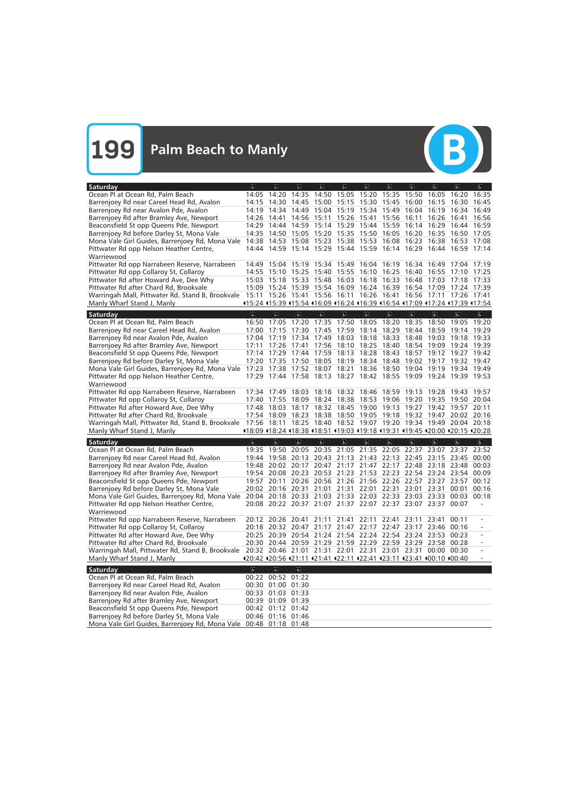

| Saturday                                                                                                           | $\sigma$                                                                     | $ \mathbf{a} $          | $\overline{a}$                                  | $\sigma$                      | $\sigma$          | $\overline{d}$ | $\sigma$                | $\sigma$                                                                    | $\alpha$                | $\overline{a}$          | d              |
|--------------------------------------------------------------------------------------------------------------------|------------------------------------------------------------------------------|-------------------------|-------------------------------------------------|-------------------------------|-------------------|----------------|-------------------------|-----------------------------------------------------------------------------|-------------------------|-------------------------|----------------|
| Ocean Pl at Ocean Rd, Palm Beach                                                                                   | 14:05                                                                        | 14:20                   | 14:35 14:50 15:05 15:20                         |                               |                   |                |                         | 15:35 15:50                                                                 | 16:05                   | 16:20                   | 16:35          |
| Barrenjoey Rd near Careel Head Rd, Avalon                                                                          |                                                                              | 14:15 14:30             | 14:45 15:00 15:15 15:30                         |                               |                   |                | 15:45                   | 16:00                                                                       | 16:15                   | 16:30                   | 16:45          |
| Barrenjoey Rd near Avalon Pde, Avalon                                                                              |                                                                              |                         | 14:19 14:34 14:49 15:04 15:19 15:34 15:49 16:04 |                               |                   |                |                         |                                                                             | 16:19                   | 16:34                   | 16:49          |
| Barrenjoey Rd after Bramley Ave, Newport                                                                           |                                                                              | 14:26 14:41             |                                                 | 14:56 15:11 15:26 15:41       |                   |                |                         | 15:56 16:11                                                                 | 16:26                   | 16:41                   | 16:56          |
| Beaconsfield St opp Queens Pde, Newport                                                                            | 14:29                                                                        | 14:44                   |                                                 |                               |                   |                |                         | 14:59 15:14 15:29 15:44 15:59 16:14 16:29                                   |                         | 16:44                   | 16:59          |
| Barrenjoey Rd before Darley St, Mona Vale                                                                          | 14:35                                                                        |                         | 14:50 15:05 15:20 15:35 15:50                   |                               |                   |                |                         | 16:05 16:20                                                                 | 16:35                   | 16:50                   | 17:05          |
| Mona Vale Girl Guides, Barrenjoey Rd, Mona Vale                                                                    |                                                                              |                         | 14:38 14:53 15:08 15:23 15:38 15:53 16:08 16:23 |                               |                   |                |                         |                                                                             |                         | 16:38 16:53             | 17:08          |
| Pittwater Rd opp Nelson Heather Centre,                                                                            |                                                                              |                         |                                                 |                               |                   |                |                         | 14:44 14:59 15:14 15:29 15:44 15:59 16:14 16:29 16:44 16:59                 |                         |                         | 17:14          |
| Warriewood                                                                                                         |                                                                              |                         |                                                 |                               |                   |                |                         |                                                                             |                         |                         |                |
| Pittwater Rd opp Narrabeen Reserve, Narrabeen                                                                      |                                                                              |                         |                                                 |                               |                   |                |                         | 14:49  15:04  15:19  15:34  15:49  16:04  16:19  16:34  16:49  17:04        |                         |                         | 17:19          |
| Pittwater Rd opp Collaroy St, Collaroy                                                                             |                                                                              | 14:55 15:10             | 15:25 15:40 15:55 16:10 16:25 16:40             |                               |                   |                |                         |                                                                             | 16:55                   | 17:10                   | 17:25          |
| Pittwater Rd after Howard Ave, Dee Why                                                                             |                                                                              | 15:03 15:18 15:33       |                                                 | 15:48 16:03 16:18 16:33       |                   |                |                         | 16:48                                                                       | 17:03                   | 17:18 17:33             |                |
| Pittwater Rd after Chard Rd, Brookvale                                                                             |                                                                              |                         |                                                 |                               |                   |                |                         | 15:09  15:24  15:39  15:54  16:09  16:24  16:39  16:54  17:09  17:24  17:39 |                         |                         |                |
| Warringah Mall, Pittwater Rd, Stand B, Brookvale 15:11 15:26 15:41 15:56 16:11 16:26 16:41 16:56 17:11 17:26 17:41 |                                                                              |                         |                                                 |                               |                   |                |                         |                                                                             |                         |                         |                |
| Manly Wharf Stand J, Manly                                                                                         | 415:24 415:39 415:54 416:09 416:24 416:39 416:54 417:09 417:24 417:39 417:54 |                         |                                                 |                               |                   |                |                         |                                                                             |                         |                         |                |
| Saturday                                                                                                           | $\overline{6}$                                                               | $\overline{\alpha}$     | $\overline{\mathbf{c}}$                         | $\sigma$                      | $\overline{6}$    | $\overline{6}$ | $\overline{\mathbb{G}}$ | $\overline{\mathbf{c}}$                                                     | $\sigma$                | $\sigma$                | $\sigma$       |
| Ocean Pl at Ocean Rd, Palm Beach                                                                                   | 16:50                                                                        | 17:05                   | 17:20                                           | 17:35 17:50 18:05 18:20       |                   |                |                         | 18:35                                                                       | 18:50                   | 19:05                   | 19:20          |
| Barrenjoey Rd near Careel Head Rd, Avalon                                                                          |                                                                              | 17:00 17:15             | 17:30 17:45 17:59                               |                               |                   | 18:14 18:29    |                         | 18:44                                                                       | 18:59                   | 19:14                   | 19:29          |
| Barrenjoey Rd near Avalon Pde, Avalon                                                                              |                                                                              |                         | 17:04 17:19 17:34 17:49 18:03 18:18             |                               |                   |                | 18:33                   | 18:48                                                                       | 19:03                   | 19:18                   | 19:33          |
| Barrenjoey Rd after Bramley Ave, Newport                                                                           | 17:11                                                                        |                         | 17:26 17:41                                     |                               | 17:56 18:10 18:25 |                | 18:40                   | 18:54                                                                       | 19:09                   | 19:24 19:39             |                |
| Beaconsfield St opp Queens Pde, Newport                                                                            |                                                                              |                         | 17:14 17:29 17:44 17:59 18:13 18:28             |                               |                   |                | 18:43                   |                                                                             |                         | 18:57 19:12 19:27 19:42 |                |
| Barrenjoey Rd before Darley St, Mona Vale                                                                          |                                                                              |                         |                                                 |                               |                   |                |                         | 17:20 17:35 17:50 18:05 18:19 18:34 18:48 19:02 19:17 19:32 19:47           |                         |                         |                |
| Mona Vale Girl Guides, Barrenjoey Rd, Mona Vale                                                                    |                                                                              |                         |                                                 |                               |                   |                |                         | 17:23 17:38 17:52 18:07 18:21 18:36 18:50 19:04 19:19 19:34 19:49           |                         |                         |                |
| Pittwater Rd opp Nelson Heather Centre,                                                                            |                                                                              |                         |                                                 |                               |                   |                |                         | 17:29 17:44 17:58 18:13 18:27 18:42 18:55 19:09 19:24 19:39 19:53           |                         |                         |                |
| Warriewood                                                                                                         |                                                                              |                         |                                                 |                               |                   |                |                         |                                                                             |                         |                         |                |
| Pittwater Rd opp Narrabeen Reserve, Narrabeen                                                                      |                                                                              | 17:34 17:49             | 18:03                                           | 18:18 18:32 18:46 18:59 19:13 |                   |                |                         |                                                                             |                         | 19:28 19:43             | 19:57          |
| Pittwater Rd opp Collaroy St, Collaroy                                                                             |                                                                              | 17:40 17:55             | 18:09                                           | 18:24 18:38 18:53 19:06       |                   |                |                         | 19:20                                                                       | 19:35                   | 19:50                   | 20:04          |
| Pittwater Rd after Howard Ave, Dee Why                                                                             | 17:48                                                                        | 18:03                   | 18:17                                           |                               | 18:32 18:45 19:00 |                | 19:13                   | 19:27                                                                       | 19:42                   | 19:57                   | 20:11          |
| Pittwater Rd after Chard Rd, Brookvale                                                                             |                                                                              | 17:54 18:09             | 18:23                                           |                               |                   |                |                         | 18:38 18:50 19:05 19:18 19:32 19:47 20:02 20:16                             |                         |                         |                |
| Warringah Mall, Pittwater Rd, Stand B, Brookvale 17:56 18:11                                                       |                                                                              |                         |                                                 |                               |                   |                |                         | 18:25 18:40 18:52 19:07 19:20 19:34 19:49 20:04 20:18                       |                         |                         |                |
| Manly Wharf Stand J, Manly                                                                                         | 18:09 18:24 18:38 18:51 19:03 19:18 19:31 19:45 120:00 120:15 120:28         |                         |                                                 |                               |                   |                |                         |                                                                             |                         |                         |                |
| Saturday                                                                                                           | $\overline{6}$                                                               | $\overline{6}$          | $\overline{\mathbf{r}}$                         | $\overline{d}$                | $\overline{d}$    | $\overline{6}$ | $\overline{6}$          | $\overline{\mathbf{a}}$                                                     | $\overline{\mathbf{a}}$ | $\sigma$                | $\overline{a}$ |
| Ocean Pl at Ocean Rd, Palm Beach                                                                                   | 19:35                                                                        | 19:50                   | 20:05                                           |                               | 20:35 21:05 21:35 |                | 22:05 22:37             |                                                                             | 23:07                   | 23:37                   | 23:52          |
| Barrenjoey Rd near Careel Head Rd, Avalon                                                                          |                                                                              | 19:44 19:58             | 20:13                                           |                               |                   |                |                         | 20:43 21:13 21:43 22:13 22:45 23:15                                         |                         | 23:45                   | 00:00          |
| Barrenjoey Rd near Avalon Pde, Avalon                                                                              | 19:48                                                                        |                         | 20:02 20:17                                     | 20:47                         | 21:17             | 21:47          |                         | 22:17 22:48 23:18 23:48                                                     |                         |                         | 00:03          |
| Barrenjoey Rd after Bramley Ave, Newport                                                                           |                                                                              | 19:54 20:08             | 20:23                                           |                               |                   |                |                         | 20:53 21:23 21:53 22:23 22:54 23:24 23:54                                   |                         |                         | 00:09          |
| Beaconsfield St opp Queens Pde, Newport                                                                            |                                                                              | 19:57 20:11             |                                                 |                               |                   |                |                         | 20:26 20:56 21:26 21:56 22:26 22:57 23:27 23:57                             |                         |                         | 00:12          |
| Barrenjoey Rd before Darley St, Mona Vale                                                                          |                                                                              |                         |                                                 |                               |                   |                |                         | 20:02 20:16 20:31 21:01 21:31 22:01 22:31 23:01 23:31 00:01                 |                         |                         | 00:16          |
| Mona Vale Girl Guides, Barrenjoey Rd, Mona Vale 20:04 20:18 20:33 21:03 21:33 22:03 22:33 23:03 23:33 00:03 00:18  |                                                                              |                         |                                                 |                               |                   |                |                         |                                                                             |                         |                         |                |
| Pittwater Rd opp Nelson Heather Centre,                                                                            |                                                                              |                         |                                                 |                               |                   |                |                         | 20:08 20:22 20:37 21:07 21:37 22:07 22:37 23:07 23:37 00:07                 |                         |                         |                |
| Warriewood                                                                                                         |                                                                              |                         |                                                 |                               |                   |                |                         |                                                                             |                         |                         |                |
| Pittwater Rd opp Narrabeen Reserve, Narrabeen                                                                      |                                                                              |                         |                                                 |                               |                   |                |                         | 20:12 20:26 20:41 21:11 21:41 22:11 22:41 23:11 23:41                       |                         | 00:11                   |                |
| Pittwater Rd opp Collaroy St, Collaroy                                                                             |                                                                              |                         |                                                 |                               |                   |                |                         | 20:18 20:32 20:47 21:17 21:47 22:17 22:47 23:17 23:46 00:16                 |                         |                         |                |
| Pittwater Rd after Howard Ave, Dee Why                                                                             |                                                                              |                         |                                                 |                               |                   |                |                         | 20:25 20:39 20:54 21:24 21:54 22:24 22:54 23:24 23:53 00:23                 |                         |                         |                |
| Pittwater Rd after Chard Rd, Brookvale                                                                             |                                                                              |                         |                                                 |                               |                   |                |                         | 20:30 20:44 20:59 21:29 21:59 22:29 22:59 23:29 23:58 00:28                 |                         |                         |                |
| Warringah Mall, Pittwater Rd, Stand B, Brookvale                                                                   |                                                                              |                         |                                                 |                               |                   |                |                         | 20:32 20:46 21:01 21:31 22:01 22:31 23:01 23:31 00:00 00:30                 |                         |                         |                |
| Manly Wharf Stand J, Manly                                                                                         | 420:42 420:56 421:11 421:41 422:11 422:41 423:11 423:41 400:10 400:40        |                         |                                                 |                               |                   |                |                         |                                                                             |                         |                         |                |
| Saturday                                                                                                           | $\overline{6}$                                                               | $\overline{\mathbf{r}}$ | $\sigma$                                        |                               |                   |                |                         |                                                                             |                         |                         |                |
| Ocean Pl at Ocean Rd, Palm Beach                                                                                   |                                                                              | 00:22 00:52 01:22       |                                                 |                               |                   |                |                         |                                                                             |                         |                         |                |
| Barrenjoey Rd near Careel Head Rd, Avalon                                                                          |                                                                              | 00:30 01:00 01:30       |                                                 |                               |                   |                |                         |                                                                             |                         |                         |                |
| Barrenjoey Rd near Avalon Pde, Avalon                                                                              |                                                                              | 00:33 01:03 01:33       |                                                 |                               |                   |                |                         |                                                                             |                         |                         |                |
| Barrenjoey Rd after Bramley Ave, Newport                                                                           |                                                                              | 00:39 01:09 01:39       |                                                 |                               |                   |                |                         |                                                                             |                         |                         |                |
| Beaconsfield St opp Queens Pde, Newport                                                                            |                                                                              |                         |                                                 |                               |                   |                |                         |                                                                             |                         |                         |                |
|                                                                                                                    |                                                                              |                         |                                                 |                               |                   |                |                         |                                                                             |                         |                         |                |
| Barrenjoey Rd before Darley St, Mona Vale                                                                          |                                                                              | 00:46 01:16 01:46       | 00:42 01:12 01:42                               |                               |                   |                |                         |                                                                             |                         |                         |                |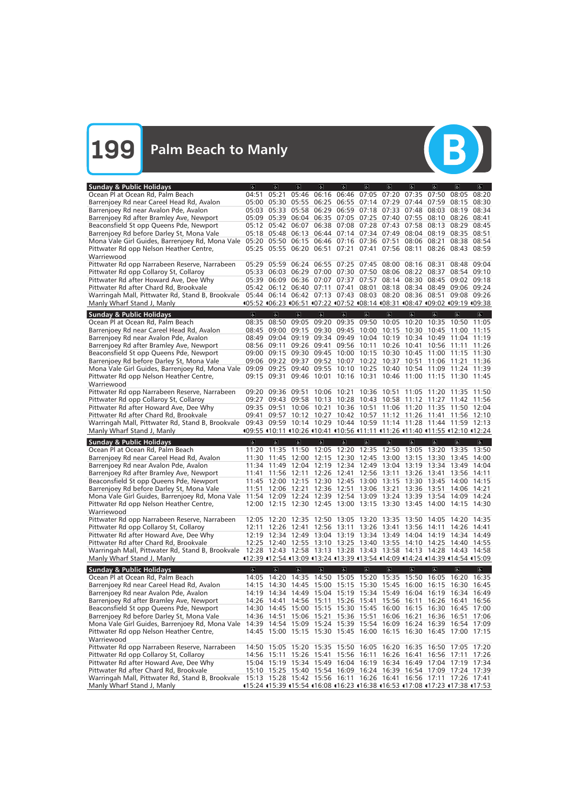

| <b>Sunday &amp; Public Holidays</b>                                                                                                                          | $\sigma$                | $\sigma$                | $\sigma$                                                                     | a                       | $\overline{d}$                | 6                                | $\sigma$                                        | $\sigma$            | $\vert$                 | $\vert$                       | $ \mathbf{f} $          |
|--------------------------------------------------------------------------------------------------------------------------------------------------------------|-------------------------|-------------------------|------------------------------------------------------------------------------|-------------------------|-------------------------------|----------------------------------|-------------------------------------------------|---------------------|-------------------------|-------------------------------|-------------------------|
| Ocean Pl at Ocean Rd, Palm Beach                                                                                                                             | 04:51                   | 05:21                   |                                                                              |                         |                               |                                  | 05:46 06:16 06:46 07:05 07:20                   | 07:35               | 07:50                   | 08:05                         | 08:20                   |
| Barrenjoey Rd near Careel Head Rd, Avalon                                                                                                                    |                         |                         | 05:00 05:30 05:55 06:25 06:55 07:14 07:29 07:44                              |                         |                               |                                  |                                                 |                     | 07:59                   | 08:15                         | 08:30                   |
| Barrenjoey Rd near Avalon Pde, Avalon                                                                                                                        |                         |                         | 05:03 05:33 05:58 06:29 06:59 07:18 07:33 07:48                              |                         |                               |                                  |                                                 |                     | 08:03                   | 08:19                         | 08:34                   |
| Barrenjoey Rd after Bramley Ave, Newport                                                                                                                     |                         |                         | 05:09 05:39 06:04 06:35 07:05 07:25 07:40 07:55                              |                         |                               |                                  |                                                 |                     | 08:10                   | 08:26                         | 08:41                   |
| Beaconsfield St opp Queens Pde, Newport                                                                                                                      |                         |                         | 05:12 05:42 06:07 06:38 07:08 07:28 07:43 07:58                              |                         |                               |                                  |                                                 |                     | 08:13                   | 08:29                         | 08:45                   |
| Barrenjoey Rd before Darley St, Mona Vale                                                                                                                    |                         |                         | 05:18 05:48 06:13 06:44 07:14 07:34 07:49                                    |                         |                               |                                  |                                                 |                     | 08:04 08:19             | 08:35                         | 08:51                   |
| Mona Vale Girl Guides, Barrenjoey Rd, Mona Vale                                                                                                              |                         | 05:20 05:50             |                                                                              |                         | 06:15 06:46 07:16 07:36 07:51 |                                  |                                                 | 08:06               | 08:21                   |                               | 08:38 08:54             |
| Pittwater Rd opp Nelson Heather Centre,                                                                                                                      |                         |                         | 05:25 05:55 06:20 06:51 07:21 07:41 07:56 08:11                              |                         |                               |                                  |                                                 |                     |                         | 08:26 08:43                   | 08:59                   |
| Warriewood                                                                                                                                                   |                         |                         |                                                                              |                         |                               |                                  |                                                 |                     |                         |                               |                         |
| Pittwater Rd opp Narrabeen Reserve, Narrabeen                                                                                                                |                         | 05:29 05:59             |                                                                              |                         |                               |                                  | 06:24 06:55 07:25 07:45 08:00 08:16             |                     | 08:31                   | 08:48 09:04                   |                         |
| Pittwater Rd opp Collaroy St, Collaroy                                                                                                                       |                         |                         | 05:33 06:03 06:29 07:00 07:30 07:50 08:06 08:22                              |                         |                               |                                  |                                                 |                     | 08:37                   | 08:54 09:10                   |                         |
| Pittwater Rd after Howard Ave, Dee Why                                                                                                                       |                         |                         | 05:39 06:09 06:36 07:07 07:37 07:57                                          |                         |                               |                                  |                                                 | 08:14 08:30         | 08:45                   | 09:02                         | 09:18                   |
| Pittwater Rd after Chard Rd, Brookvale                                                                                                                       |                         |                         | 05:42 06:12 06:40 07:11 07:41                                                |                         |                               | 08:01                            |                                                 |                     |                         | 08:18 08:34 08:49 09:06 09:24 |                         |
| Warringah Mall, Pittwater Rd, Stand B, Brookvale                                                                                                             |                         |                         | 05:44 06:14 06:42 07:13 07:43 08:03 08:20 08:36 08:51 09:08 09:26            |                         |                               |                                  |                                                 |                     |                         |                               |                         |
| Manly Wharf Stand J, Manly                                                                                                                                   |                         |                         | 405:52 406:23 406:51 407:22 407:52 408:14 408:31 408:47 409:02 409:19 409:38 |                         |                               |                                  |                                                 |                     |                         |                               |                         |
| <b>Sunday &amp; Public Holidays</b>                                                                                                                          | $\overline{\mathbf{c}}$ | $\sigma$                | $\sigma$                                                                     | $\overline{\mathbb{Q}}$ | $\overline{6}$                | $\left\vert \varphi \right\vert$ | $\Delta$                                        | $\overline{\infty}$ | $\overline{\mathbf{r}}$ | $\overline{6}$                | $\mathbf{P}$            |
| Ocean Pl at Ocean Rd, Palm Beach                                                                                                                             | 08:35                   | 08:50                   | 09:05                                                                        | 09:20                   | 09:35                         |                                  | 09:50 10:05                                     | 10:20               | 10:35                   | 10:50                         | 11:05                   |
| Barrenjoey Rd near Careel Head Rd, Avalon                                                                                                                    |                         | $08:45$ $09:00$         |                                                                              |                         | 09:15 09:30 09:45 10:00 10:15 |                                  |                                                 | 10:30               | 10:45                   | 11:00                         | 11:15                   |
| Barrenjoey Rd near Avalon Pde, Avalon                                                                                                                        |                         | 08:49 09:04             |                                                                              |                         |                               |                                  | 09:19 09:34 09:49 10:04 10:19 10:34             |                     | 10:49                   |                               | 11:04 11:19             |
| Barrenjoey Rd after Bramley Ave, Newport                                                                                                                     |                         | 08:56 09:11             |                                                                              |                         | 09:26 09:41 09:56 10:11       |                                  | 10:26                                           | 10:41               | 10:56                   | 11:11                         | 11:26                   |
| Beaconsfield St opp Queens Pde, Newport                                                                                                                      |                         |                         | 09:00 09:15 09:30 09:45 10:00 10:15 10:30                                    |                         |                               |                                  |                                                 | 10:45               | 11:00                   |                               | 11:15 11:30             |
| Barrenjoey Rd before Darley St, Mona Vale                                                                                                                    |                         |                         | 09:06 09:22 09:37 09:52 10:07 10:22 10:37                                    |                         |                               |                                  |                                                 | 10:51               |                         | 11:06 11:21 11:36             |                         |
| Mona Vale Girl Guides, Barrenjoey Rd, Mona Vale                                                                                                              |                         |                         | 09:09 09:25 09:40 09:55 10:10 10:25 10:40                                    |                         |                               |                                  |                                                 | 10:54               |                         | 11:09 11:24 11:39             |                         |
| Pittwater Rd opp Nelson Heather Centre,                                                                                                                      |                         |                         | 09:15 09:31 09:46 10:01 10:16 10:31 10:46 11:00 11:15 11:30 11:45            |                         |                               |                                  |                                                 |                     |                         |                               |                         |
| Warriewood                                                                                                                                                   |                         |                         |                                                                              |                         |                               |                                  |                                                 |                     |                         |                               |                         |
| Pittwater Rd opp Narrabeen Reserve, Narrabeen                                                                                                                |                         | 09:20 09:36             | 09:51                                                                        |                         |                               |                                  | 10:06 10:21 10:36 10:51 11:05 11:20 11:35 11:50 |                     |                         |                               |                         |
| Pittwater Rd opp Collaroy St, Collaroy                                                                                                                       |                         | 09:27 09:43             | 09:58                                                                        | 10:13                   |                               |                                  | 10:28 10:43 10:58                               |                     |                         | 11:12 11:27 11:42 11:56       |                         |
| Pittwater Rd after Howard Ave, Dee Why                                                                                                                       |                         | 09:35 09:51             | 10:06                                                                        | 10:21                   |                               | 10:36 10:51                      | 11:06 11:20                                     |                     | 11:35                   |                               | 11:50 12:04             |
| Pittwater Rd after Chard Rd, Brookvale                                                                                                                       |                         | 09:41 09:57             |                                                                              |                         |                               |                                  | 10:12 10:27 10:42 10:57 11:12 11:26 11:41       |                     |                         | 11:56 12:10                   |                         |
| Warringah Mall, Pittwater Rd, Stand B, Brookvale                                                                                                             |                         |                         | 09:43 09:59 10:14 10:29 10:44 10:59 11:14 11:28 11:44 11:59 12:13            |                         |                               |                                  |                                                 |                     |                         |                               |                         |
| Manly Wharf Stand J, Manly                                                                                                                                   |                         |                         | 409:55 410:11 410:26 410:41 410:56 411:11 411:26 411:40 411:55 412:10 412:24 |                         |                               |                                  |                                                 |                     |                         |                               |                         |
|                                                                                                                                                              |                         |                         |                                                                              |                         |                               |                                  |                                                 |                     |                         |                               |                         |
|                                                                                                                                                              |                         |                         |                                                                              |                         |                               |                                  |                                                 |                     |                         |                               |                         |
| <b>Sunday &amp; Public Holidays</b>                                                                                                                          | $\overline{\mathbf{b}}$ | $\overline{\mathbf{r}}$ | $\overline{a}$                                                               | $\overline{a}$          | $\overline{6}$                | $\overline{6}$                   | $\overline{b}$                                  | $\overline{a}$      | $\overline{\sigma}$     | $ \mathbf{f} $                | $\overline{\mathbf{r}}$ |
| Ocean Pl at Ocean Rd, Palm Beach                                                                                                                             |                         | 11:20 11:35             | 11:50                                                                        | 12:05                   | 12:20                         |                                  | 12:35 12:50                                     | 13:05               | 13:20                   |                               | 13:35 13:50             |
| Barrenjoey Rd near Careel Head Rd, Avalon                                                                                                                    | 11:30                   | 11:45                   | 12:00                                                                        | 12:15                   |                               |                                  | 12:30 12:45 13:00                               | 13:15               | 13:30                   |                               | 13:45 14:00             |
| Barrenjoey Rd near Avalon Pde, Avalon                                                                                                                        |                         | 11:34 11:49             | 12:04                                                                        | 12:19                   |                               |                                  | 12:34 12:49 13:04                               | 13:19               | 13:34                   | 13:49 14:04                   |                         |
| Barrenjoey Rd after Bramley Ave, Newport                                                                                                                     | 11:41                   | 11:56                   | 12:11                                                                        | 12:26                   | 12:41                         | 12:56 13:11                      |                                                 | 13:26               | 13:41                   | 13:56                         | 14:11                   |
| Beaconsfield St opp Queens Pde, Newport                                                                                                                      |                         |                         | 11:45 12:00 12:15 12:30 12:45 13:00 13:15 13:30 13:45                        |                         |                               |                                  |                                                 |                     |                         | 14:00 14:15                   |                         |
| Barrenjoey Rd before Darley St, Mona Vale                                                                                                                    |                         |                         | 11:51 12:06 12:21 12:36 12:51 13:06 13:21 13:36 13:51 14:06 14:21            |                         |                               |                                  |                                                 |                     |                         |                               |                         |
| Mona Vale Girl Guides, Barrenjoey Rd, Mona Vale 11:54 12:09 12:24 12:39 12:54 13:09 13:24 13:39 13:54 14:09 14:24                                            |                         |                         |                                                                              |                         |                               |                                  |                                                 |                     |                         |                               |                         |
| Pittwater Rd opp Nelson Heather Centre,                                                                                                                      |                         |                         | 12:00 12:15 12:30 12:45 13:00 13:15 13:30 13:45 14:00 14:15 14:30            |                         |                               |                                  |                                                 |                     |                         |                               |                         |
| Warriewood                                                                                                                                                   |                         |                         |                                                                              |                         |                               |                                  |                                                 |                     |                         |                               |                         |
| Pittwater Rd opp Narrabeen Reserve, Narrabeen                                                                                                                |                         |                         | 12:05 12:20 12:35 12:50 13:05 13:20 13:35 13:50 14:05 14:20 14:35            |                         |                               |                                  |                                                 |                     |                         |                               |                         |
| Pittwater Rd opp Collaroy St, Collaroy                                                                                                                       |                         |                         | 12:11 12:26 12:41 12:56 13:11 13:26 13:41 13:56 14:11 14:26 14:41            |                         |                               |                                  |                                                 |                     |                         |                               |                         |
| Pittwater Rd after Howard Ave, Dee Why                                                                                                                       |                         |                         | 12:19 12:34 12:49 13:04 13:19 13:34 13:49 14:04 14:19                        |                         |                               |                                  |                                                 |                     |                         | 14:34 14:49                   |                         |
| Pittwater Rd after Chard Rd, Brookvale                                                                                                                       |                         |                         | 12:25 12:40 12:55 13:10 13:25 13:40 13:55 14:10 14:25                        |                         |                               |                                  |                                                 |                     |                         | 14:40 14:55                   |                         |
| Warringah Mall, Pittwater Rd, Stand B, Brookvale 12:28 12:43 12:58 13:13 13:28 13:43 13:58 14:13 14:28 14:43 14:58                                           |                         |                         |                                                                              |                         |                               |                                  |                                                 |                     |                         |                               |                         |
| Manly Wharf Stand J, Manly                                                                                                                                   |                         |                         | 12:39 112:54 113:09 113:24 113:39 113:54 114:09 114:24 114:39 114:54 115:09  |                         |                               |                                  |                                                 |                     |                         |                               |                         |
| <b>Sunday &amp; Public Holidays</b>                                                                                                                          | $\overline{\mathbf{c}}$ | $\overline{\mathbf{r}}$ | $\overline{a}$                                                               | $\overline{a}$          | $\overline{6}$                | $\overline{6}$                   | $\overline{b}$                                  | $\overline{6}$      | $\overline{\mathbf{r}}$ | $\overline{a}$                | $\overline{\mathbf{r}}$ |
| Ocean Pl at Ocean Rd, Palm Beach                                                                                                                             |                         |                         | 14:05 14:20 14:35 14:50 15:05 15:20 15:35 15:50 16:05 16:20 16:35            |                         |                               |                                  |                                                 |                     |                         |                               |                         |
| Barrenjoey Rd near Careel Head Rd, Avalon                                                                                                                    |                         |                         | 14:15 14:30 14:45 15:00 15:15 15:30 15:45 16:00 16:15 16:30 16:45            |                         |                               |                                  |                                                 |                     |                         |                               |                         |
| Barrenjoey Rd near Avalon Pde, Avalon                                                                                                                        |                         |                         | 14:19 14:34 14:49 15:04 15:19 15:34 15:49 16:04                              |                         |                               |                                  |                                                 |                     |                         | 16:19 16:34 16:49             |                         |
|                                                                                                                                                              |                         |                         | 14:26 14:41 14:56 15:11 15:26 15:41 15:56 16:11                              |                         |                               |                                  |                                                 |                     |                         | 16:26 16:41                   | 16:56                   |
| Barrenjoey Rd after Bramley Ave, Newport                                                                                                                     |                         |                         | 14:30 14:45 15:00 15:15                                                      |                         |                               |                                  | 15:30 15:45 16:00 16:15                         |                     |                         | 16:30 16:45 17:00             |                         |
| Beaconsfield St opp Queens Pde, Newport                                                                                                                      |                         |                         | 14:36 14:51 15:06 15:21 15:36 15:51 16:06 16:21                              |                         |                               |                                  |                                                 |                     |                         | 16:36 16:51 17:06             |                         |
| Barrenjoey Rd before Darley St, Mona Vale                                                                                                                    |                         |                         |                                                                              |                         |                               |                                  |                                                 |                     |                         |                               |                         |
| Mona Vale Girl Guides, Barrenjoey Rd, Mona Vale 14:39 14:54 15:09 15:24 15:39 15:54 16:09 16:24 16:39 16:54 17:09<br>Pittwater Rd opp Nelson Heather Centre, |                         |                         | 14:45 15:00 15:15 15:30 15:45 16:00 16:15 16:30 16:45 17:00 17:15            |                         |                               |                                  |                                                 |                     |                         |                               |                         |
| Warriewood                                                                                                                                                   |                         |                         |                                                                              |                         |                               |                                  |                                                 |                     |                         |                               |                         |
| Pittwater Rd opp Narrabeen Reserve, Narrabeen                                                                                                                |                         |                         | 14:50 15:05 15:20 15:35 15:50 16:05 16:20 16:35 16:50 17:05 17:20            |                         |                               |                                  |                                                 |                     |                         |                               |                         |
| Pittwater Rd opp Collaroy St, Collaroy                                                                                                                       |                         |                         | 14:56 15:11 15:26 15:41 15:56 16:11 16:26 16:41                              |                         |                               |                                  |                                                 |                     |                         | 16:56 17:11                   | 17:26                   |
| Pittwater Rd after Howard Ave, Dee Why                                                                                                                       |                         |                         | 15:04 15:19 15:34 15:49 16:04 16:19 16:34 16:49 17:04 17:19 17:34            |                         |                               |                                  |                                                 |                     |                         |                               |                         |
|                                                                                                                                                              |                         |                         | 15:10 15:25 15:40 15:54 16:09 16:24 16:39 16:54 17:09 17:24 17:39            |                         |                               |                                  |                                                 |                     |                         |                               |                         |
| Pittwater Rd after Chard Rd, Brookvale<br>Warringah Mall, Pittwater Rd, Stand B, Brookvale 15:13 15:28 15:42 15:56 16:11 16:26 16:41 16:56 17:11 17:26 17:41 |                         |                         |                                                                              |                         |                               |                                  |                                                 |                     |                         |                               |                         |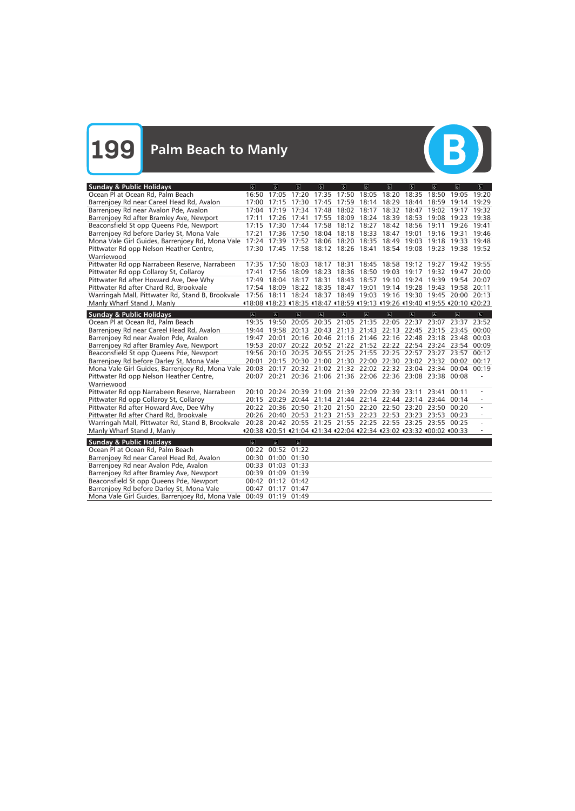

| <b>Sunday &amp; Public Holidays</b>                                                                                | $\overline{a}$          | $\alpha$            | $\overline{a}$          | $\overline{a}$ | a                                                                       | $\overline{a}$ | $\overline{a}$ | $\overline{a}$                | $\overline{a}$ | $\overline{a}$ | $\overline{a}$ |
|--------------------------------------------------------------------------------------------------------------------|-------------------------|---------------------|-------------------------|----------------|-------------------------------------------------------------------------|----------------|----------------|-------------------------------|----------------|----------------|----------------|
| Ocean Pl at Ocean Rd, Palm Beach                                                                                   |                         | 16:50 17:05         | 17:20                   | 17:35          | 17:50                                                                   | 18:05          | 18:20          | 18:35                         | 18:50          | 19:05          | 19:20          |
| Barrenjoey Rd near Careel Head Rd, Avalon                                                                          | 17:00                   |                     | 17:15 17:30             |                | 17:45 17:59 18:14 18:29                                                 |                |                | 18:44 18:59                   |                | 19:14 19:29    |                |
| Barrenjoey Rd near Avalon Pde, Avalon                                                                              |                         |                     |                         |                | 17:04 17:19 17:34 17:48 18:02 18:17 18:32 18:47 19:02 19:17 19:32       |                |                |                               |                |                |                |
| Barrenjoey Rd after Bramley Ave, Newport                                                                           | 17:11                   | 17:26 17:41         |                         |                | 17:55 18:09 18:24 18:39 18:53                                           |                |                |                               | 19:08          | 19:23 19:38    |                |
| Beaconsfield St opp Queens Pde, Newport                                                                            |                         |                     |                         |                | 17:15 17:30 17:44 17:58 18:12 18:27 18:42 18:56 19:11                   |                |                |                               |                | 19:26 19:41    |                |
| Barrenjoey Rd before Darley St, Mona Vale                                                                          | 17:21                   |                     |                         |                | 17:36 17:50 18:04 18:18 18:33 18:47                                     |                |                | 19:01                         | 19:16          | 19:31          | 19:46          |
| Mona Vale Girl Guides, Barrenjoey Rd, Mona Vale 17:24 17:39 17:52 18:06 18:20 18:35 18:49 19:03 19:18              |                         |                     |                         |                |                                                                         |                |                |                               |                | 19:33 19:48    |                |
| Pittwater Rd opp Nelson Heather Centre,                                                                            |                         |                     |                         |                | 17:30 17:45 17:58 18:12 18:26 18:41 18:54 19:08 19:23 19:38 19:52       |                |                |                               |                |                |                |
| Warriewood                                                                                                         |                         |                     |                         |                |                                                                         |                |                |                               |                |                |                |
| Pittwater Rd opp Narrabeen Reserve, Narrabeen                                                                      |                         | 17:35 17:50         | 18:03                   |                | 18:17 18:31 18:45 18:58 19:12 19:27                                     |                |                |                               |                | 19:42          | 19:55          |
| Pittwater Rd opp Collaroy St, Collaroy                                                                             |                         |                     | 17:41 17:56 18:09       |                | 18:23 18:36 18:50 19:03 19:17 19:32 19:47                               |                |                |                               |                |                | 20:00          |
| Pittwater Rd after Howard Ave, Dee Why                                                                             |                         |                     | 17:49 18:04 18:17       | 18:31          |                                                                         |                |                | 18:43 18:57 19:10 19:24 19:39 |                | 19:54          | 20:07          |
| Pittwater Rd after Chard Rd, Brookvale                                                                             |                         |                     |                         |                | 17:54 18:09 18:22 18:35 18:47 19:01                                     |                |                | 19:14 19:28 19:43             |                | 19:58 20:11    |                |
| Warringah Mall, Pittwater Rd, Stand B, Brookvale 17:56 18:11 18:24 18:37 18:49 19:03 19:16 19:30 19:45 20:00 20:13 |                         |                     |                         |                |                                                                         |                |                |                               |                |                |                |
| Manly Wharf Stand J, Manly                                                                                         |                         |                     |                         |                | 18:08 18:23 18:35 18:47 18:59 119:13 119:26 119:40 119:55 120:10 120:23 |                |                |                               |                |                |                |
| <b>Sunday &amp; Public Holidays</b>                                                                                | $\overline{\infty}$     | $\overline{\infty}$ | $\overline{a}$          | $\overline{a}$ | $\overline{6}$                                                          | $\overline{6}$ | $\overline{a}$ | $\overline{\infty}$           | $\overline{a}$ | $\overline{a}$ | $\overline{a}$ |
| Ocean Pl at Ocean Rd, Palm Beach                                                                                   | 19:35                   | 19:50               | 20:05                   |                | 20:35 21:05 21:35                                                       |                | 22:05          | 22:37                         | 23:07          | 23:37          | 23:52          |
| Barrenjoey Rd near Careel Head Rd, Avalon                                                                          |                         |                     |                         |                | 19:44 19:58 20:13 20:43 21:13 21:43 22:13 22:45 23:15 23:45 00:00       |                |                |                               |                |                |                |
| Barrenjoey Rd near Avalon Pde, Avalon                                                                              | 19:47                   |                     |                         |                | 20:01 20:16 20:46 21:16 21:46 22:16 22:48 23:18 23:48 00:03             |                |                |                               |                |                |                |
| Barrenjoey Rd after Bramley Ave, Newport                                                                           | 19:53                   |                     |                         |                | 20:07 20:22 20:52 21:22 21:52 22:22 22:54 23:24 23:54 00:09             |                |                |                               |                |                |                |
| Beaconsfield St opp Queens Pde, Newport                                                                            |                         |                     |                         |                | 19:56 20:10 20:25 20:55 21:25 21:55 22:25 22:57 23:27 23:57             |                |                |                               |                |                | 00:12          |
| Barrenjoey Rd before Darley St, Mona Vale                                                                          | 20:01                   |                     |                         |                | 20:15 20:30 21:00 21:30 22:00 22:30 23:02 23:32 00:02 00:17             |                |                |                               |                |                |                |
| Mona Vale Girl Guides, Barrenjoey Rd, Mona Vale 20:03 20:17 20:32 21:02 21:32 22:02 22:32 23:04 23:34 00:04 00:19  |                         |                     |                         |                |                                                                         |                |                |                               |                |                |                |
| Pittwater Rd opp Nelson Heather Centre,                                                                            |                         |                     |                         |                | 20:07 20:21 20:36 21:06 21:36 22:06 22:36 23:08 23:38 00:08             |                |                |                               |                |                |                |
| Warriewood                                                                                                         |                         |                     |                         |                |                                                                         |                |                |                               |                |                |                |
| Pittwater Rd opp Narrabeen Reserve, Narrabeen                                                                      |                         |                     |                         |                | 20:10 20:24 20:39 21:09 21:39 22:09 22:39 23:11                         |                |                |                               | 23:41          | 00:11          |                |
| Pittwater Rd opp Collaroy St, Collaroy                                                                             |                         |                     |                         |                | 20:15 20:29 20:44 21:14 21:44 22:14 22:44 23:14 23:44 00:14             |                |                |                               |                |                |                |
| Pittwater Rd after Howard Ave, Dee Why                                                                             |                         |                     |                         |                | 20:22 20:36 20:50 21:20 21:50 22:20 22:50 23:20 23:50 00:20             |                |                |                               |                |                |                |
| Pittwater Rd after Chard Rd, Brookvale                                                                             |                         |                     |                         |                | 20:26 20:40 20:53 21:23 21:53 22:23 22:53 23:23 23:53 00:23             |                |                |                               |                |                |                |
| Warringah Mall, Pittwater Rd, Stand B, Brookvale 20:28 20:42 20:55 21:25 21:55 22:25 22:55 23:25 23:55 00:25       |                         |                     |                         |                |                                                                         |                |                |                               |                |                |                |
| Manly Wharf Stand J, Manly                                                                                         |                         |                     |                         |                | 420:38 420:51 421:04 421:34 422:04 422:34 423:02 423:32 400:02 400:33   |                |                |                               |                |                |                |
|                                                                                                                    |                         |                     |                         |                |                                                                         |                |                |                               |                |                |                |
| <b>Sunday &amp; Public Holidays</b>                                                                                | $\overline{\mathbf{c}}$ | $\overline{6}$      | $\overline{\mathbf{g}}$ |                |                                                                         |                |                |                               |                |                |                |
| Ocean Pl at Ocean Rd, Palm Beach                                                                                   |                         |                     | 00:22 00:52 01:22       |                |                                                                         |                |                |                               |                |                |                |
| Barrenjoey Rd near Careel Head Rd, Avalon                                                                          |                         |                     | 00:30 01:00 01:30       |                |                                                                         |                |                |                               |                |                |                |
| Barrenjoey Rd near Avalon Pde, Avalon                                                                              |                         | 00:33 01:03 01:33   |                         |                |                                                                         |                |                |                               |                |                |                |
| Barrenjoey Rd after Bramley Ave, Newport                                                                           |                         |                     | 00:39 01:09 01:39       |                |                                                                         |                |                |                               |                |                |                |
| Beaconsfield St opp Queens Pde, Newport                                                                            |                         |                     | 00:42 01:12 01:42       |                |                                                                         |                |                |                               |                |                |                |
| Barrenjoey Rd before Darley St, Mona Vale                                                                          |                         | 00:47 01:17 01:47   |                         |                |                                                                         |                |                |                               |                |                |                |
| Mona Vale Girl Guides, Barrenjoey Rd, Mona Vale                                                                    |                         | 00:49 01:19 01:49   |                         |                |                                                                         |                |                |                               |                |                |                |